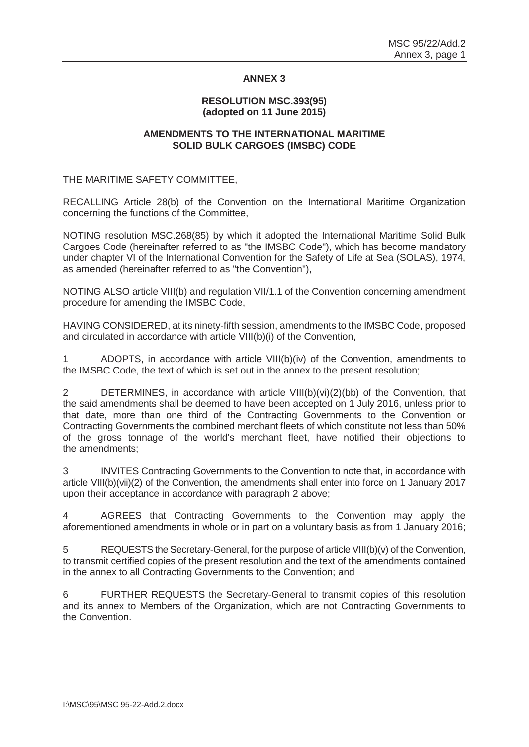## **ANNEX 3**

## **RESOLUTION MSC.393(95) (adopted on 11 June 2015)**

## **AMENDMENTS TO THE INTERNATIONAL MARITIME SOLID BULK CARGOES (IMSBC) CODE**

THE MARITIME SAFETY COMMITTEE,

RECALLING Article 28(b) of the Convention on the International Maritime Organization concerning the functions of the Committee,

NOTING resolution MSC.268(85) by which it adopted the International Maritime Solid Bulk Cargoes Code (hereinafter referred to as "the IMSBC Code"), which has become mandatory under chapter VI of the International Convention for the Safety of Life at Sea (SOLAS), 1974, as amended (hereinafter referred to as "the Convention"),

NOTING ALSO article VIII(b) and regulation VII/1.1 of the Convention concerning amendment procedure for amending the IMSBC Code,

HAVING CONSIDERED, at its ninety-fifth session, amendments to the IMSBC Code, proposed and circulated in accordance with article VIII(b)(i) of the Convention,

1 ADOPTS, in accordance with article VIII(b)(iv) of the Convention, amendments to the IMSBC Code, the text of which is set out in the annex to the present resolution;

2 DETERMINES, in accordance with article VIII(b)(vi)(2)(bb) of the Convention, that the said amendments shall be deemed to have been accepted on 1 July 2016, unless prior to that date, more than one third of the Contracting Governments to the Convention or Contracting Governments the combined merchant fleets of which constitute not less than 50% of the gross tonnage of the world's merchant fleet, have notified their objections to the amendments;

3 INVITES Contracting Governments to the Convention to note that, in accordance with article VIII(b)(vii)(2) of the Convention, the amendments shall enter into force on 1 January 2017 upon their acceptance in accordance with paragraph 2 above;

4 AGREES that Contracting Governments to the Convention may apply the aforementioned amendments in whole or in part on a voluntary basis as from 1 January 2016;

5 REQUESTS the Secretary-General, for the purpose of article VIII(b)(v) of the Convention, to transmit certified copies of the present resolution and the text of the amendments contained in the annex to all Contracting Governments to the Convention; and

6 FURTHER REQUESTS the Secretary-General to transmit copies of this resolution and its annex to Members of the Organization, which are not Contracting Governments to the Convention.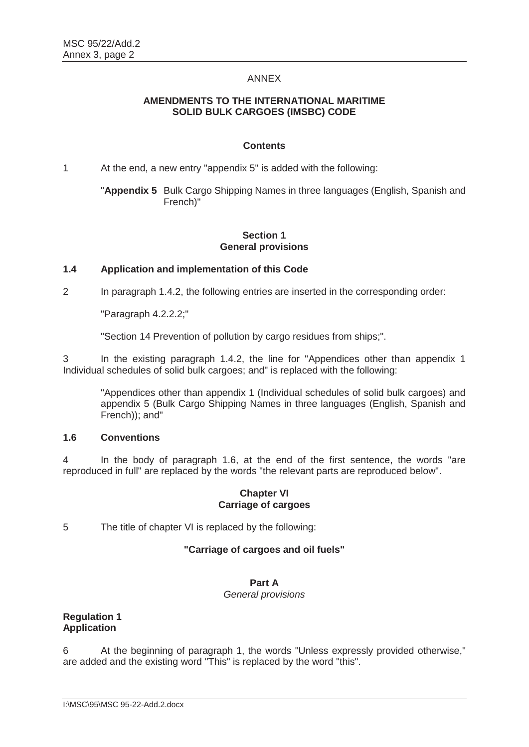## ANNEX

## **AMENDMENTS TO THE INTERNATIONAL MARITIME SOLID BULK CARGOES (IMSBC) CODE**

## **Contents**

1 At the end, a new entry "appendix 5" is added with the following:

"**Appendix 5** Bulk Cargo Shipping Names in three languages (English, Spanish and French)"

# **Section 1 General provisions**

## **1.4 Application and implementation of this Code**

2 In paragraph 1.4.2, the following entries are inserted in the corresponding order:

"Paragraph 4.2.2.2;"

"Section 14 Prevention of pollution by cargo residues from ships;".

3 In the existing paragraph 1.4.2, the line for "Appendices other than appendix 1 Individual schedules of solid bulk cargoes; and" is replaced with the following:

"Appendices other than appendix 1 (Individual schedules of solid bulk cargoes) and appendix 5 (Bulk Cargo Shipping Names in three languages (English, Spanish and French)); and"

## **1.6 Conventions**

4 In the body of paragraph 1.6, at the end of the first sentence, the words "are reproduced in full" are replaced by the words "the relevant parts are reproduced below".

#### **Chapter VI Carriage of cargoes**

5 The title of chapter VI is replaced by the following:

# **"Carriage of cargoes and oil fuels"**

#### **Part A**

#### *General provisions*

# **Regulation 1 Application**

6 At the beginning of paragraph 1, the words "Unless expressly provided otherwise," are added and the existing word "This" is replaced by the word "this".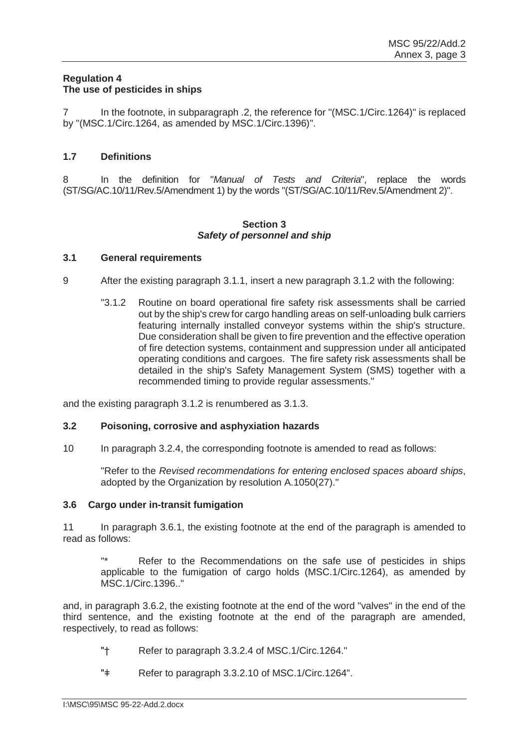# **Regulation 4 The use of pesticides in ships**

In the footnote, in subparagraph .2, the reference for "(MSC.1/Circ.1264)" is replaced by "(MSC.1/Circ.1264, as amended by MSC.1/Circ.1396)".

## **1.7 Definitions**

8 In the definition for "*Manual of Tests and Criteria*", replace the words (ST/SG/AC.10/11/Rev.5/Amendment 1) by the words "(ST/SG/AC.10/11/Rev.5/Amendment 2)".

## **Section 3**  *Safety of personnel and ship*

## **3.1 General requirements**

- 9 After the existing paragraph 3.1.1, insert a new paragraph 3.1.2 with the following:
	- "3.1.2 Routine on board operational fire safety risk assessments shall be carried out by the ship's crew for cargo handling areas on self-unloading bulk carriers featuring internally installed conveyor systems within the ship's structure. Due consideration shall be given to fire prevention and the effective operation of fire detection systems, containment and suppression under all anticipated operating conditions and cargoes. The fire safety risk assessments shall be detailed in the ship's Safety Management System (SMS) together with a recommended timing to provide regular assessments."

and the existing paragraph 3.1.2 is renumbered as 3.1.3.

#### **3.2 Poisoning, corrosive and asphyxiation hazards**

10 In paragraph 3.2.4, the corresponding footnote is amended to read as follows:

"Refer to the *Revised recommendations for entering enclosed spaces aboard ships*, adopted by the Organization by resolution A.1050(27)."

## **3.6 Cargo under in-transit fumigation**

11 In paragraph 3.6.1, the existing footnote at the end of the paragraph is amended to read as follows:

Refer to the Recommendations on the safe use of pesticides in ships applicable to the fumigation of cargo holds (MSC.1/Circ.1264), as amended by MSC.1/Circ.1396.."

and, in paragraph 3.6.2, the existing footnote at the end of the word "valves" in the end of the third sentence, and the existing footnote at the end of the paragraph are amended, respectively, to read as follows:

- "† Refer to paragraph 3.3.2.4 of MSC.1/Circ.1264."
- "ǂ Refer to paragraph 3.3.2.10 of MSC.1/Circ.1264".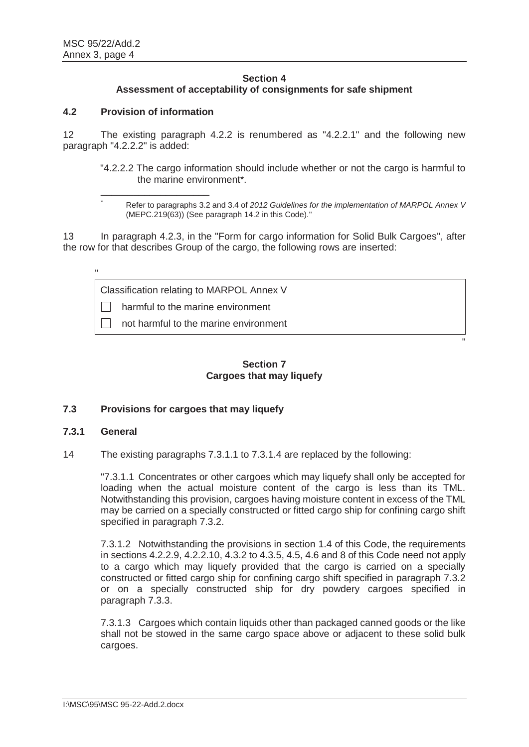\*

"

## **Section 4 Assessment of acceptability of consignments for safe shipment**

## **4.2 Provision of information**

\_\_\_\_\_\_\_\_\_\_\_\_\_\_\_\_\_\_\_\_

12 The existing paragraph 4.2.2 is renumbered as "4.2.2.1" and the following new paragraph "4.2.2.2" is added:

"4.2.2.2 The cargo information should include whether or not the cargo is harmful to the marine environment\*.

"

13 In paragraph 4.2.3, in the "Form for cargo information for Solid Bulk Cargoes", after the row for that describes Group of the cargo, the following rows are inserted:

Classification relating to MARPOL Annex V

 $\Box$  harmful to the marine environment

not harmful to the marine environment

# **Section 7 Cargoes that may liquefy**

## **7.3 Provisions for cargoes that may liquefy**

## **7.3.1 General**

14 The existing paragraphs 7.3.1.1 to 7.3.1.4 are replaced by the following:

"7.3.1.1 Concentrates or other cargoes which may liquefy shall only be accepted for loading when the actual moisture content of the cargo is less than its TML. Notwithstanding this provision, cargoes having moisture content in excess of the TML may be carried on a specially constructed or fitted cargo ship for confining cargo shift specified in paragraph 7.3.2.

7.3.1.2 Notwithstanding the provisions in section 1.4 of this Code, the requirements in sections 4.2.2.9, 4.2.2.10, 4.3.2 to 4.3.5, 4.5, 4.6 and 8 of this Code need not apply to a cargo which may liquefy provided that the cargo is carried on a specially constructed or fitted cargo ship for confining cargo shift specified in paragraph 7.3.2 or on a specially constructed ship for dry powdery cargoes specified in paragraph 7.3.3.

7.3.1.3 Cargoes which contain liquids other than packaged canned goods or the like shall not be stowed in the same cargo space above or adjacent to these solid bulk cargoes.

Refer to paragraphs 3.2 and 3.4 of *2012 Guidelines for the implementation of MARPOL Annex V* (MEPC.219(63)) (See paragraph 14.2 in this Code)."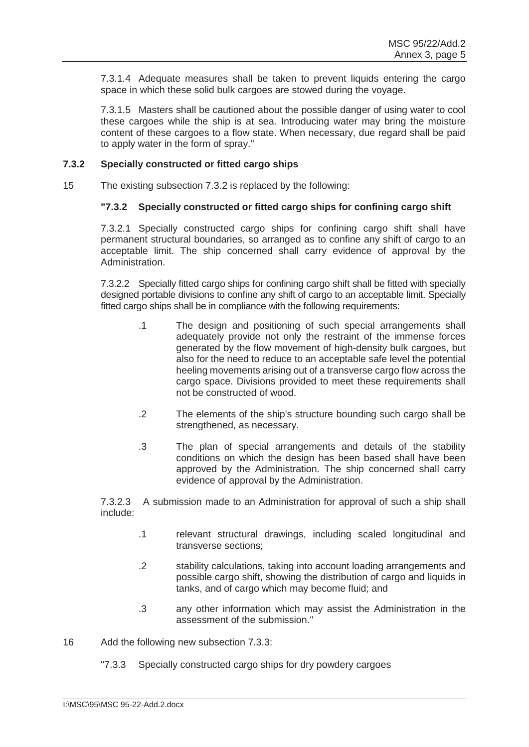7.3.1.4 Adequate measures shall be taken to prevent liquids entering the cargo space in which these solid bulk cargoes are stowed during the voyage.

7.3.1.5 Masters shall be cautioned about the possible danger of using water to cool these cargoes while the ship is at sea. Introducing water may bring the moisture content of these cargoes to a flow state. When necessary, due regard shall be paid to apply water in the form of spray."

## **7.3.2 Specially constructed or fitted cargo ships**

15 The existing subsection 7.3.2 is replaced by the following:

## **"7.3.2 Specially constructed or fitted cargo ships for confining cargo shift**

7.3.2.1 Specially constructed cargo ships for confining cargo shift shall have permanent structural boundaries, so arranged as to confine any shift of cargo to an acceptable limit. The ship concerned shall carry evidence of approval by the Administration.

7.3.2.2 Specially fitted cargo ships for confining cargo shift shall be fitted with specially designed portable divisions to confine any shift of cargo to an acceptable limit. Specially fitted cargo ships shall be in compliance with the following requirements:

- .1 The design and positioning of such special arrangements shall adequately provide not only the restraint of the immense forces generated by the flow movement of high-density bulk cargoes, but also for the need to reduce to an acceptable safe level the potential heeling movements arising out of a transverse cargo flow across the cargo space. Divisions provided to meet these requirements shall not be constructed of wood.
- .2 The elements of the ship's structure bounding such cargo shall be strengthened, as necessary.
- .3 The plan of special arrangements and details of the stability conditions on which the design has been based shall have been approved by the Administration. The ship concerned shall carry evidence of approval by the Administration.

7.3.2.3 A submission made to an Administration for approval of such a ship shall include:

- .1 relevant structural drawings, including scaled longitudinal and transverse sections;
- .2 stability calculations, taking into account loading arrangements and possible cargo shift, showing the distribution of cargo and liquids in tanks, and of cargo which may become fluid; and
- .3 any other information which may assist the Administration in the assessment of the submission."
- 16 Add the following new subsection 7.3.3:
	- "7.3.3 Specially constructed cargo ships for dry powdery cargoes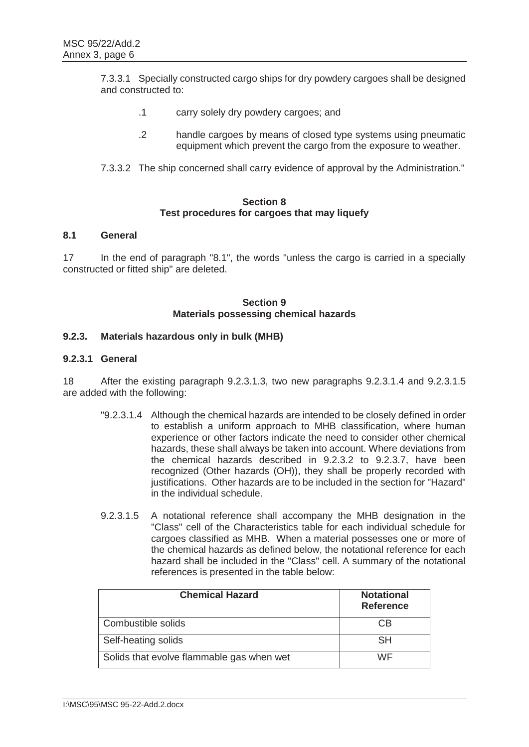7.3.3.1 Specially constructed cargo ships for dry powdery cargoes shall be designed and constructed to:

- .1 carry solely dry powdery cargoes; and
- .2 handle cargoes by means of closed type systems using pneumatic equipment which prevent the cargo from the exposure to weather.
- 7.3.3.2 The ship concerned shall carry evidence of approval by the Administration."

## **Section 8 Test procedures for cargoes that may liquefy**

# **8.1 General**

17 In the end of paragraph "8.1", the words "unless the cargo is carried in a specially constructed or fitted ship" are deleted.

## **Section 9 Materials possessing chemical hazards**

# **9.2.3. Materials hazardous only in bulk (MHB)**

## **9.2.3.1 General**

18 After the existing paragraph 9.2.3.1.3, two new paragraphs 9.2.3.1.4 and 9.2.3.1.5 are added with the following:

- "9.2.3.1.4 Although the chemical hazards are intended to be closely defined in order to establish a uniform approach to MHB classification, where human experience or other factors indicate the need to consider other chemical hazards, these shall always be taken into account. Where deviations from the chemical hazards described in 9.2.3.2 to 9.2.3.7, have been recognized (Other hazards (OH)), they shall be properly recorded with justifications. Other hazards are to be included in the section for "Hazard" in the individual schedule.
- 9.2.3.1.5 A notational reference shall accompany the MHB designation in the "Class" cell of the Characteristics table for each individual schedule for cargoes classified as MHB. When a material possesses one or more of the chemical hazards as defined below, the notational reference for each hazard shall be included in the "Class" cell. A summary of the notational references is presented in the table below:

| <b>Chemical Hazard</b>                    | <b>Notational</b><br><b>Reference</b> |
|-------------------------------------------|---------------------------------------|
| Combustible solids                        | CB                                    |
| Self-heating solids                       | <b>SH</b>                             |
| Solids that evolve flammable gas when wet | WF                                    |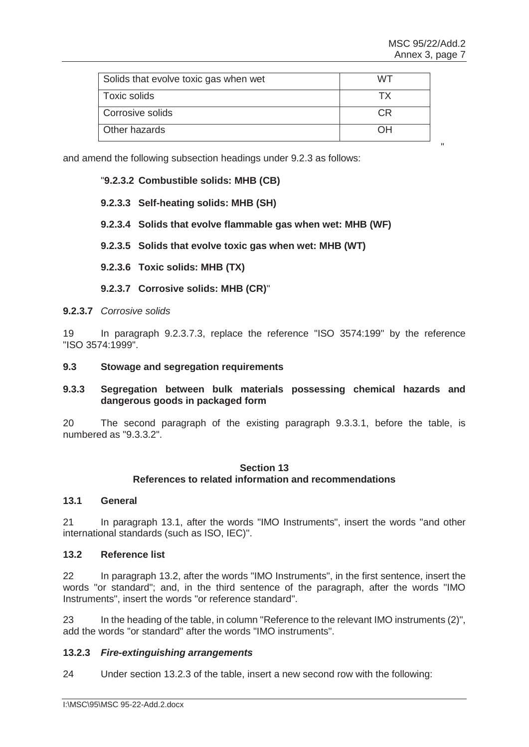| Solids that evolve toxic gas when wet | WT. |
|---------------------------------------|-----|
| Toxic solids                          |     |
| Corrosive solids                      | СR  |
| Other hazards                         | NО  |

" "The contract of the contract of the contract of the contract of the contract of the contract of the contract of the contract of the contract of the contract of the contract of the contract of the contract of the contrac

and amend the following subsection headings under 9.2.3 as follows:

## "**9.2.3.2 Combustible solids: MHB (CB)**

## **9.2.3.3 Self-heating solids: MHB (SH)**

## **9.2.3.4 Solids that evolve flammable gas when wet: MHB (WF)**

**9.2.3.5 Solids that evolve toxic gas when wet: MHB (WT)** 

- **9.2.3.6 Toxic solids: MHB (TX)**
- **9.2.3.7 Corrosive solids: MHB (CR)**"

#### **9.2.3.7** *Corrosive solids*

19 In paragraph 9.2.3.7.3, replace the reference "ISO 3574:199" by the reference "ISO 3574:1999".

#### **9.3 Stowage and segregation requirements**

## **9.3.3 Segregation between bulk materials possessing chemical hazards and dangerous goods in packaged form**

20 The second paragraph of the existing paragraph 9.3.3.1, before the table, is numbered as "9.3.3.2".

#### **Section 13 References to related information and recommendations**

#### **13.1 General**

21 In paragraph 13.1, after the words "IMO Instruments", insert the words "and other international standards (such as ISO, IEC)".

#### **13.2 Reference list**

22 In paragraph 13.2, after the words "IMO Instruments", in the first sentence, insert the words "or standard"; and, in the third sentence of the paragraph, after the words "IMO Instruments", insert the words "or reference standard".

23 In the heading of the table, in column "Reference to the relevant IMO instruments (2)", add the words "or standard" after the words "IMO instruments".

#### **13.2.3** *Fire-extinguishing arrangements*

24 Under section 13.2.3 of the table, insert a new second row with the following: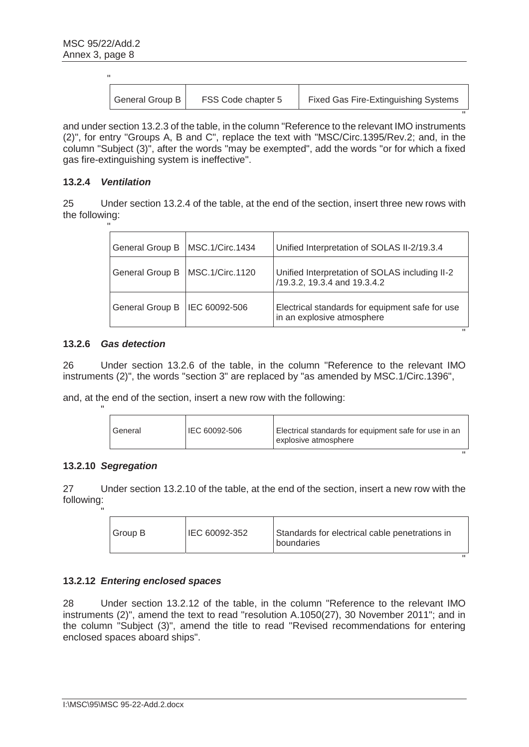| н |                 |                    |                                             |
|---|-----------------|--------------------|---------------------------------------------|
|   | General Group B | FSS Code chapter 5 | <b>Fixed Gas Fire-Extinguishing Systems</b> |

"

"

"

"

and under section 13.2.3 of the table, in the column "Reference to the relevant IMO instruments (2)", for entry "Groups A, B and C", replace the text with "MSC/Circ.1395/Rev.2; and, in the column "Subject (3)", after the words "may be exempted", add the words "or for which a fixed gas fire-extinguishing system is ineffective".

## **13.2.4** *Ventilation*

25 Under section 13.2.4 of the table, at the end of the section, insert three new rows with the following:

| $\mathbf{H}$ |                        |                 |                                                                                |
|--------------|------------------------|-----------------|--------------------------------------------------------------------------------|
|              | General Group B        | MSC.1/Circ.1434 | Unified Interpretation of SOLAS II-2/19.3.4                                    |
|              | General Group B        | MSC.1/Circ.1120 | Unified Interpretation of SOLAS including II-2<br>/19.3.2, 19.3.4 and 19.3.4.2 |
|              | <b>General Group B</b> | IEC 60092-506   | Electrical standards for equipment safe for use<br>in an explosive atmosphere  |

## **13.2.6** *Gas detection*

26 Under section 13.2.6 of the table, in the column "Reference to the relevant IMO instruments (2)", the words "section 3" are replaced by "as amended by MSC.1/Circ.1396",

and, at the end of the section, insert a new row with the following:

| General | IEC 60092-506 | Electrical standards for equipment safe for use in an<br>explosive atmosphere |
|---------|---------------|-------------------------------------------------------------------------------|
|         |               |                                                                               |

#### **13.2.10** *Segregation*

"

27 Under section 13.2.10 of the table, at the end of the section, insert a new row with the following:

| п |         |               |                                                              |
|---|---------|---------------|--------------------------------------------------------------|
|   | Group B | IEC 60092-352 | Standards for electrical cable penetrations in<br>boundaries |

## **13.2.12** *Entering enclosed spaces*

28 Under section 13.2.12 of the table, in the column "Reference to the relevant IMO instruments (2)", amend the text to read "resolution A.1050(27), 30 November 2011"; and in the column "Subject (3)", amend the title to read "Revised recommendations for entering enclosed spaces aboard ships".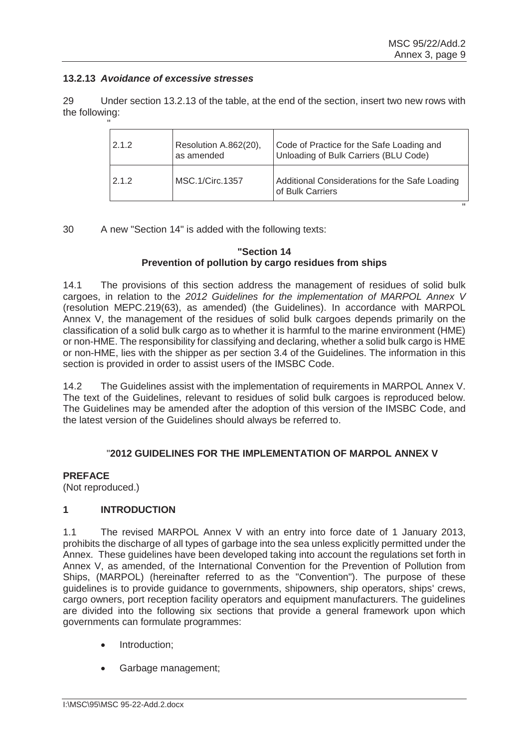"

## **13.2.13** *Avoidance of excessive stresses*

29 Under section 13.2.13 of the table, at the end of the section, insert two new rows with the following:

| 2.1.2 | Resolution A.862(20),<br>as amended | Code of Practice for the Safe Loading and<br>Unloading of Bulk Carriers (BLU Code) |
|-------|-------------------------------------|------------------------------------------------------------------------------------|
| 2.1.2 | MSC.1/Circ.1357                     | Additional Considerations for the Safe Loading<br>of Bulk Carriers                 |

30 A new "Section 14" is added with the following texts:

# **"Section 14 Prevention of pollution by cargo residues from ships**

14.1 The provisions of this section address the management of residues of solid bulk cargoes, in relation to the *2012 Guidelines for the implementation of MARPOL Annex V* (resolution MEPC.219(63), as amended) (the Guidelines). In accordance with MARPOL Annex V, the management of the residues of solid bulk cargoes depends primarily on the classification of a solid bulk cargo as to whether it is harmful to the marine environment (HME) or non-HME. The responsibility for classifying and declaring, whether a solid bulk cargo is HME or non-HME, lies with the shipper as per section 3.4 of the Guidelines. The information in this section is provided in order to assist users of the IMSBC Code.

14.2 The Guidelines assist with the implementation of requirements in MARPOL Annex V. The text of the Guidelines, relevant to residues of solid bulk cargoes is reproduced below. The Guidelines may be amended after the adoption of this version of the IMSBC Code, and the latest version of the Guidelines should always be referred to.

# "**2012 GUIDELINES FOR THE IMPLEMENTATION OF MARPOL ANNEX V**

## **PREFACE**

(Not reproduced.)

# **1 INTRODUCTION**

1.1 The revised MARPOL Annex V with an entry into force date of 1 January 2013, prohibits the discharge of all types of garbage into the sea unless explicitly permitted under the Annex. These guidelines have been developed taking into account the regulations set forth in Annex V, as amended, of the International Convention for the Prevention of Pollution from Ships, (MARPOL) (hereinafter referred to as the "Convention"). The purpose of these guidelines is to provide guidance to governments, shipowners, ship operators, ships' crews, cargo owners, port reception facility operators and equipment manufacturers. The guidelines are divided into the following six sections that provide a general framework upon which governments can formulate programmes:

- Introduction;
- Garbage management: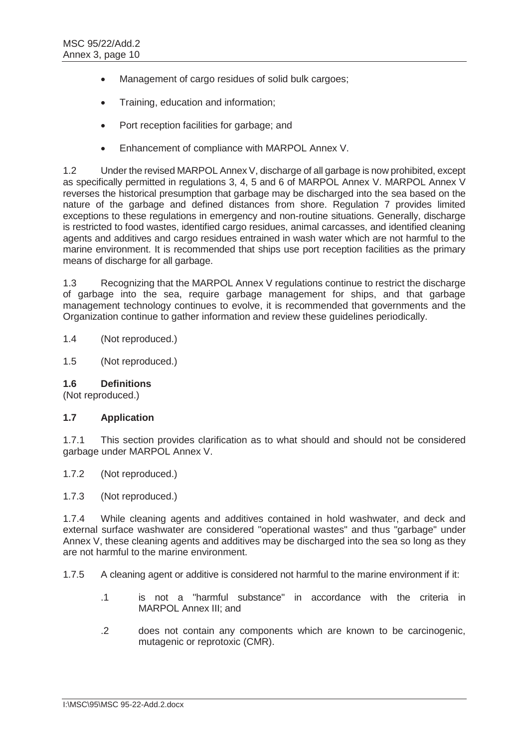- Management of cargo residues of solid bulk cargoes;
- Training, education and information;
- Port reception facilities for garbage; and
- Enhancement of compliance with MARPOL Annex V.

1.2 Under the revised MARPOL Annex V, discharge of all garbage is now prohibited, except as specifically permitted in regulations 3, 4, 5 and 6 of MARPOL Annex V. MARPOL Annex V reverses the historical presumption that garbage may be discharged into the sea based on the nature of the garbage and defined distances from shore. Regulation 7 provides limited exceptions to these regulations in emergency and non-routine situations. Generally, discharge is restricted to food wastes, identified cargo residues, animal carcasses, and identified cleaning agents and additives and cargo residues entrained in wash water which are not harmful to the marine environment. It is recommended that ships use port reception facilities as the primary means of discharge for all garbage.

1.3 Recognizing that the MARPOL Annex V regulations continue to restrict the discharge of garbage into the sea, require garbage management for ships, and that garbage management technology continues to evolve, it is recommended that governments and the Organization continue to gather information and review these guidelines periodically.

1.4 (Not reproduced.)

1.5 (Not reproduced.)

#### **1.6 Definitions**

(Not reproduced.)

## **1.7 Application**

1.7.1 This section provides clarification as to what should and should not be considered garbage under MARPOL Annex V.

- 1.7.2 (Not reproduced.)
- 1.7.3 (Not reproduced.)

1.7.4 While cleaning agents and additives contained in hold washwater, and deck and external surface washwater are considered "operational wastes" and thus "garbage" under Annex V, these cleaning agents and additives may be discharged into the sea so long as they are not harmful to the marine environment.

1.7.5 A cleaning agent or additive is considered not harmful to the marine environment if it:

- .1 is not a "harmful substance" in accordance with the criteria in MARPOL Annex III; and
- .2 does not contain any components which are known to be carcinogenic, mutagenic or reprotoxic (CMR).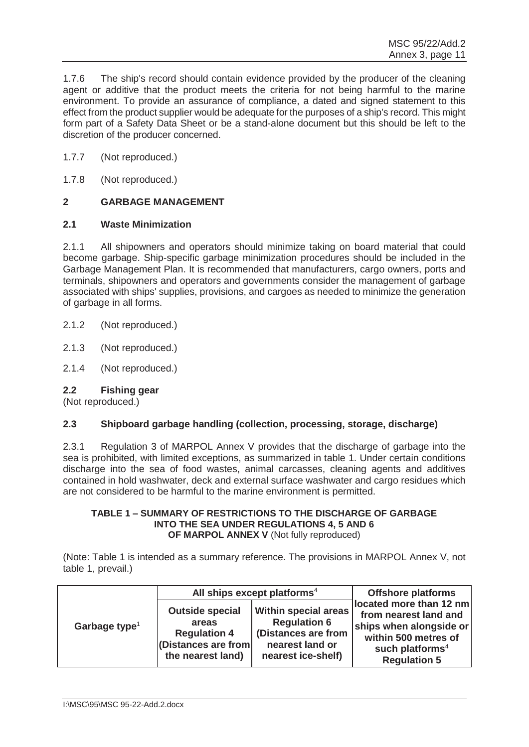1.7.6 The ship's record should contain evidence provided by the producer of the cleaning agent or additive that the product meets the criteria for not being harmful to the marine environment. To provide an assurance of compliance, a dated and signed statement to this effect from the product supplier would be adequate for the purposes of a ship's record. This might form part of a Safety Data Sheet or be a stand-alone document but this should be left to the discretion of the producer concerned.

- 1.7.7 (Not reproduced.)
- 1.7.8 (Not reproduced.)

# **2 GARBAGE MANAGEMENT**

## **2.1 Waste Minimization**

2.1.1 All shipowners and operators should minimize taking on board material that could become garbage. Ship-specific garbage minimization procedures should be included in the Garbage Management Plan. It is recommended that manufacturers, cargo owners, ports and terminals, shipowners and operators and governments consider the management of garbage associated with ships' supplies, provisions, and cargoes as needed to minimize the generation of garbage in all forms.

- 2.1.2 (Not reproduced.)
- 2.1.3 (Not reproduced.)
- 2.1.4 (Not reproduced.)

## **2.2 Fishing gear**

(Not reproduced.)

# **2.3 Shipboard garbage handling (collection, processing, storage, discharge)**

2.3.1 Regulation 3 of MARPOL Annex V provides that the discharge of garbage into the sea is prohibited, with limited exceptions, as summarized in table 1. Under certain conditions discharge into the sea of food wastes, animal carcasses, cleaning agents and additives contained in hold washwater, deck and external surface washwater and cargo residues which are not considered to be harmful to the marine environment is permitted.

#### **TABLE 1 – SUMMARY OF RESTRICTIONS TO THE DISCHARGE OF GARBAGE INTO THE SEA UNDER REGULATIONS 4, 5 AND 6 OF MARPOL ANNEX V** (Not fully reproduced)

(Note: Table 1 is intended as a summary reference. The provisions in MARPOL Annex V, not table 1, prevail.)

|                           |                                                                                                    | All ships except platforms <sup>4</sup>                                                                     | <b>Offshore platforms</b>                                                                                                                                 |
|---------------------------|----------------------------------------------------------------------------------------------------|-------------------------------------------------------------------------------------------------------------|-----------------------------------------------------------------------------------------------------------------------------------------------------------|
| Garbage type <sup>1</sup> | <b>Outside special</b><br>areas<br><b>Regulation 4</b><br>(Distances are from<br>the nearest land) | Within special areas<br><b>Regulation 6</b><br>(Distances are from<br>nearest land or<br>nearest ice-shelf) | located more than 12 nm<br>from nearest land and<br>ships when alongside or<br>within 500 metres of<br>such platforms <sup>4</sup><br><b>Regulation 5</b> |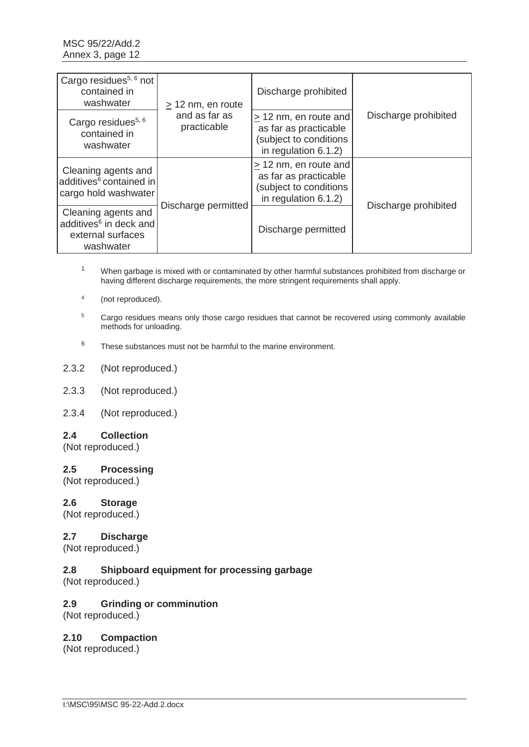| Cargo residues <sup>5, 6</sup> not<br>contained in<br>washwater                             | $\geq$ 12 nm, en route       | Discharge prohibited                                                                                     |                      |
|---------------------------------------------------------------------------------------------|------------------------------|----------------------------------------------------------------------------------------------------------|----------------------|
| Cargo residues <sup>5, 6</sup><br>contained in<br>washwater                                 | and as far as<br>practicable | $\geq$ 12 nm, en route and<br>as far as practicable<br>(subject to conditions<br>in regulation 6.1.2)    | Discharge prohibited |
| Cleaning agents and<br>additives <sup>6</sup> contained in<br>cargo hold washwater          |                              | $\geq$ 12 nm, en route and<br>as far as practicable<br>(subject to conditions<br>in regulation $6.1.2$ ) |                      |
| Cleaning agents and<br>additives <sup>6</sup> in deck and<br>external surfaces<br>washwater | Discharge permitted          | Discharge permitted                                                                                      | Discharge prohibited |

<sup>1</sup> When garbage is mixed with or contaminated by other harmful substances prohibited from discharge or having different discharge requirements, the more stringent requirements shall apply.

- 4 (not reproduced).
- <sup>5</sup> Cargo residues means only those cargo residues that cannot be recovered using commonly available methods for unloading.
- 6 These substances must not be harmful to the marine environment.
- 2.3.2 (Not reproduced.)
- 2.3.3 (Not reproduced.)
- 2.3.4 (Not reproduced.)

#### **2.4 Collection**

(Not reproduced.)

#### **2.5 Processing**

(Not reproduced.)

#### **2.6 Storage**

(Not reproduced.)

#### **2.7 Discharge**

(Not reproduced.)

## **2.8 Shipboard equipment for processing garbage**

(Not reproduced.)

#### **2.9 Grinding or comminution**

(Not reproduced.)

## **2.10 Compaction**

(Not reproduced.)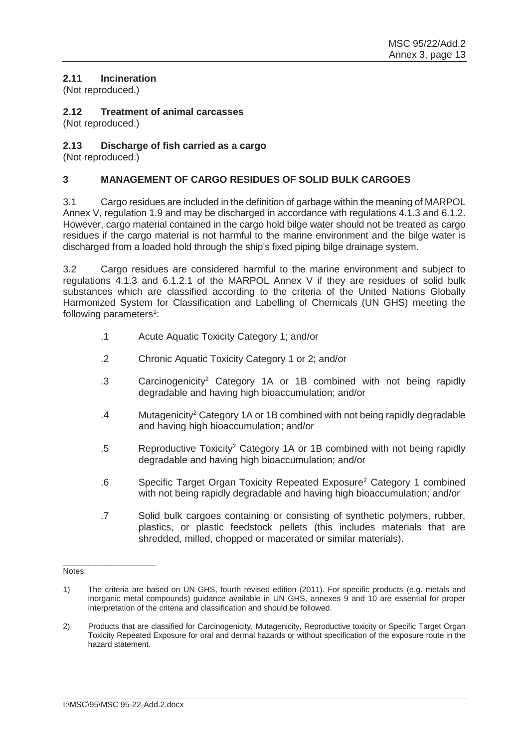# **2.11 Incineration**

(Not reproduced.)

# **2.12 Treatment of animal carcasses**

(Not reproduced.)

## **2.13 Discharge of fish carried as a cargo**

(Not reproduced.)

## **3 MANAGEMENT OF CARGO RESIDUES OF SOLID BULK CARGOES**

3.1 Cargo residues are included in the definition of garbage within the meaning of MARPOL Annex V, regulation 1.9 and may be discharged in accordance with regulations 4.1.3 and 6.1.2. However, cargo material contained in the cargo hold bilge water should not be treated as cargo residues if the cargo material is not harmful to the marine environment and the bilge water is discharged from a loaded hold through the ship's fixed piping bilge drainage system.

3.2 Cargo residues are considered harmful to the marine environment and subject to regulations 4.1.3 and 6.1.2.1 of the MARPOL Annex V if they are residues of solid bulk substances which are classified according to the criteria of the United Nations Globally Harmonized System for Classification and Labelling of Chemicals (UN GHS) meeting the following parameters<sup>1</sup>:

- .1 Acute Aquatic Toxicity Category 1; and/or
- .2 Chronic Aquatic Toxicity Category 1 or 2; and/or
- .3 Carcinogenicity<sup>2</sup> Category 1A or 1B combined with not being rapidly degradable and having high bioaccumulation; and/or
- .4 Mutagenicity2 Category 1A or 1B combined with not being rapidly degradable and having high bioaccumulation; and/or
- .5 Reproductive Toxicity2 Category 1A or 1B combined with not being rapidly degradable and having high bioaccumulation; and/or
- .6 Specific Target Organ Toxicity Repeated Exposure2 Category 1 combined with not being rapidly degradable and having high bioaccumulation; and/or
- .7 Solid bulk cargoes containing or consisting of synthetic polymers, rubber, plastics, or plastic feedstock pellets (this includes materials that are shredded, milled, chopped or macerated or similar materials).

\_\_\_\_\_\_\_\_\_\_\_\_\_\_\_\_\_ Notes:

<sup>1)</sup> The criteria are based on UN GHS, fourth revised edition (2011). For specific products (e.g. metals and inorganic metal compounds) guidance available in UN GHS, annexes 9 and 10 are essential for proper interpretation of the criteria and classification and should be followed.

<sup>2)</sup> Products that are classified for Carcinogenicity, Mutagenicity, Reproductive toxicity or Specific Target Organ Toxicity Repeated Exposure for oral and dermal hazards or without specification of the exposure route in the hazard statement.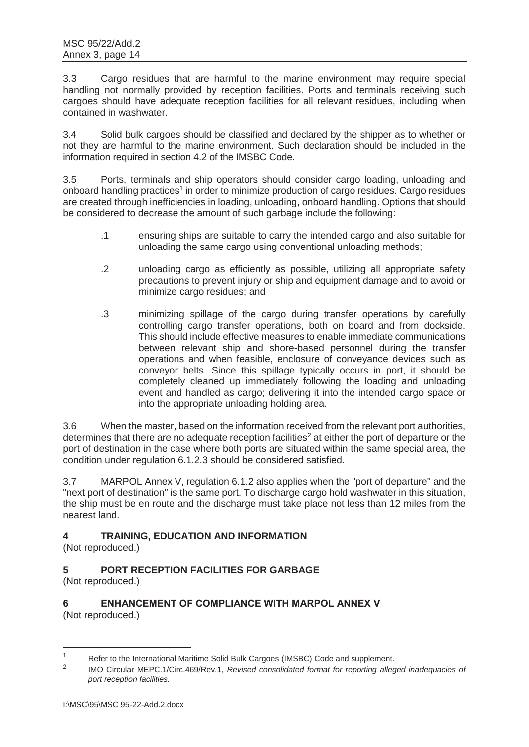3.3 Cargo residues that are harmful to the marine environment may require special handling not normally provided by reception facilities. Ports and terminals receiving such cargoes should have adequate reception facilities for all relevant residues, including when contained in washwater.

3.4 Solid bulk cargoes should be classified and declared by the shipper as to whether or not they are harmful to the marine environment. Such declaration should be included in the information required in section 4.2 of the IMSBC Code.

3.5 Ports, terminals and ship operators should consider cargo loading, unloading and onboard handling practices<sup>1</sup> in order to minimize production of cargo residues. Cargo residues are created through inefficiencies in loading, unloading, onboard handling. Options that should be considered to decrease the amount of such garbage include the following:

- .1 ensuring ships are suitable to carry the intended cargo and also suitable for unloading the same cargo using conventional unloading methods;
- .2 unloading cargo as efficiently as possible, utilizing all appropriate safety precautions to prevent injury or ship and equipment damage and to avoid or minimize cargo residues; and
- .3 minimizing spillage of the cargo during transfer operations by carefully controlling cargo transfer operations, both on board and from dockside. This should include effective measures to enable immediate communications between relevant ship and shore-based personnel during the transfer operations and when feasible, enclosure of conveyance devices such as conveyor belts. Since this spillage typically occurs in port, it should be completely cleaned up immediately following the loading and unloading event and handled as cargo; delivering it into the intended cargo space or into the appropriate unloading holding area.

3.6 When the master, based on the information received from the relevant port authorities, determines that there are no adequate reception facilities<sup>2</sup> at either the port of departure or the port of destination in the case where both ports are situated within the same special area, the condition under regulation 6.1.2.3 should be considered satisfied.

3.7 MARPOL Annex V, regulation 6.1.2 also applies when the "port of departure" and the "next port of destination" is the same port. To discharge cargo hold washwater in this situation, the ship must be en route and the discharge must take place not less than 12 miles from the nearest land.

# **4 TRAINING, EDUCATION AND INFORMATION**

(Not reproduced.)

# **5 PORT RECEPTION FACILITIES FOR GARBAGE**

(Not reproduced.)

## **6 ENHANCEMENT OF COMPLIANCE WITH MARPOL ANNEX V**  (Not reproduced.)

 $\frac{1}{1}$ Refer to the International Maritime Solid Bulk Cargoes (IMSBC) Code and supplement.

<sup>2</sup> IMO Circular MEPC.1/Circ.469/Rev.1, *Revised consolidated format for reporting alleged inadequacies of port reception facilities.*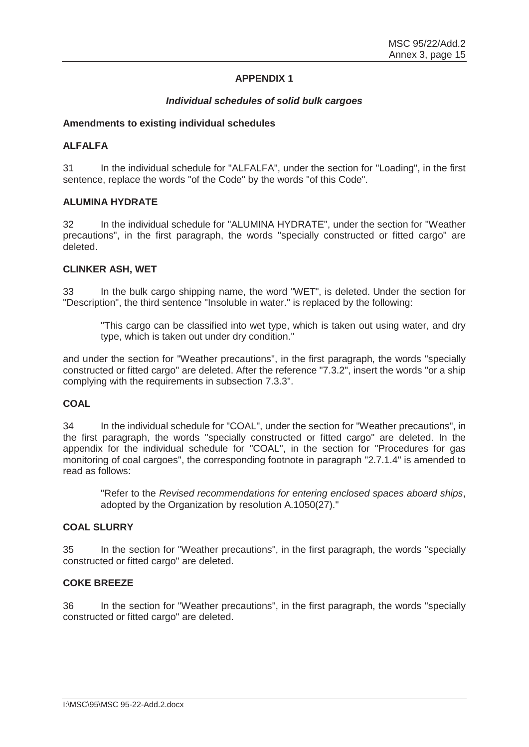## **APPENDIX 1**

## *Individual schedules of solid bulk cargoes*

## **Amendments to existing individual schedules**

## **ALFALFA**

31 In the individual schedule for "ALFALFA", under the section for "Loading", in the first sentence, replace the words "of the Code" by the words "of this Code".

## **ALUMINA HYDRATE**

32 In the individual schedule for "ALUMINA HYDRATE", under the section for "Weather precautions", in the first paragraph, the words "specially constructed or fitted cargo" are deleted.

#### **CLINKER ASH, WET**

33 In the bulk cargo shipping name, the word "WET", is deleted. Under the section for "Description", the third sentence "Insoluble in water." is replaced by the following:

"This cargo can be classified into wet type, which is taken out using water, and dry type, which is taken out under dry condition."

and under the section for "Weather precautions", in the first paragraph, the words "specially constructed or fitted cargo" are deleted. After the reference "7.3.2", insert the words "or a ship complying with the requirements in subsection 7.3.3".

## **COAL**

34 In the individual schedule for "COAL", under the section for "Weather precautions", in the first paragraph, the words "specially constructed or fitted cargo" are deleted. In the appendix for the individual schedule for "COAL", in the section for "Procedures for gas monitoring of coal cargoes", the corresponding footnote in paragraph "2.7.1.4" is amended to read as follows:

"Refer to the *Revised recommendations for entering enclosed spaces aboard ships*, adopted by the Organization by resolution A.1050(27)."

## **COAL SLURRY**

35 In the section for "Weather precautions", in the first paragraph, the words "specially constructed or fitted cargo" are deleted.

#### **COKE BREEZE**

36 In the section for "Weather precautions", in the first paragraph, the words "specially constructed or fitted cargo" are deleted.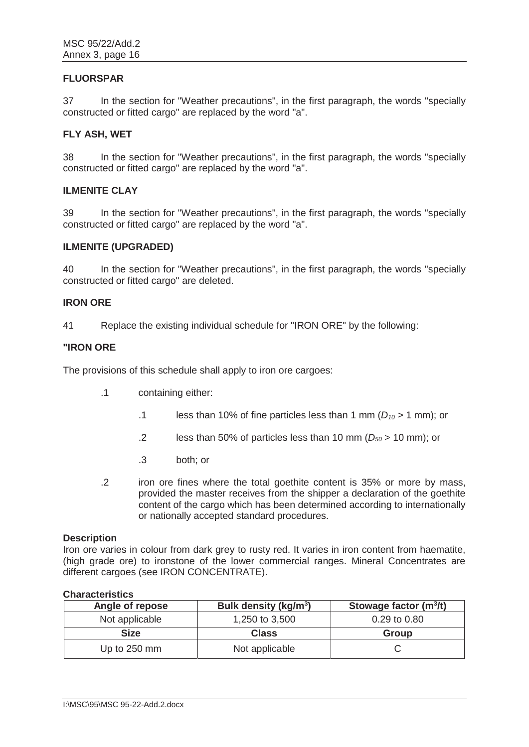## **FLUORSPAR**

37 In the section for "Weather precautions", in the first paragraph, the words "specially constructed or fitted cargo" are replaced by the word "a".

#### **FLY ASH, WET**

38 In the section for "Weather precautions", in the first paragraph, the words "specially constructed or fitted cargo" are replaced by the word "a".

## **ILMENITE CLAY**

39 In the section for "Weather precautions", in the first paragraph, the words "specially constructed or fitted cargo" are replaced by the word "a".

#### **ILMENITE (UPGRADED)**

40 In the section for "Weather precautions", in the first paragraph, the words "specially constructed or fitted cargo" are deleted.

## **IRON ORE**

41 Replace the existing individual schedule for "IRON ORE" by the following:

#### **"IRON ORE**

The provisions of this schedule shall apply to iron ore cargoes:

- .1 containing either:
	- .1 less than 10% of fine particles less than 1 mm  $(D_{10} > 1$  mm); or
	- .2 less than 50% of particles less than 10 mm (*D50* > 10 mm); or
	- .3 both; or
- .2 iron ore fines where the total goethite content is 35% or more by mass, provided the master receives from the shipper a declaration of the goethite content of the cargo which has been determined according to internationally or nationally accepted standard procedures.

#### **Description**

Iron ore varies in colour from dark grey to rusty red. It varies in iron content from haematite, (high grade ore) to ironstone of the lower commercial ranges. Mineral Concentrates are different cargoes (see IRON CONCENTRATE).

#### **Characteristics**

| Angle of repose | Bulk density (kg/m <sup>3</sup> ) | Stowage factor $(m^3/t)$ |
|-----------------|-----------------------------------|--------------------------|
| Not applicable  | 1,250 to 3,500                    | 0.29 to 0.80             |
| <b>Size</b>     | <b>Class</b>                      | Group                    |
| Up to 250 mm    | Not applicable                    |                          |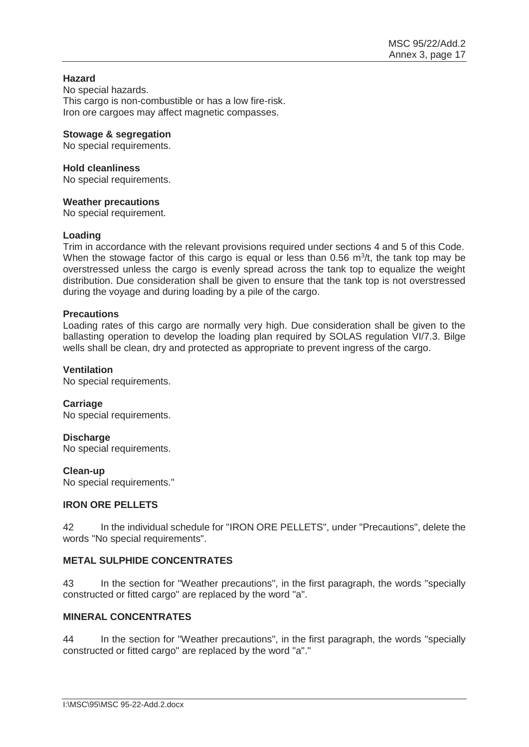## **Hazard**

No special hazards. This cargo is non-combustible or has a low fire-risk. Iron ore cargoes may affect magnetic compasses.

## **Stowage & segregation**

No special requirements.

# **Hold cleanliness**

No special requirements.

## **Weather precautions**

No special requirement.

## **Loading**

Trim in accordance with the relevant provisions required under sections 4 and 5 of this Code. When the stowage factor of this cargo is equal or less than  $0.56 \, \mathrm{m}^3$ /t, the tank top may be overstressed unless the cargo is evenly spread across the tank top to equalize the weight distribution. Due consideration shall be given to ensure that the tank top is not overstressed during the voyage and during loading by a pile of the cargo.

## **Precautions**

Loading rates of this cargo are normally very high. Due consideration shall be given to the ballasting operation to develop the loading plan required by SOLAS regulation VI/7.3. Bilge wells shall be clean, dry and protected as appropriate to prevent ingress of the cargo.

## **Ventilation**

No special requirements.

## **Carriage**

No special requirements.

## **Discharge**

No special requirements.

#### **Clean-up**

No special requirements."

## **IRON ORE PELLETS**

42 In the individual schedule for "IRON ORE PELLETS", under "Precautions", delete the words "No special requirements".

# **METAL SULPHIDE CONCENTRATES**

43 In the section for "Weather precautions", in the first paragraph, the words "specially constructed or fitted cargo" are replaced by the word "a".

## **MINERAL CONCENTRATES**

44 In the section for "Weather precautions", in the first paragraph, the words "specially constructed or fitted cargo" are replaced by the word "a"."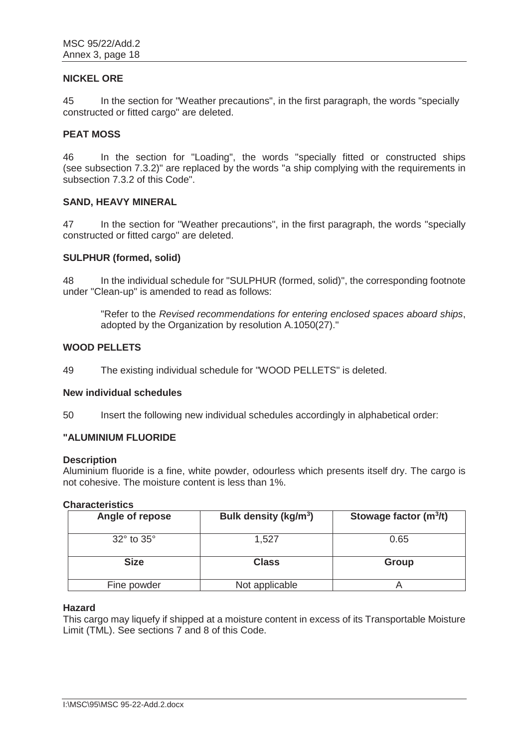#### **NICKEL ORE**

45 In the section for "Weather precautions", in the first paragraph, the words "specially constructed or fitted cargo" are deleted.

## **PEAT MOSS**

46 In the section for "Loading", the words "specially fitted or constructed ships (see subsection 7.3.2)" are replaced by the words "a ship complying with the requirements in subsection 7.3.2 of this Code".

#### **SAND, HEAVY MINERAL**

47 In the section for "Weather precautions", in the first paragraph, the words "specially constructed or fitted cargo" are deleted.

## **SULPHUR (formed, solid)**

48 In the individual schedule for "SULPHUR (formed, solid)", the corresponding footnote under "Clean-up" is amended to read as follows:

"Refer to the *Revised recommendations for entering enclosed spaces aboard ships*, adopted by the Organization by resolution A.1050(27)."

## **WOOD PELLETS**

49 The existing individual schedule for "WOOD PELLETS" is deleted.

#### **New individual schedules**

50 Insert the following new individual schedules accordingly in alphabetical order:

## **"ALUMINIUM FLUORIDE**

#### **Description**

Aluminium fluoride is a fine, white powder, odourless which presents itself dry. The cargo is not cohesive. The moisture content is less than 1%.

#### **Characteristics**

| Angle of repose | Bulk density (kg/m <sup>3</sup> ) | Stowage factor $(m^3/t)$ |
|-----------------|-----------------------------------|--------------------------|
| 32° to 35°      | 1,527                             | 0.65                     |
| <b>Size</b>     | <b>Class</b>                      | <b>Group</b>             |
| Fine powder     | Not applicable                    |                          |

#### **Hazard**

This cargo may liquefy if shipped at a moisture content in excess of its Transportable Moisture Limit (TML). See sections 7 and 8 of this Code.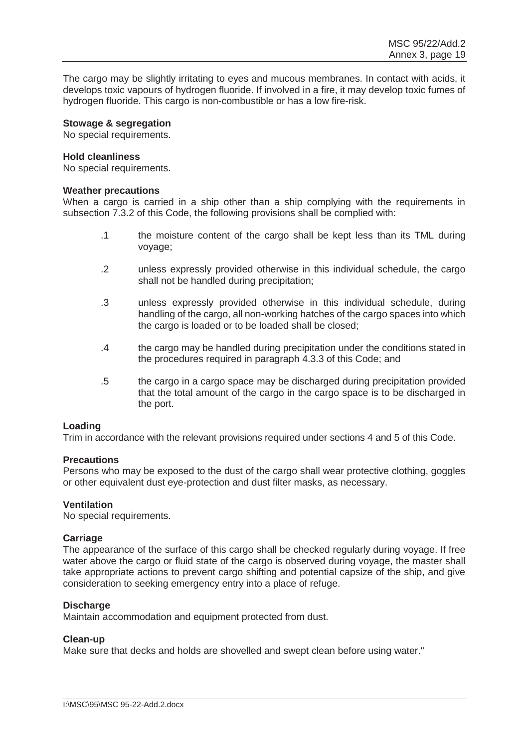The cargo may be slightly irritating to eyes and mucous membranes. In contact with acids, it develops toxic vapours of hydrogen fluoride. If involved in a fire, it may develop toxic fumes of hydrogen fluoride. This cargo is non-combustible or has a low fire-risk.

## **Stowage & segregation**

No special requirements.

#### **Hold cleanliness**

No special requirements.

#### **Weather precautions**

When a cargo is carried in a ship other than a ship complying with the requirements in subsection 7.3.2 of this Code, the following provisions shall be complied with:

- .1 the moisture content of the cargo shall be kept less than its TML during voyage;
- .2 unless expressly provided otherwise in this individual schedule, the cargo shall not be handled during precipitation;
- .3 unless expressly provided otherwise in this individual schedule, during handling of the cargo, all non-working hatches of the cargo spaces into which the cargo is loaded or to be loaded shall be closed;
- .4 the cargo may be handled during precipitation under the conditions stated in the procedures required in paragraph 4.3.3 of this Code; and
- .5 the cargo in a cargo space may be discharged during precipitation provided that the total amount of the cargo in the cargo space is to be discharged in the port.

#### **Loading**

Trim in accordance with the relevant provisions required under sections 4 and 5 of this Code.

#### **Precautions**

Persons who may be exposed to the dust of the cargo shall wear protective clothing, goggles or other equivalent dust eye-protection and dust filter masks, as necessary.

#### **Ventilation**

No special requirements.

#### **Carriage**

The appearance of the surface of this cargo shall be checked regularly during voyage. If free water above the cargo or fluid state of the cargo is observed during voyage, the master shall take appropriate actions to prevent cargo shifting and potential capsize of the ship, and give consideration to seeking emergency entry into a place of refuge.

#### **Discharge**

Maintain accommodation and equipment protected from dust.

#### **Clean-up**

Make sure that decks and holds are shovelled and swept clean before using water."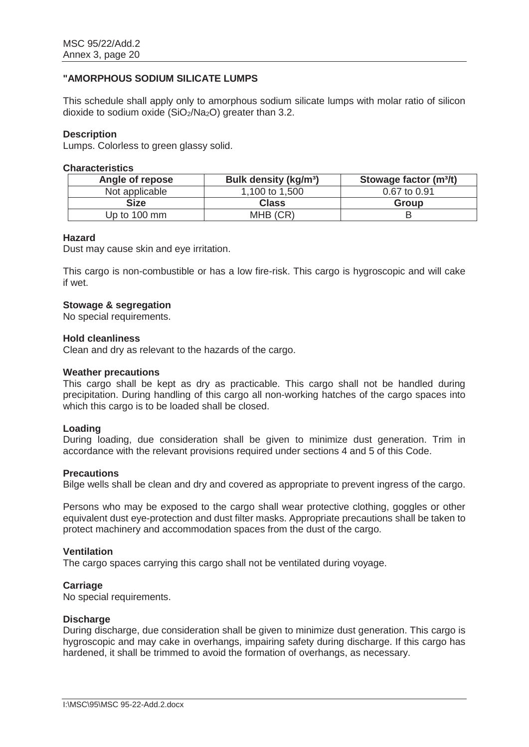# **"AMORPHOUS SODIUM SILICATE LUMPS**

This schedule shall apply only to amorphous sodium silicate lumps with molar ratio of silicon dioxide to sodium oxide  $(SiO<sub>2</sub>/Na<sub>2</sub>O)$  greater than 3.2.

#### **Description**

Lumps. Colorless to green glassy solid.

#### **Characteristics**

| Angle of repose | Bulk density (kg/m <sup>3</sup> ) | Stowage factor (m <sup>3</sup> /t) |
|-----------------|-----------------------------------|------------------------------------|
| Not applicable  | 1,100 to 1,500                    | 0.67 to 0.91                       |
| Size            | <b>Class</b>                      | Group                              |
| Up to 100 mm    | MHB (CR)                          |                                    |

#### **Hazard**

Dust may cause skin and eye irritation.

This cargo is non-combustible or has a low fire-risk. This cargo is hygroscopic and will cake if wet.

#### **Stowage & segregation**

No special requirements.

#### **Hold cleanliness**

Clean and dry as relevant to the hazards of the cargo.

#### **Weather precautions**

This cargo shall be kept as dry as practicable. This cargo shall not be handled during precipitation. During handling of this cargo all non-working hatches of the cargo spaces into which this cargo is to be loaded shall be closed.

#### **Loading**

During loading, due consideration shall be given to minimize dust generation. Trim in accordance with the relevant provisions required under sections 4 and 5 of this Code.

#### **Precautions**

Bilge wells shall be clean and dry and covered as appropriate to prevent ingress of the cargo.

Persons who may be exposed to the cargo shall wear protective clothing, goggles or other equivalent dust eye-protection and dust filter masks. Appropriate precautions shall be taken to protect machinery and accommodation spaces from the dust of the cargo.

#### **Ventilation**

The cargo spaces carrying this cargo shall not be ventilated during voyage.

#### **Carriage**

No special requirements.

#### **Discharge**

During discharge, due consideration shall be given to minimize dust generation. This cargo is hygroscopic and may cake in overhangs, impairing safety during discharge. If this cargo has hardened, it shall be trimmed to avoid the formation of overhangs, as necessary.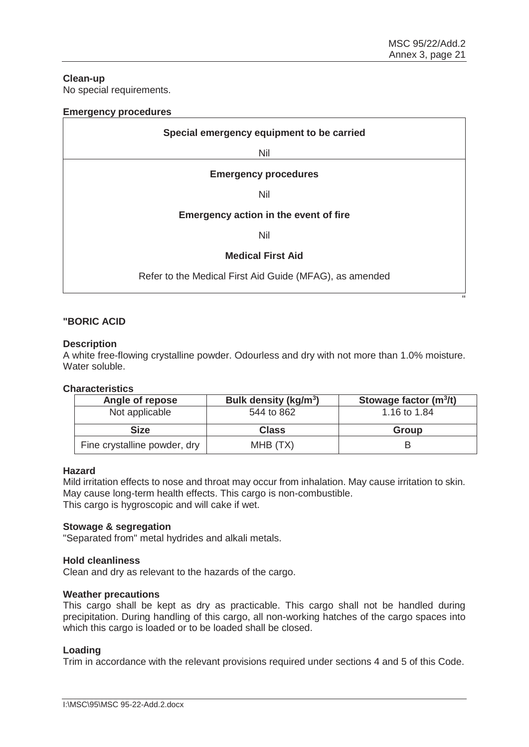"

# **Clean-up**

No special requirements.

| <b>Emergency procedures</b>                             |  |
|---------------------------------------------------------|--|
| Special emergency equipment to be carried               |  |
| Nil                                                     |  |
| <b>Emergency procedures</b>                             |  |
| <b>Nil</b>                                              |  |
| Emergency action in the event of fire                   |  |
| Nil                                                     |  |
| <b>Medical First Aid</b>                                |  |
| Refer to the Medical First Aid Guide (MFAG), as amended |  |

# **"BORIC ACID**

#### **Description**

A white free-flowing crystalline powder. Odourless and dry with not more than 1.0% moisture. Water soluble.

### **Characteristics**

| Angle of repose | Bulk density (kg/m <sup>3</sup> ) | Stowage factor $(m^3/t)$ |
|-----------------|-----------------------------------|--------------------------|
| Not applicable  | 544 to 862                        | 1.16 to 1.84             |
|                 |                                   |                          |
| Size            | <b>Class</b>                      | <b>Group</b>             |
|                 |                                   |                          |

#### **Hazard**

Mild irritation effects to nose and throat may occur from inhalation. May cause irritation to skin. May cause long-term health effects. This cargo is non-combustible. This cargo is hygroscopic and will cake if wet.

#### **Stowage & segregation**

"Separated from" metal hydrides and alkali metals.

#### **Hold cleanliness**

Clean and dry as relevant to the hazards of the cargo.

#### **Weather precautions**

This cargo shall be kept as dry as practicable. This cargo shall not be handled during precipitation. During handling of this cargo, all non-working hatches of the cargo spaces into which this cargo is loaded or to be loaded shall be closed.

#### **Loading**

Trim in accordance with the relevant provisions required under sections 4 and 5 of this Code.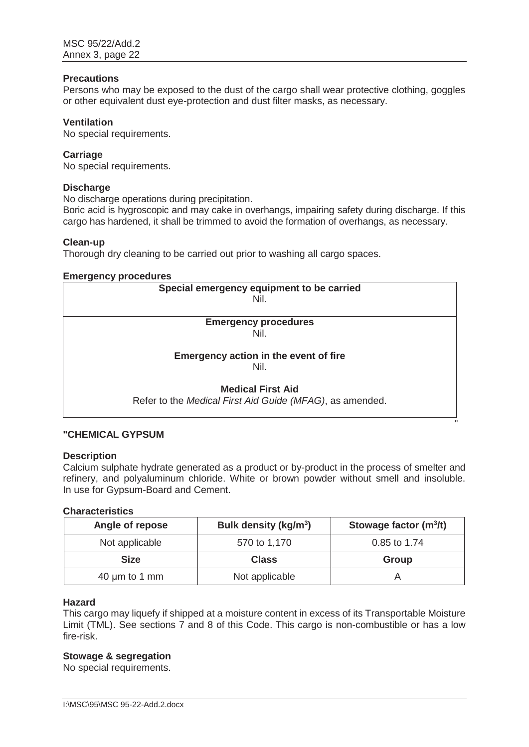## **Precautions**

Persons who may be exposed to the dust of the cargo shall wear protective clothing, goggles or other equivalent dust eye-protection and dust filter masks, as necessary.

#### **Ventilation**

No special requirements.

#### **Carriage**

No special requirements.

#### **Discharge**

No discharge operations during precipitation.

Boric acid is hygroscopic and may cake in overhangs, impairing safety during discharge. If this cargo has hardened, it shall be trimmed to avoid the formation of overhangs, as necessary.

#### **Clean-up**

Thorough dry cleaning to be carried out prior to washing all cargo spaces.

#### **Emergency procedures**

| Special emergency equipment to be carried                |
|----------------------------------------------------------|
| Nil.                                                     |
|                                                          |
| <b>Emergency procedures</b>                              |
| Nil.                                                     |
|                                                          |
| Emergency action in the event of fire                    |
| Nil.                                                     |
|                                                          |
| <b>Medical First Aid</b>                                 |
| Refer to the Medical First Aid Guide (MFAG), as amended. |
|                                                          |

## **"CHEMICAL GYPSUM**

#### **Description**

Calcium sulphate hydrate generated as a product or by-product in the process of smelter and refinery, and polyaluminum chloride. White or brown powder without smell and insoluble. In use for Gypsum-Board and Cement.

**The contract of the contract of the contract of the contract of the contract of the contract of the contract of the contract of the contract of the contract of the contract of the contract of the contract of the contract** 

## **Characteristics**

| Angle of repose    | Bulk density (kg/m <sup>3</sup> ) | Stowage factor $(m^3/t)$ |
|--------------------|-----------------------------------|--------------------------|
| Not applicable     | 570 to 1,170                      | 0.85 to 1.74             |
| <b>Size</b>        | <b>Class</b>                      | Group                    |
| 40 $\mu$ m to 1 mm | Not applicable                    |                          |

## **Hazard**

This cargo may liquefy if shipped at a moisture content in excess of its Transportable Moisture Limit (TML). See sections 7 and 8 of this Code. This cargo is non-combustible or has a low fire-risk.

#### **Stowage & segregation**

No special requirements.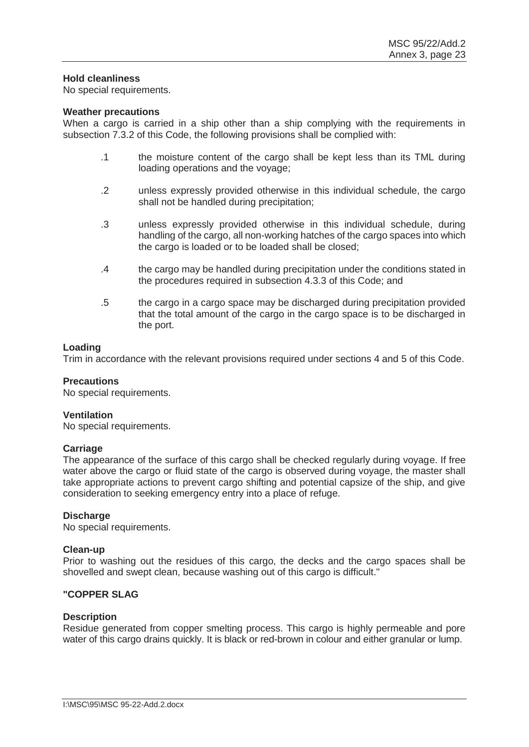#### **Hold cleanliness**

No special requirements.

#### **Weather precautions**

When a cargo is carried in a ship other than a ship complying with the requirements in subsection 7.3.2 of this Code, the following provisions shall be complied with:

- .1 the moisture content of the cargo shall be kept less than its TML during loading operations and the voyage;
- .2 unless expressly provided otherwise in this individual schedule, the cargo shall not be handled during precipitation;
- .3 unless expressly provided otherwise in this individual schedule, during handling of the cargo, all non-working hatches of the cargo spaces into which the cargo is loaded or to be loaded shall be closed;
- .4 the cargo may be handled during precipitation under the conditions stated in the procedures required in subsection 4.3.3 of this Code; and
- .5 the cargo in a cargo space may be discharged during precipitation provided that the total amount of the cargo in the cargo space is to be discharged in the port.

#### **Loading**

Trim in accordance with the relevant provisions required under sections 4 and 5 of this Code.

#### **Precautions**

No special requirements.

#### **Ventilation**

No special requirements.

#### **Carriage**

The appearance of the surface of this cargo shall be checked regularly during voyage. If free water above the cargo or fluid state of the cargo is observed during voyage, the master shall take appropriate actions to prevent cargo shifting and potential capsize of the ship, and give consideration to seeking emergency entry into a place of refuge.

#### **Discharge**

No special requirements.

#### **Clean-up**

Prior to washing out the residues of this cargo, the decks and the cargo spaces shall be shovelled and swept clean, because washing out of this cargo is difficult."

#### **"COPPER SLAG**

#### **Description**

Residue generated from copper smelting process. This cargo is highly permeable and pore water of this cargo drains quickly. It is black or red-brown in colour and either granular or lump.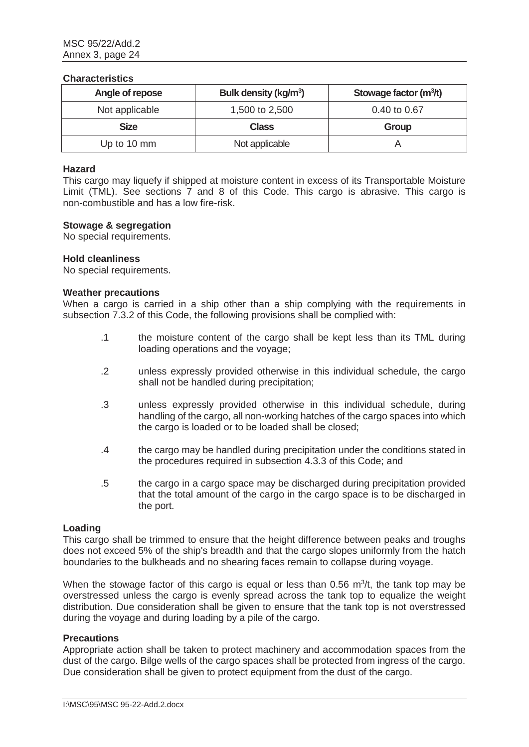#### **Characteristics**

| Angle of repose | Bulk density (kg/m <sup>3</sup> ) | Stowage factor (m <sup>3</sup> /t) |
|-----------------|-----------------------------------|------------------------------------|
| Not applicable  | 1,500 to 2,500                    | 0.40 to 0.67                       |
| <b>Size</b>     | <b>Class</b>                      | Group                              |
| Up to 10 mm     | Not applicable                    |                                    |

## **Hazard**

This cargo may liquefy if shipped at moisture content in excess of its Transportable Moisture Limit (TML). See sections 7 and 8 of this Code. This cargo is abrasive. This cargo is non-combustible and has a low fire-risk.

#### **Stowage & segregation**

No special requirements.

#### **Hold cleanliness**

No special requirements.

#### **Weather precautions**

When a cargo is carried in a ship other than a ship complying with the requirements in subsection 7.3.2 of this Code, the following provisions shall be complied with:

- .1 the moisture content of the cargo shall be kept less than its TML during loading operations and the voyage;
- .2 unless expressly provided otherwise in this individual schedule, the cargo shall not be handled during precipitation;
- .3 unless expressly provided otherwise in this individual schedule, during handling of the cargo, all non-working hatches of the cargo spaces into which the cargo is loaded or to be loaded shall be closed;
- .4 the cargo may be handled during precipitation under the conditions stated in the procedures required in subsection 4.3.3 of this Code; and
- .5 the cargo in a cargo space may be discharged during precipitation provided that the total amount of the cargo in the cargo space is to be discharged in the port.

#### **Loading**

This cargo shall be trimmed to ensure that the height difference between peaks and troughs does not exceed 5% of the ship's breadth and that the cargo slopes uniformly from the hatch boundaries to the bulkheads and no shearing faces remain to collapse during voyage.

When the stowage factor of this cargo is equal or less than  $0.56 \, \text{m}^3/\text{t}$ , the tank top may be overstressed unless the cargo is evenly spread across the tank top to equalize the weight distribution. Due consideration shall be given to ensure that the tank top is not overstressed during the voyage and during loading by a pile of the cargo.

#### **Precautions**

Appropriate action shall be taken to protect machinery and accommodation spaces from the dust of the cargo. Bilge wells of the cargo spaces shall be protected from ingress of the cargo. Due consideration shall be given to protect equipment from the dust of the cargo.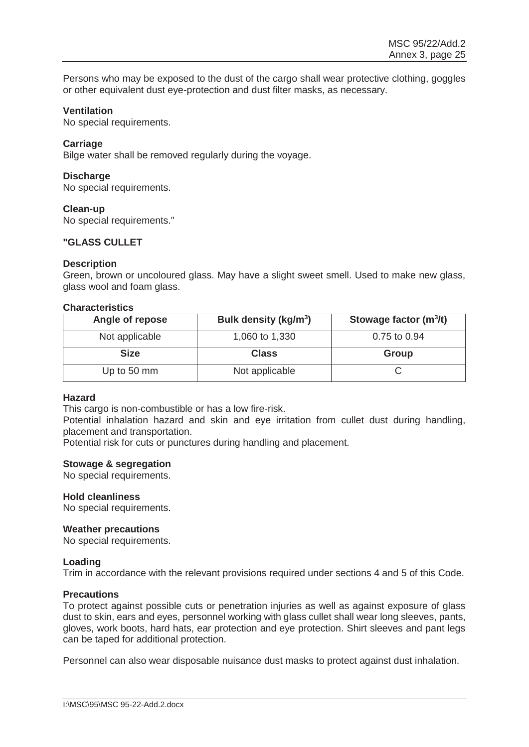Persons who may be exposed to the dust of the cargo shall wear protective clothing, goggles or other equivalent dust eye-protection and dust filter masks, as necessary.

#### **Ventilation**

No special requirements.

## **Carriage**

Bilge water shall be removed regularly during the voyage.

## **Discharge**

No special requirements.

## **Clean-up**

No special requirements."

## **"GLASS CULLET**

## **Description**

Green, brown or uncoloured glass. May have a slight sweet smell. Used to make new glass, glass wool and foam glass.

## **Characteristics**

| Angle of repose | Bulk density (kg/m <sup>3</sup> ) | Stowage factor $(m^3/t)$ |
|-----------------|-----------------------------------|--------------------------|
| Not applicable  | 1,060 to 1,330                    | 0.75 to 0.94             |
| <b>Size</b>     | <b>Class</b>                      | Group                    |
| Up to 50 mm     | Not applicable                    |                          |

#### **Hazard**

This cargo is non-combustible or has a low fire-risk.

Potential inhalation hazard and skin and eye irritation from cullet dust during handling, placement and transportation.

Potential risk for cuts or punctures during handling and placement.

## **Stowage & segregation**

No special requirements.

#### **Hold cleanliness**

No special requirements.

#### **Weather precautions**

No special requirements.

#### **Loading**

Trim in accordance with the relevant provisions required under sections 4 and 5 of this Code.

#### **Precautions**

To protect against possible cuts or penetration injuries as well as against exposure of glass dust to skin, ears and eyes, personnel working with glass cullet shall wear long sleeves, pants, gloves, work boots, hard hats, ear protection and eye protection. Shirt sleeves and pant legs can be taped for additional protection.

Personnel can also wear disposable nuisance dust masks to protect against dust inhalation.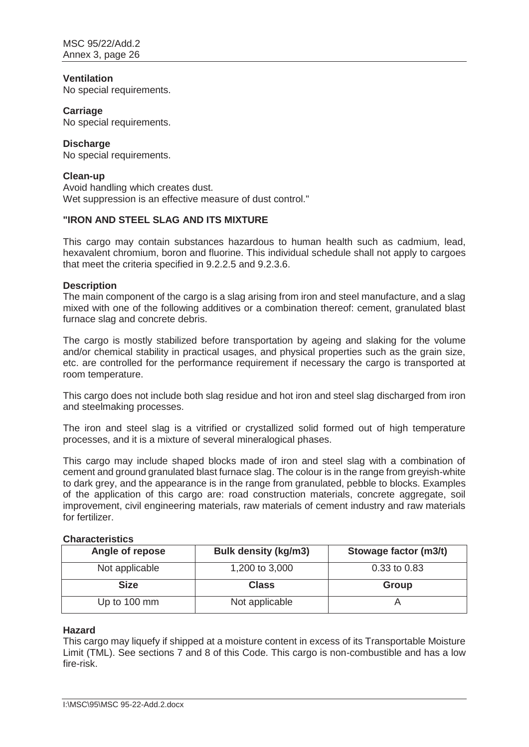## **Ventilation**

No special requirements.

#### **Carriage**

No special requirements.

## **Discharge**

No special requirements.

## **Clean-up**

Avoid handling which creates dust. Wet suppression is an effective measure of dust control."

## **"IRON AND STEEL SLAG AND ITS MIXTURE**

This cargo may contain substances hazardous to human health such as cadmium, lead, hexavalent chromium, boron and fluorine. This individual schedule shall not apply to cargoes that meet the criteria specified in 9.2.2.5 and 9.2.3.6.

## **Description**

The main component of the cargo is a slag arising from iron and steel manufacture, and a slag mixed with one of the following additives or a combination thereof: cement, granulated blast furnace slag and concrete debris.

The cargo is mostly stabilized before transportation by ageing and slaking for the volume and/or chemical stability in practical usages, and physical properties such as the grain size, etc. are controlled for the performance requirement if necessary the cargo is transported at room temperature.

This cargo does not include both slag residue and hot iron and steel slag discharged from iron and steelmaking processes.

The iron and steel slag is a vitrified or crystallized solid formed out of high temperature processes, and it is a mixture of several mineralogical phases.

This cargo may include shaped blocks made of iron and steel slag with a combination of cement and ground granulated blast furnace slag. The colour is in the range from greyish-white to dark grey, and the appearance is in the range from granulated, pebble to blocks. Examples of the application of this cargo are: road construction materials, concrete aggregate, soil improvement, civil engineering materials, raw materials of cement industry and raw materials for fertilizer.

## **Characteristics**

| Angle of repose | <b>Bulk density (kg/m3)</b> | Stowage factor (m3/t) |
|-----------------|-----------------------------|-----------------------|
| Not applicable  | 1,200 to 3,000              | 0.33 to 0.83          |
| <b>Size</b>     | Class                       | Group                 |
| Up to 100 mm    | Not applicable              |                       |

#### **Hazard**

This cargo may liquefy if shipped at a moisture content in excess of its Transportable Moisture Limit (TML). See sections 7 and 8 of this Code. This cargo is non-combustible and has a low fire-risk.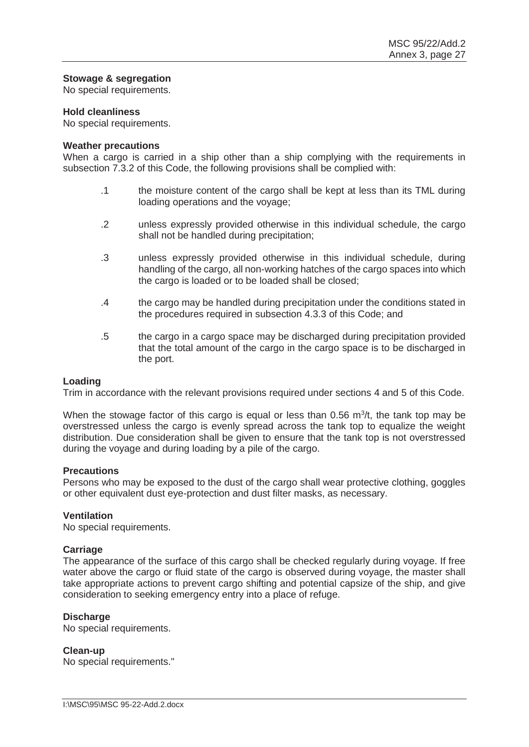## **Stowage & segregation**

No special requirements.

#### **Hold cleanliness**

No special requirements.

#### **Weather precautions**

When a cargo is carried in a ship other than a ship complying with the requirements in subsection 7.3.2 of this Code, the following provisions shall be complied with:

- .1 the moisture content of the cargo shall be kept at less than its TML during loading operations and the voyage;
- .2 unless expressly provided otherwise in this individual schedule, the cargo shall not be handled during precipitation;
- .3 unless expressly provided otherwise in this individual schedule, during handling of the cargo, all non-working hatches of the cargo spaces into which the cargo is loaded or to be loaded shall be closed;
- .4 the cargo may be handled during precipitation under the conditions stated in the procedures required in subsection 4.3.3 of this Code; and
- .5 the cargo in a cargo space may be discharged during precipitation provided that the total amount of the cargo in the cargo space is to be discharged in the port.

#### **Loading**

Trim in accordance with the relevant provisions required under sections 4 and 5 of this Code.

When the stowage factor of this cargo is equal or less than  $0.56 \, \mathrm{m}^3$ /t, the tank top may be overstressed unless the cargo is evenly spread across the tank top to equalize the weight distribution. Due consideration shall be given to ensure that the tank top is not overstressed during the voyage and during loading by a pile of the cargo.

#### **Precautions**

Persons who may be exposed to the dust of the cargo shall wear protective clothing, goggles or other equivalent dust eye-protection and dust filter masks, as necessary.

#### **Ventilation**

No special requirements.

#### **Carriage**

The appearance of the surface of this cargo shall be checked regularly during voyage. If free water above the cargo or fluid state of the cargo is observed during voyage, the master shall take appropriate actions to prevent cargo shifting and potential capsize of the ship, and give consideration to seeking emergency entry into a place of refuge.

#### **Discharge**

No special requirements.

#### **Clean-up**

No special requirements."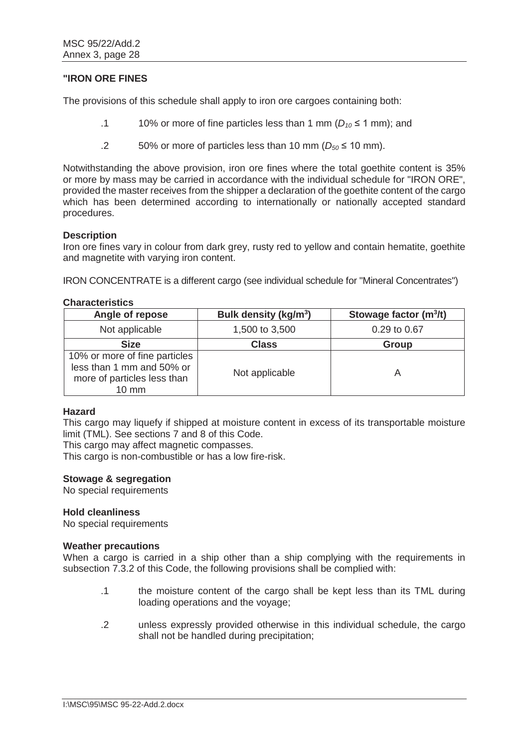## **"IRON ORE FINES**

The provisions of this schedule shall apply to iron ore cargoes containing both:

- .1 10% or more of fine particles less than 1 mm ( $D_{10} \le 1$  mm); and
- $.2$  50% or more of particles less than 10 mm ( $D_{50} \le 10$  mm).

Notwithstanding the above provision, iron ore fines where the total goethite content is 35% or more by mass may be carried in accordance with the individual schedule for "IRON ORE", provided the master receives from the shipper a declaration of the goethite content of the cargo which has been determined according to internationally or nationally accepted standard procedures.

#### **Description**

Iron ore fines vary in colour from dark grey, rusty red to yellow and contain hematite, goethite and magnetite with varying iron content.

IRON CONCENTRATE is a different cargo (see individual schedule for "Mineral Concentrates")

#### **Characteristics**

| Angle of repose                                                                                              | Bulk density (kg/m <sup>3</sup> ) | Stowage factor $(m^3/t)$ |
|--------------------------------------------------------------------------------------------------------------|-----------------------------------|--------------------------|
| Not applicable                                                                                               | 1,500 to 3,500                    | 0.29 to 0.67             |
| <b>Size</b>                                                                                                  | <b>Class</b>                      | Group                    |
| 10% or more of fine particles<br>less than 1 mm and 50% or<br>more of particles less than<br>$10 \text{ mm}$ | Not applicable                    | А                        |

#### **Hazard**

This cargo may liquefy if shipped at moisture content in excess of its transportable moisture limit (TML). See sections 7 and 8 of this Code.

This cargo may affect magnetic compasses.

This cargo is non-combustible or has a low fire-risk.

#### **Stowage & segregation**

No special requirements

#### **Hold cleanliness**

No special requirements

#### **Weather precautions**

When a cargo is carried in a ship other than a ship complying with the requirements in subsection 7.3.2 of this Code, the following provisions shall be complied with:

- .1 the moisture content of the cargo shall be kept less than its TML during loading operations and the voyage;
- .2 unless expressly provided otherwise in this individual schedule, the cargo shall not be handled during precipitation;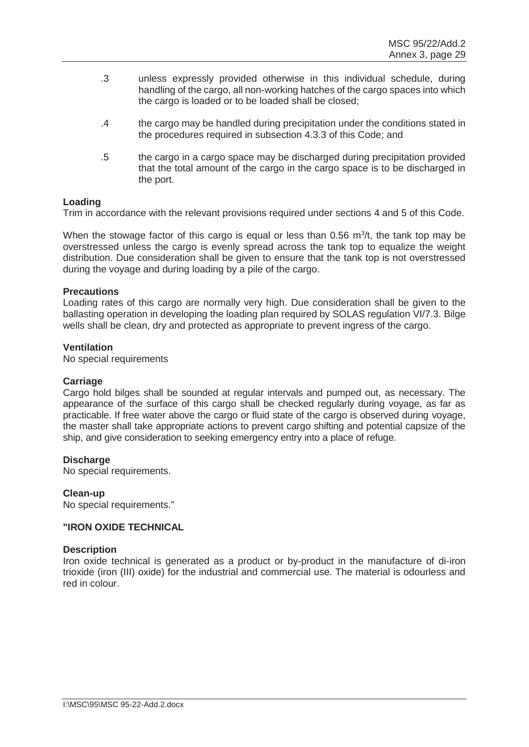- .3 unless expressly provided otherwise in this individual schedule, during handling of the cargo, all non-working hatches of the cargo spaces into which the cargo is loaded or to be loaded shall be closed;
- .4 the cargo may be handled during precipitation under the conditions stated in the procedures required in subsection 4.3.3 of this Code; and
- .5 the cargo in a cargo space may be discharged during precipitation provided that the total amount of the cargo in the cargo space is to be discharged in the port.

## **Loading**

Trim in accordance with the relevant provisions required under sections 4 and 5 of this Code.

When the stowage factor of this cargo is equal or less than  $0.56 \, \text{m}^3/\text{t}$ , the tank top may be overstressed unless the cargo is evenly spread across the tank top to equalize the weight distribution. Due consideration shall be given to ensure that the tank top is not overstressed during the voyage and during loading by a pile of the cargo.

## **Precautions**

Loading rates of this cargo are normally very high. Due consideration shall be given to the ballasting operation in developing the loading plan required by SOLAS regulation VI/7.3. Bilge wells shall be clean, dry and protected as appropriate to prevent ingress of the cargo.

## **Ventilation**

No special requirements

#### **Carriage**

Cargo hold bilges shall be sounded at regular intervals and pumped out, as necessary. The appearance of the surface of this cargo shall be checked regularly during voyage, as far as practicable. If free water above the cargo or fluid state of the cargo is observed during voyage, the master shall take appropriate actions to prevent cargo shifting and potential capsize of the ship, and give consideration to seeking emergency entry into a place of refuge.

#### **Discharge**

No special requirements.

#### **Clean-up**

No special requirements."

#### **"IRON OXIDE TECHNICAL**

#### **Description**

Iron oxide technical is generated as a product or by-product in the manufacture of di-iron trioxide (iron (III) oxide) for the industrial and commercial use. The material is odourless and red in colour.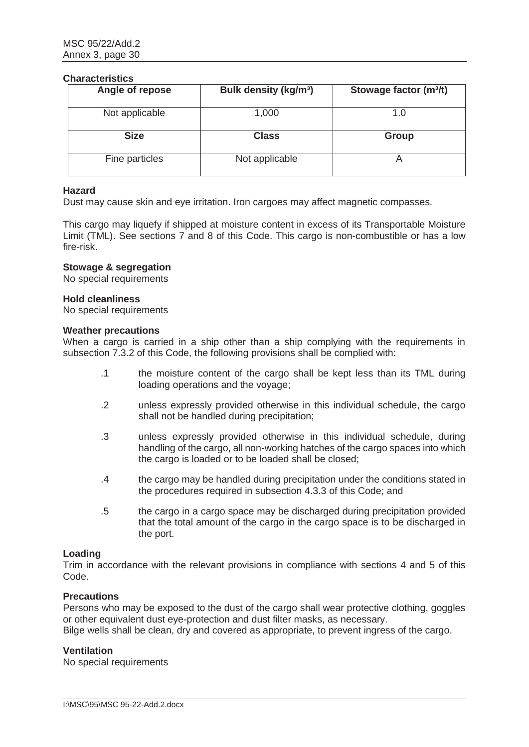#### **Characteristics**

| Angle of repose | <b>Bulk density (kg/m<sup>3</sup>)</b> | Stowage factor (m <sup>3</sup> /t) |
|-----------------|----------------------------------------|------------------------------------|
| Not applicable  | 1,000                                  | 1.0                                |
| <b>Size</b>     | <b>Class</b>                           | <b>Group</b>                       |
| Fine particles  | Not applicable                         |                                    |

#### **Hazard**

Dust may cause skin and eye irritation. Iron cargoes may affect magnetic compasses.

This cargo may liquefy if shipped at moisture content in excess of its Transportable Moisture Limit (TML). See sections 7 and 8 of this Code. This cargo is non-combustible or has a low fire-risk.

## **Stowage & segregation**

No special requirements

#### **Hold cleanliness**

No special requirements

#### **Weather precautions**

When a cargo is carried in a ship other than a ship complying with the requirements in subsection 7.3.2 of this Code, the following provisions shall be complied with:

- .1 the moisture content of the cargo shall be kept less than its TML during loading operations and the voyage;
- .2 unless expressly provided otherwise in this individual schedule, the cargo shall not be handled during precipitation;
- .3 unless expressly provided otherwise in this individual schedule, during handling of the cargo, all non-working hatches of the cargo spaces into which the cargo is loaded or to be loaded shall be closed;
- .4 the cargo may be handled during precipitation under the conditions stated in the procedures required in subsection 4.3.3 of this Code; and
- .5 the cargo in a cargo space may be discharged during precipitation provided that the total amount of the cargo in the cargo space is to be discharged in the port.

#### **Loading**

Trim in accordance with the relevant provisions in compliance with sections 4 and 5 of this Code.

## **Precautions**

Persons who may be exposed to the dust of the cargo shall wear protective clothing, goggles or other equivalent dust eye-protection and dust filter masks, as necessary.

Bilge wells shall be clean, dry and covered as appropriate, to prevent ingress of the cargo.

#### **Ventilation**

No special requirements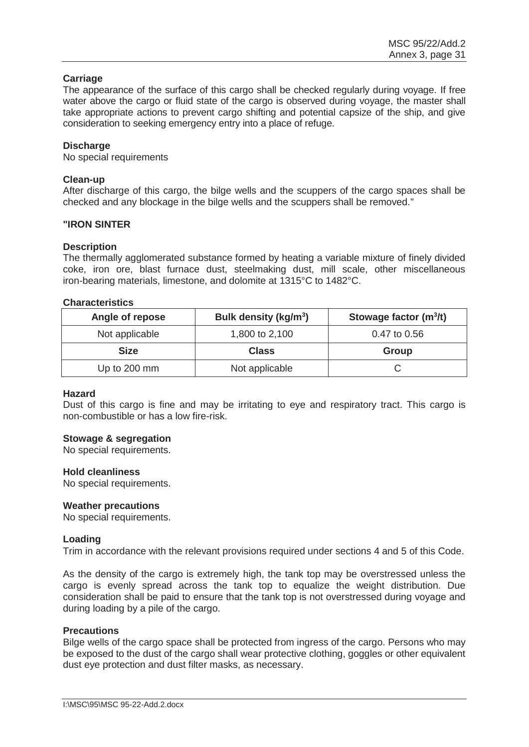## **Carriage**

The appearance of the surface of this cargo shall be checked regularly during voyage. If free water above the cargo or fluid state of the cargo is observed during voyage, the master shall take appropriate actions to prevent cargo shifting and potential capsize of the ship, and give consideration to seeking emergency entry into a place of refuge.

## **Discharge**

No special requirements

## **Clean-up**

After discharge of this cargo, the bilge wells and the scuppers of the cargo spaces shall be checked and any blockage in the bilge wells and the scuppers shall be removed."

#### **"IRON SINTER**

#### **Description**

The thermally agglomerated substance formed by heating a variable mixture of finely divided coke, iron ore, blast furnace dust, steelmaking dust, mill scale, other miscellaneous iron-bearing materials, limestone, and dolomite at 1315°C to 1482°C.

## **Characteristics**

| Angle of repose | Bulk density (kg/m <sup>3</sup> ) | Stowage factor $(m^3/t)$ |
|-----------------|-----------------------------------|--------------------------|
| Not applicable  | 1,800 to 2,100                    | 0.47 to 0.56             |
| <b>Size</b>     | <b>Class</b>                      | Group                    |
| Up to 200 mm    | Not applicable                    |                          |

#### **Hazard**

Dust of this cargo is fine and may be irritating to eye and respiratory tract. This cargo is non-combustible or has a low fire-risk.

#### **Stowage & segregation**

No special requirements.

#### **Hold cleanliness**

No special requirements.

#### **Weather precautions**

No special requirements.

#### **Loading**

Trim in accordance with the relevant provisions required under sections 4 and 5 of this Code.

As the density of the cargo is extremely high, the tank top may be overstressed unless the cargo is evenly spread across the tank top to equalize the weight distribution. Due consideration shall be paid to ensure that the tank top is not overstressed during voyage and during loading by a pile of the cargo.

#### **Precautions**

Bilge wells of the cargo space shall be protected from ingress of the cargo. Persons who may be exposed to the dust of the cargo shall wear protective clothing, goggles or other equivalent dust eye protection and dust filter masks, as necessary.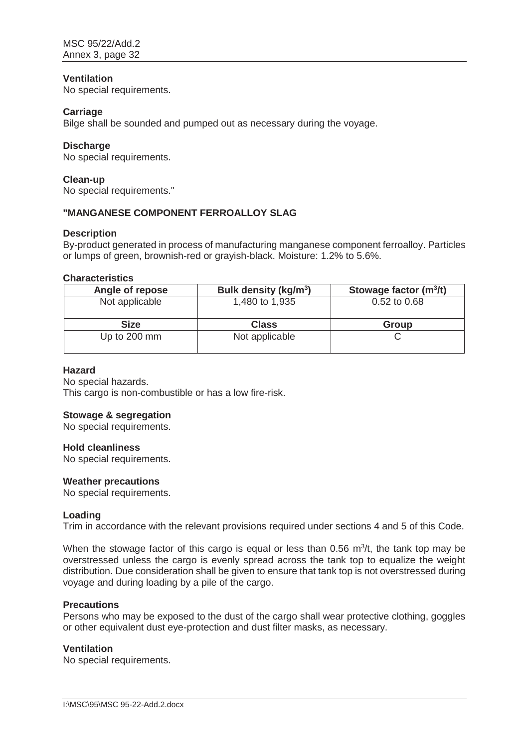## **Ventilation**

No special requirements.

## **Carriage**

Bilge shall be sounded and pumped out as necessary during the voyage.

## **Discharge**

No special requirements.

## **Clean-up**

No special requirements."

## **"MANGANESE COMPONENT FERROALLOY SLAG**

#### **Description**

By-product generated in process of manufacturing manganese component ferroalloy. Particles or lumps of green, brownish-red or grayish-black. Moisture: 1.2% to 5.6%.

## **Characteristics**

| Angle of repose | Bulk density (kg/m <sup>3</sup> ) | Stowage factor $(m^3/t)$ |
|-----------------|-----------------------------------|--------------------------|
| Not applicable  | 1,480 to 1,935                    | 0.52 to 0.68             |
| <b>Size</b>     | <b>Class</b>                      | <b>Group</b>             |
|                 |                                   |                          |

#### **Hazard**

No special hazards. This cargo is non-combustible or has a low fire-risk.

#### **Stowage & segregation**

No special requirements.

#### **Hold cleanliness**

No special requirements.

#### **Weather precautions**

No special requirements.

#### **Loading**

Trim in accordance with the relevant provisions required under sections 4 and 5 of this Code.

When the stowage factor of this cargo is equal or less than  $0.56 \, \text{m}^3/\text{t}$ , the tank top may be overstressed unless the cargo is evenly spread across the tank top to equalize the weight distribution. Due consideration shall be given to ensure that tank top is not overstressed during voyage and during loading by a pile of the cargo.

#### **Precautions**

Persons who may be exposed to the dust of the cargo shall wear protective clothing, goggles or other equivalent dust eye-protection and dust filter masks, as necessary.

#### **Ventilation**

No special requirements.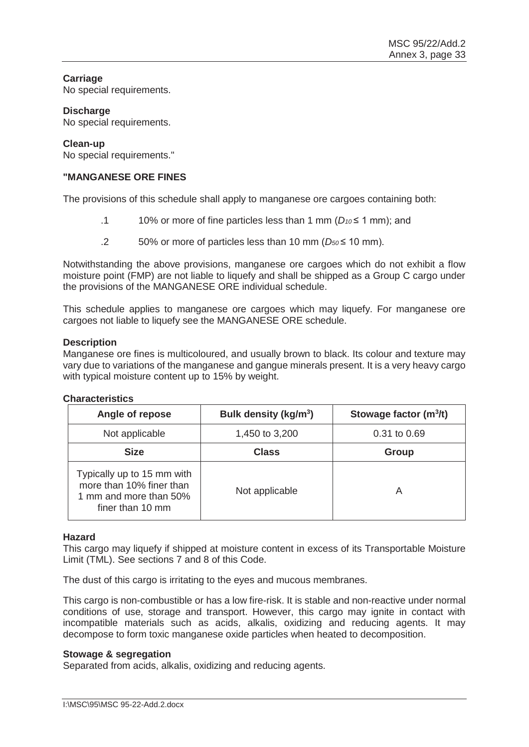## **Carriage**

No special requirements.

## **Discharge**

No special requirements.

## **Clean-up**

No special requirements."

## **"MANGANESE ORE FINES**

The provisions of this schedule shall apply to manganese ore cargoes containing both:

- .1 10% or more of fine particles less than 1 mm (*D10* ≤ 1 mm); and
- .2 50% or more of particles less than 10 mm (*D50* ≤ 10 mm).

Notwithstanding the above provisions, manganese ore cargoes which do not exhibit a flow moisture point (FMP) are not liable to liquefy and shall be shipped as a Group C cargo under the provisions of the MANGANESE ORE individual schedule.

This schedule applies to manganese ore cargoes which may liquefy. For manganese ore cargoes not liable to liquefy see the MANGANESE ORE schedule.

## **Description**

Manganese ore fines is multicoloured, and usually brown to black. Its colour and texture may vary due to variations of the manganese and gangue minerals present. It is a very heavy cargo with typical moisture content up to 15% by weight.

## **Characteristics**

| Angle of repose                                                                                      | Bulk density (kg/m <sup>3</sup> ) | Stowage factor $(m^3/t)$ |
|------------------------------------------------------------------------------------------------------|-----------------------------------|--------------------------|
| Not applicable                                                                                       | 1,450 to 3,200                    | 0.31 to 0.69             |
| <b>Size</b>                                                                                          | <b>Class</b>                      | Group                    |
| Typically up to 15 mm with<br>more than 10% finer than<br>1 mm and more than 50%<br>finer than 10 mm | Not applicable                    | A                        |

#### **Hazard**

This cargo may liquefy if shipped at moisture content in excess of its Transportable Moisture Limit (TML). See sections 7 and 8 of this Code.

The dust of this cargo is irritating to the eyes and mucous membranes.

This cargo is non-combustible or has a low fire-risk. It is stable and non-reactive under normal conditions of use, storage and transport. However, this cargo may ignite in contact with incompatible materials such as acids, alkalis, oxidizing and reducing agents. It may decompose to form toxic manganese oxide particles when heated to decomposition.

#### **Stowage & segregation**

Separated from acids, alkalis, oxidizing and reducing agents.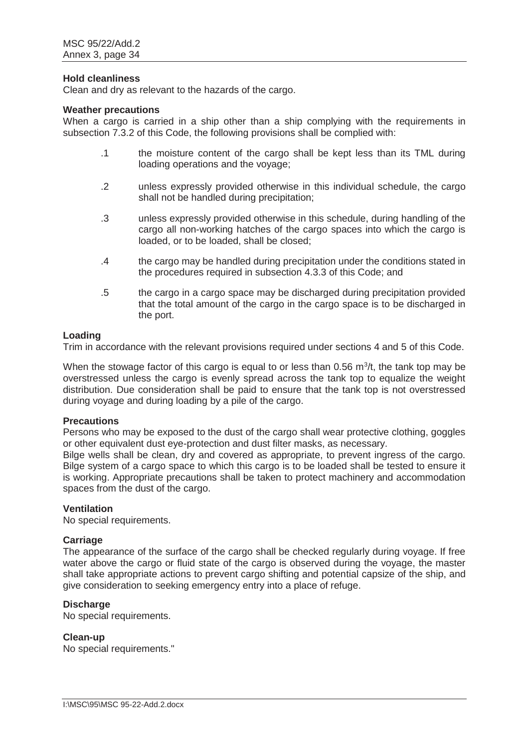#### **Hold cleanliness**

Clean and dry as relevant to the hazards of the cargo.

#### **Weather precautions**

When a cargo is carried in a ship other than a ship complying with the requirements in subsection 7.3.2 of this Code, the following provisions shall be complied with:

- .1 the moisture content of the cargo shall be kept less than its TML during loading operations and the voyage;
- .2 unless expressly provided otherwise in this individual schedule, the cargo shall not be handled during precipitation;
- .3 unless expressly provided otherwise in this schedule, during handling of the cargo all non-working hatches of the cargo spaces into which the cargo is loaded, or to be loaded, shall be closed;
- .4 the cargo may be handled during precipitation under the conditions stated in the procedures required in subsection 4.3.3 of this Code; and
- .5 the cargo in a cargo space may be discharged during precipitation provided that the total amount of the cargo in the cargo space is to be discharged in the port.

#### **Loading**

Trim in accordance with the relevant provisions required under sections 4 and 5 of this Code.

When the stowage factor of this cargo is equal to or less than 0.56  $m^3/t$ , the tank top may be overstressed unless the cargo is evenly spread across the tank top to equalize the weight distribution. Due consideration shall be paid to ensure that the tank top is not overstressed during voyage and during loading by a pile of the cargo.

#### **Precautions**

Persons who may be exposed to the dust of the cargo shall wear protective clothing, goggles or other equivalent dust eye-protection and dust filter masks, as necessary.

Bilge wells shall be clean, dry and covered as appropriate, to prevent ingress of the cargo. Bilge system of a cargo space to which this cargo is to be loaded shall be tested to ensure it is working. Appropriate precautions shall be taken to protect machinery and accommodation spaces from the dust of the cargo.

## **Ventilation**

No special requirements.

#### **Carriage**

The appearance of the surface of the cargo shall be checked regularly during voyage. If free water above the cargo or fluid state of the cargo is observed during the voyage, the master shall take appropriate actions to prevent cargo shifting and potential capsize of the ship, and give consideration to seeking emergency entry into a place of refuge.

#### **Discharge**

No special requirements.

#### **Clean-up**

No special requirements."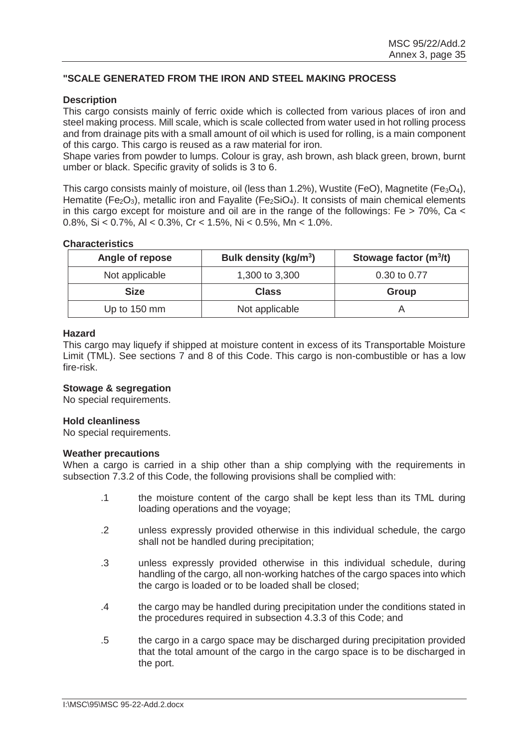## **"SCALE GENERATED FROM THE IRON AND STEEL MAKING PROCESS**

## **Description**

This cargo consists mainly of ferric oxide which is collected from various places of iron and steel making process. Mill scale, which is scale collected from water used in hot rolling process and from drainage pits with a small amount of oil which is used for rolling, is a main component of this cargo. This cargo is reused as a raw material for iron.

Shape varies from powder to lumps. Colour is gray, ash brown, ash black green, brown, burnt umber or black. Specific gravity of solids is 3 to 6.

This cargo consists mainly of moisture, oil (less than 1.2%), Wustite (FeO), Magnetite (Fe $_3$ O<sub>4</sub>), Hematite (Fe<sub>2</sub>O<sub>3</sub>), metallic iron and Fayalite (Fe<sub>2</sub>SiO<sub>4</sub>). It consists of main chemical elements in this cargo except for moisture and oil are in the range of the followings: Fe  $>$  70%, Ca  $<$ 0.8%, Si < 0.7%, Al < 0.3%, Cr < 1.5%, Ni < 0.5%, Mn < 1.0%.

## **Characteristics**

| Angle of repose | Bulk density (kg/m <sup>3</sup> ) | Stowage factor $(m^3/t)$ |
|-----------------|-----------------------------------|--------------------------|
| Not applicable  | 1,300 to 3,300                    | 0.30 to 0.77             |
| <b>Size</b>     | <b>Class</b>                      | Group                    |
| Up to 150 mm    | Not applicable                    |                          |

## **Hazard**

This cargo may liquefy if shipped at moisture content in excess of its Transportable Moisture Limit (TML). See sections 7 and 8 of this Code. This cargo is non-combustible or has a low fire-risk.

## **Stowage & segregation**

No special requirements.

#### **Hold cleanliness**

No special requirements.

#### **Weather precautions**

When a cargo is carried in a ship other than a ship complying with the requirements in subsection 7.3.2 of this Code, the following provisions shall be complied with:

- .1 the moisture content of the cargo shall be kept less than its TML during loading operations and the voyage;
- .2 unless expressly provided otherwise in this individual schedule, the cargo shall not be handled during precipitation;
- .3 unless expressly provided otherwise in this individual schedule, during handling of the cargo, all non-working hatches of the cargo spaces into which the cargo is loaded or to be loaded shall be closed;
- .4 the cargo may be handled during precipitation under the conditions stated in the procedures required in subsection 4.3.3 of this Code; and
- .5 the cargo in a cargo space may be discharged during precipitation provided that the total amount of the cargo in the cargo space is to be discharged in the port.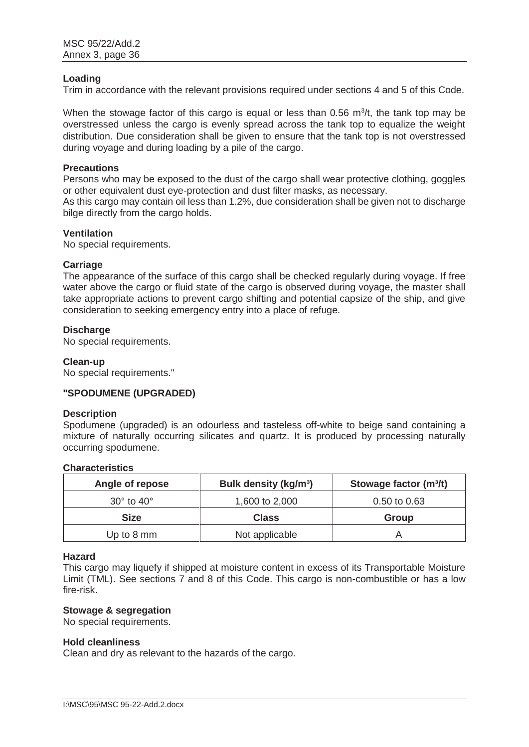#### **Loading**

Trim in accordance with the relevant provisions required under sections 4 and 5 of this Code.

When the stowage factor of this cargo is equal or less than  $0.56 \, \mathrm{m}^3$ /t, the tank top may be overstressed unless the cargo is evenly spread across the tank top to equalize the weight distribution. Due consideration shall be given to ensure that the tank top is not overstressed during voyage and during loading by a pile of the cargo.

#### **Precautions**

Persons who may be exposed to the dust of the cargo shall wear protective clothing, goggles or other equivalent dust eye-protection and dust filter masks, as necessary. As this cargo may contain oil less than 1.2%, due consideration shall be given not to discharge

bilge directly from the cargo holds.

## **Ventilation**

No special requirements.

#### **Carriage**

The appearance of the surface of this cargo shall be checked regularly during voyage. If free water above the cargo or fluid state of the cargo is observed during voyage, the master shall take appropriate actions to prevent cargo shifting and potential capsize of the ship, and give consideration to seeking emergency entry into a place of refuge.

#### **Discharge**

No special requirements.

#### **Clean-up**

No special requirements."

#### **"SPODUMENE (UPGRADED)**

#### **Description**

Spodumene (upgraded) is an odourless and tasteless off-white to beige sand containing a mixture of naturally occurring silicates and quartz. It is produced by processing naturally occurring spodumene.

#### **Characteristics**

| Angle of repose              | Bulk density (kg/m <sup>3</sup> ) | Stowage factor (m <sup>3</sup> /t) |
|------------------------------|-----------------------------------|------------------------------------|
| $30^{\circ}$ to $40^{\circ}$ | 1,600 to 2,000                    | $0.50$ to $0.63$                   |
| <b>Size</b>                  | <b>Class</b>                      | Group                              |
| Up to 8 mm                   | Not applicable                    |                                    |

#### **Hazard**

This cargo may liquefy if shipped at moisture content in excess of its Transportable Moisture Limit (TML). See sections 7 and 8 of this Code. This cargo is non-combustible or has a low fire-risk.

## **Stowage & segregation**

No special requirements.

#### **Hold cleanliness**

Clean and dry as relevant to the hazards of the cargo.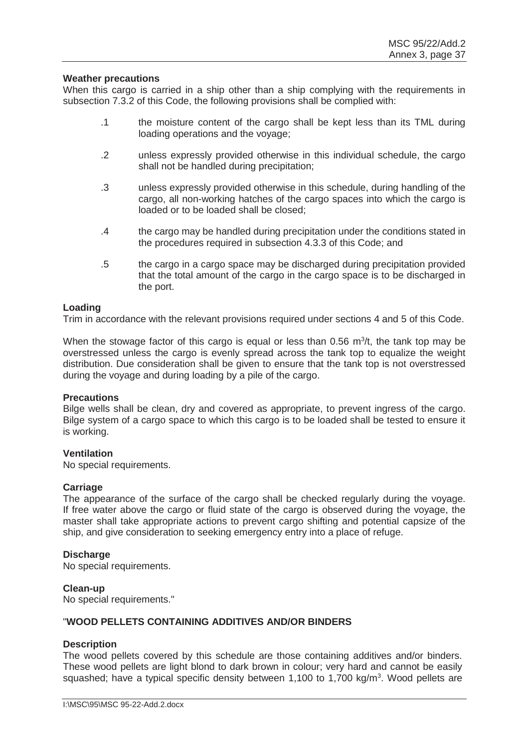#### **Weather precautions**

When this cargo is carried in a ship other than a ship complying with the requirements in subsection 7.3.2 of this Code, the following provisions shall be complied with:

- .1 the moisture content of the cargo shall be kept less than its TML during loading operations and the voyage;
- .2 unless expressly provided otherwise in this individual schedule, the cargo shall not be handled during precipitation;
- .3 unless expressly provided otherwise in this schedule, during handling of the cargo, all non-working hatches of the cargo spaces into which the cargo is loaded or to be loaded shall be closed;
- .4 the cargo may be handled during precipitation under the conditions stated in the procedures required in subsection 4.3.3 of this Code; and
- .5 the cargo in a cargo space may be discharged during precipitation provided that the total amount of the cargo in the cargo space is to be discharged in the port.

#### **Loading**

Trim in accordance with the relevant provisions required under sections 4 and 5 of this Code.

When the stowage factor of this cargo is equal or less than  $0.56 \, \text{m}^3/\text{t}$ , the tank top may be overstressed unless the cargo is evenly spread across the tank top to equalize the weight distribution. Due consideration shall be given to ensure that the tank top is not overstressed during the voyage and during loading by a pile of the cargo.

#### **Precautions**

Bilge wells shall be clean, dry and covered as appropriate, to prevent ingress of the cargo. Bilge system of a cargo space to which this cargo is to be loaded shall be tested to ensure it is working.

## **Ventilation**

No special requirements.

#### **Carriage**

The appearance of the surface of the cargo shall be checked regularly during the voyage. If free water above the cargo or fluid state of the cargo is observed during the voyage, the master shall take appropriate actions to prevent cargo shifting and potential capsize of the ship, and give consideration to seeking emergency entry into a place of refuge.

#### **Discharge**

No special requirements.

#### **Clean-up**

No special requirements."

## "**WOOD PELLETS CONTAINING ADDITIVES AND/OR BINDERS**

#### **Description**

The wood pellets covered by this schedule are those containing additives and/or binders. These wood pellets are light blond to dark brown in colour; very hard and cannot be easily squashed; have a typical specific density between 1,100 to 1,700 kg/m<sup>3</sup>. Wood pellets are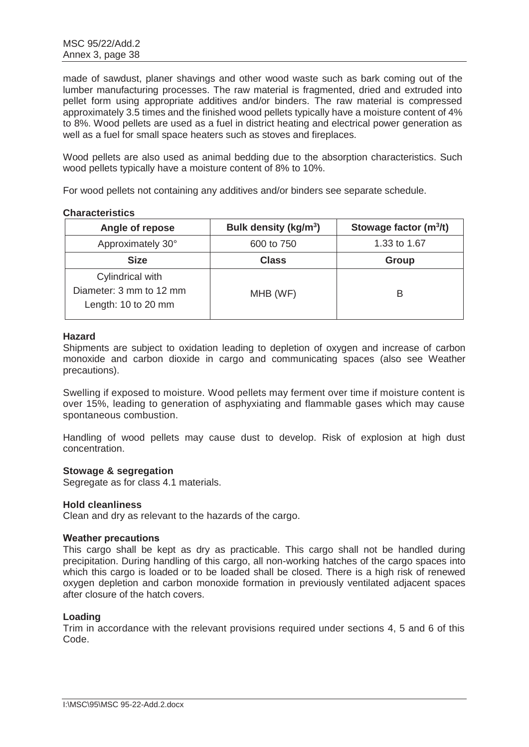made of sawdust, planer shavings and other wood waste such as bark coming out of the lumber manufacturing processes. The raw material is fragmented, dried and extruded into pellet form using appropriate additives and/or binders. The raw material is compressed approximately 3.5 times and the finished wood pellets typically have a moisture content of 4% to 8%. Wood pellets are used as a fuel in district heating and electrical power generation as well as a fuel for small space heaters such as stoves and fireplaces.

Wood pellets are also used as animal bedding due to the absorption characteristics. Such wood pellets typically have a moisture content of 8% to 10%.

For wood pellets not containing any additives and/or binders see separate schedule.

## **Characteristics**

| Angle of repose                                                    | Bulk density (kg/m <sup>3</sup> ) | Stowage factor $(m^3/t)$ |
|--------------------------------------------------------------------|-----------------------------------|--------------------------|
| Approximately 30°                                                  | 600 to 750                        | 1.33 to 1.67             |
| <b>Size</b>                                                        | <b>Class</b>                      | Group                    |
| Cylindrical with<br>Diameter: 3 mm to 12 mm<br>Length: 10 to 20 mm | MHB (WF)                          | В                        |

## **Hazard**

Shipments are subject to oxidation leading to depletion of oxygen and increase of carbon monoxide and carbon dioxide in cargo and communicating spaces (also see Weather precautions).

Swelling if exposed to moisture. Wood pellets may ferment over time if moisture content is over 15%, leading to generation of asphyxiating and flammable gases which may cause spontaneous combustion.

Handling of wood pellets may cause dust to develop. Risk of explosion at high dust concentration.

#### **Stowage & segregation**

Segregate as for class 4.1 materials.

#### **Hold cleanliness**

Clean and dry as relevant to the hazards of the cargo.

#### **Weather precautions**

This cargo shall be kept as dry as practicable. This cargo shall not be handled during precipitation. During handling of this cargo, all non-working hatches of the cargo spaces into which this cargo is loaded or to be loaded shall be closed. There is a high risk of renewed oxygen depletion and carbon monoxide formation in previously ventilated adjacent spaces after closure of the hatch covers.

#### **Loading**

Trim in accordance with the relevant provisions required under sections 4, 5 and 6 of this Code.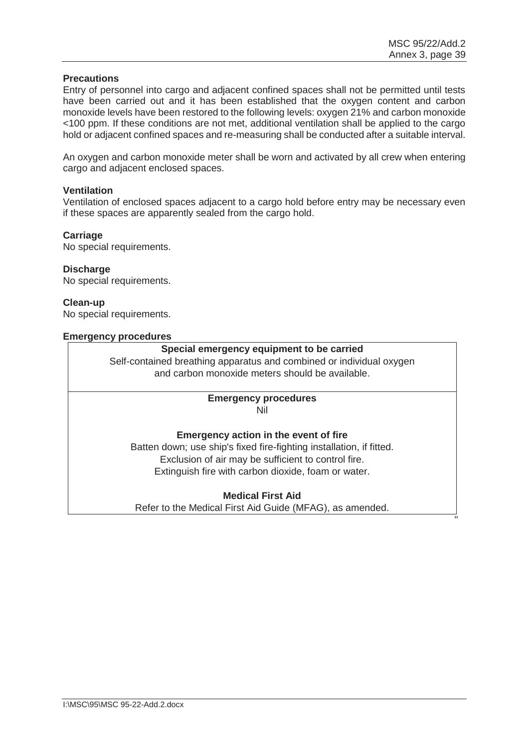#### **Precautions**

Entry of personnel into cargo and adjacent confined spaces shall not be permitted until tests have been carried out and it has been established that the oxygen content and carbon monoxide levels have been restored to the following levels: oxygen 21% and carbon monoxide <100 ppm. If these conditions are not met, additional ventilation shall be applied to the cargo hold or adjacent confined spaces and re-measuring shall be conducted after a suitable interval.

An oxygen and carbon monoxide meter shall be worn and activated by all crew when entering cargo and adjacent enclosed spaces.

## **Ventilation**

Ventilation of enclosed spaces adjacent to a cargo hold before entry may be necessary even if these spaces are apparently sealed from the cargo hold.

#### **Carriage**

No special requirements.

## **Discharge**

No special requirements.

## **Clean-up**

No special requirements.

#### **Emergency procedures**

## **Special emergency equipment to be carried**

Self-contained breathing apparatus and combined or individual oxygen and carbon monoxide meters should be available.

#### **Emergency procedures**  Nil

**Emergency action in the event of fire**  Batten down; use ship's fixed fire-fighting installation, if fitted. Exclusion of air may be sufficient to control fire. Extinguish fire with carbon dioxide, foam or water.

## **Medical First Aid**

Refer to the Medical First Aid Guide (MFAG), as amended. **The contract of the contract of the contract of the contract of the contract of the contract of the contract of the contract of the contract of the contract of the contract of the contract of the contract of the contract**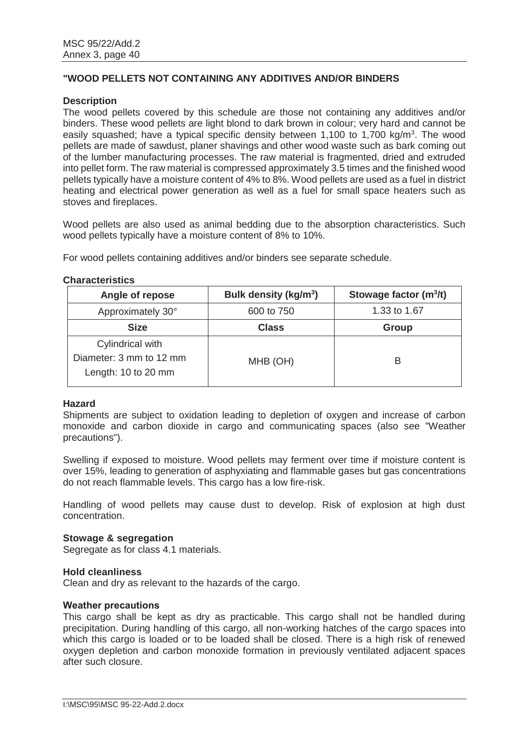## **"WOOD PELLETS NOT CONTAINING ANY ADDITIVES AND/OR BINDERS**

## **Description**

The wood pellets covered by this schedule are those not containing any additives and/or binders. These wood pellets are light blond to dark brown in colour; very hard and cannot be easily squashed; have a typical specific density between 1,100 to 1,700 kg/m<sup>3</sup>. The wood pellets are made of sawdust, planer shavings and other wood waste such as bark coming out of the lumber manufacturing processes. The raw material is fragmented, dried and extruded into pellet form. The raw material is compressed approximately 3.5 times and the finished wood pellets typically have a moisture content of 4% to 8%. Wood pellets are used as a fuel in district heating and electrical power generation as well as a fuel for small space heaters such as stoves and fireplaces.

Wood pellets are also used as animal bedding due to the absorption characteristics. Such wood pellets typically have a moisture content of 8% to 10%.

For wood pellets containing additives and/or binders see separate schedule.

#### **Characteristics**

| Angle of repose                                                    | Bulk density (kg/m <sup>3</sup> ) | Stowage factor $(m^3/t)$ |
|--------------------------------------------------------------------|-----------------------------------|--------------------------|
| Approximately 30°                                                  | 600 to 750                        | 1.33 to 1.67             |
| <b>Size</b>                                                        | <b>Class</b>                      | Group                    |
| Cylindrical with<br>Diameter: 3 mm to 12 mm<br>Length: 10 to 20 mm | MHB (OH)                          | B                        |

#### **Hazard**

Shipments are subject to oxidation leading to depletion of oxygen and increase of carbon monoxide and carbon dioxide in cargo and communicating spaces (also see "Weather precautions").

Swelling if exposed to moisture. Wood pellets may ferment over time if moisture content is over 15%, leading to generation of asphyxiating and flammable gases but gas concentrations do not reach flammable levels. This cargo has a low fire-risk.

Handling of wood pellets may cause dust to develop. Risk of explosion at high dust concentration.

#### **Stowage & segregation**

Segregate as for class 4.1 materials.

#### **Hold cleanliness**

Clean and dry as relevant to the hazards of the cargo.

#### **Weather precautions**

This cargo shall be kept as dry as practicable. This cargo shall not be handled during precipitation. During handling of this cargo, all non-working hatches of the cargo spaces into which this cargo is loaded or to be loaded shall be closed. There is a high risk of renewed oxygen depletion and carbon monoxide formation in previously ventilated adjacent spaces after such closure.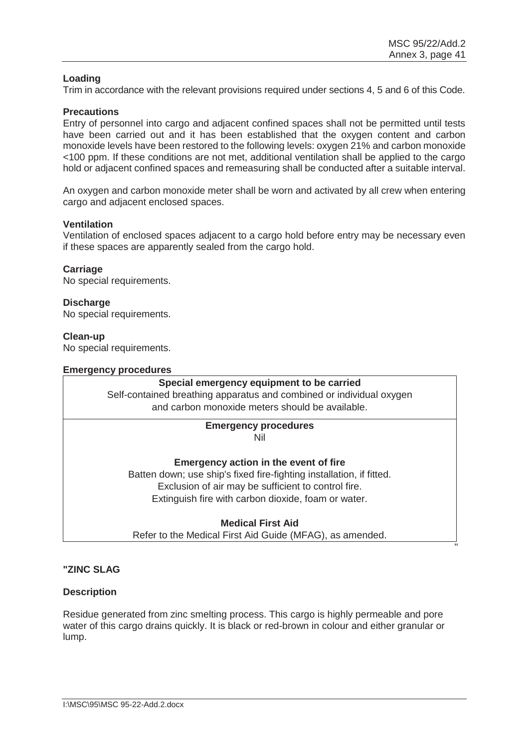## **Loading**

Trim in accordance with the relevant provisions required under sections 4, 5 and 6 of this Code.

## **Precautions**

Entry of personnel into cargo and adjacent confined spaces shall not be permitted until tests have been carried out and it has been established that the oxygen content and carbon monoxide levels have been restored to the following levels: oxygen 21% and carbon monoxide <100 ppm. If these conditions are not met, additional ventilation shall be applied to the cargo hold or adjacent confined spaces and remeasuring shall be conducted after a suitable interval.

An oxygen and carbon monoxide meter shall be worn and activated by all crew when entering cargo and adjacent enclosed spaces.

## **Ventilation**

Ventilation of enclosed spaces adjacent to a cargo hold before entry may be necessary even if these spaces are apparently sealed from the cargo hold.

#### **Carriage**

No special requirements.

#### **Discharge**

No special requirements.

#### **Clean-up**

No special requirements.

#### **Emergency procedures**

#### **Special emergency equipment to be carried**

Self-contained breathing apparatus and combined or individual oxygen and carbon monoxide meters should be available.

## **Emergency procedures**

Nil

#### **Emergency action in the event of fire**

Batten down; use ship's fixed fire-fighting installation, if fitted. Exclusion of air may be sufficient to control fire. Extinguish fire with carbon dioxide, foam or water.

**Medical First Aid** 

Refer to the Medical First Aid Guide (MFAG), as amended. **The contract of the contract of the contract of the contract of the contract of the contract of the contract of the contract of the contract of the contract of the contract of the contract of the contract of the contract** 

## **"ZINC SLAG**

#### **Description**

Residue generated from zinc smelting process. This cargo is highly permeable and pore water of this cargo drains quickly. It is black or red-brown in colour and either granular or lump.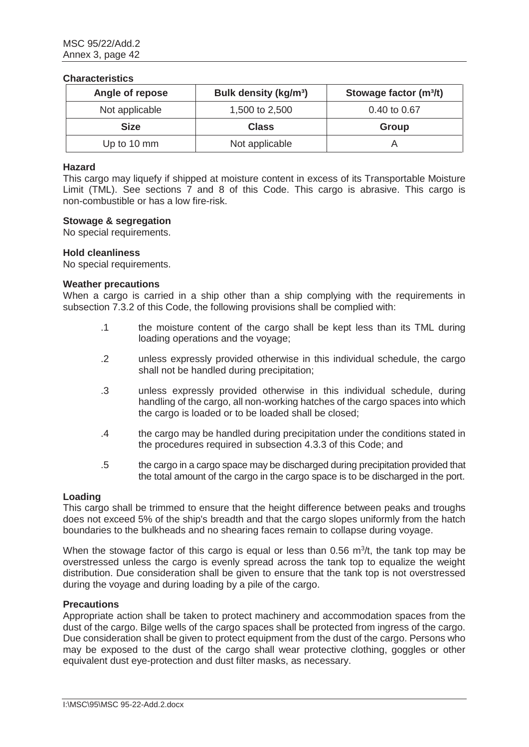#### **Characteristics**

| Angle of repose | <b>Bulk density (kg/m<sup>3</sup>)</b> | Stowage factor (m <sup>3</sup> /t) |
|-----------------|----------------------------------------|------------------------------------|
| Not applicable  | 1,500 to 2,500                         | 0.40 to 0.67                       |
| <b>Size</b>     | <b>Class</b>                           | <b>Group</b>                       |
| Up to 10 mm     | Not applicable                         |                                    |

## **Hazard**

This cargo may liquefy if shipped at moisture content in excess of its Transportable Moisture Limit (TML). See sections 7 and 8 of this Code. This cargo is abrasive. This cargo is non-combustible or has a low fire-risk.

#### **Stowage & segregation**

No special requirements.

#### **Hold cleanliness**

No special requirements.

#### **Weather precautions**

When a cargo is carried in a ship other than a ship complying with the requirements in subsection 7.3.2 of this Code, the following provisions shall be complied with:

- .1 the moisture content of the cargo shall be kept less than its TML during loading operations and the voyage;
- .2 unless expressly provided otherwise in this individual schedule, the cargo shall not be handled during precipitation;
- .3 unless expressly provided otherwise in this individual schedule, during handling of the cargo, all non-working hatches of the cargo spaces into which the cargo is loaded or to be loaded shall be closed;
- .4 the cargo may be handled during precipitation under the conditions stated in the procedures required in subsection 4.3.3 of this Code; and
- .5 the cargo in a cargo space may be discharged during precipitation provided that the total amount of the cargo in the cargo space is to be discharged in the port.

#### **Loading**

This cargo shall be trimmed to ensure that the height difference between peaks and troughs does not exceed 5% of the ship's breadth and that the cargo slopes uniformly from the hatch boundaries to the bulkheads and no shearing faces remain to collapse during voyage.

When the stowage factor of this cargo is equal or less than  $0.56$  m $3/t$ , the tank top may be overstressed unless the cargo is evenly spread across the tank top to equalize the weight distribution. Due consideration shall be given to ensure that the tank top is not overstressed during the voyage and during loading by a pile of the cargo.

#### **Precautions**

Appropriate action shall be taken to protect machinery and accommodation spaces from the dust of the cargo. Bilge wells of the cargo spaces shall be protected from ingress of the cargo. Due consideration shall be given to protect equipment from the dust of the cargo. Persons who may be exposed to the dust of the cargo shall wear protective clothing, goggles or other equivalent dust eye-protection and dust filter masks, as necessary.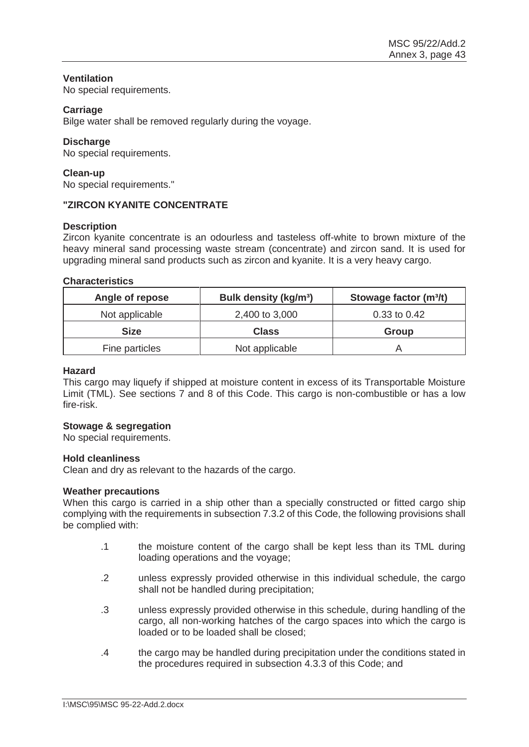## **Ventilation**

No special requirements.

## **Carriage**

Bilge water shall be removed regularly during the voyage.

## **Discharge**

No special requirements.

## **Clean-up**

No special requirements."

## **"ZIRCON KYANITE CONCENTRATE**

## **Description**

Zircon kyanite concentrate is an odourless and tasteless off-white to brown mixture of the heavy mineral sand processing waste stream (concentrate) and zircon sand. It is used for upgrading mineral sand products such as zircon and kyanite. It is a very heavy cargo.

#### **Characteristics**

| Angle of repose | Bulk density (kg/m <sup>3</sup> ) | Stowage factor (m <sup>3</sup> /t) |
|-----------------|-----------------------------------|------------------------------------|
| Not applicable  | 2,400 to 3,000                    | 0.33 to 0.42                       |
| <b>Size</b>     | <b>Class</b>                      | Group                              |
| Fine particles  | Not applicable                    |                                    |

#### **Hazard**

This cargo may liquefy if shipped at moisture content in excess of its Transportable Moisture Limit (TML). See sections 7 and 8 of this Code. This cargo is non-combustible or has a low fire-risk.

## **Stowage & segregation**

No special requirements.

#### **Hold cleanliness**

Clean and dry as relevant to the hazards of the cargo.

#### **Weather precautions**

When this cargo is carried in a ship other than a specially constructed or fitted cargo ship complying with the requirements in subsection 7.3.2 of this Code, the following provisions shall be complied with:

- .1 the moisture content of the cargo shall be kept less than its TML during loading operations and the voyage;
- .2 unless expressly provided otherwise in this individual schedule, the cargo shall not be handled during precipitation;
- .3 unless expressly provided otherwise in this schedule, during handling of the cargo, all non-working hatches of the cargo spaces into which the cargo is loaded or to be loaded shall be closed;
- .4 the cargo may be handled during precipitation under the conditions stated in the procedures required in subsection 4.3.3 of this Code; and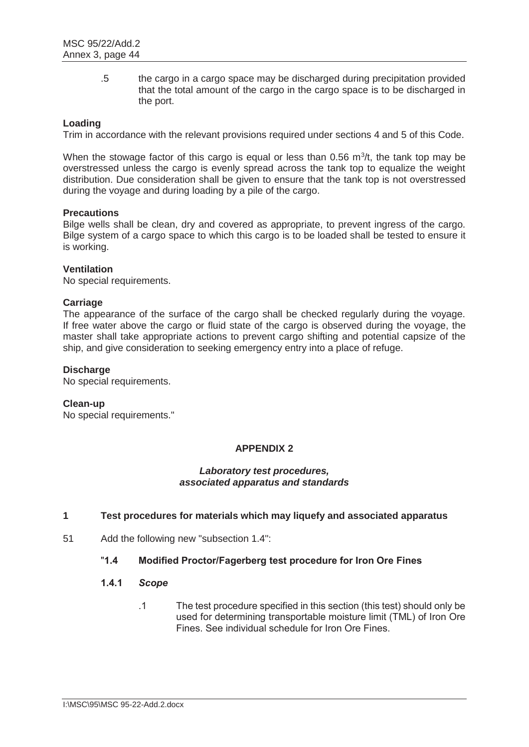.5 the cargo in a cargo space may be discharged during precipitation provided that the total amount of the cargo in the cargo space is to be discharged in the port.

## **Loading**

Trim in accordance with the relevant provisions required under sections 4 and 5 of this Code.

When the stowage factor of this cargo is equal or less than  $0.56 \text{ m}^3$ /t, the tank top may be overstressed unless the cargo is evenly spread across the tank top to equalize the weight distribution. Due consideration shall be given to ensure that the tank top is not overstressed during the voyage and during loading by a pile of the cargo.

## **Precautions**

Bilge wells shall be clean, dry and covered as appropriate, to prevent ingress of the cargo. Bilge system of a cargo space to which this cargo is to be loaded shall be tested to ensure it is working.

## **Ventilation**

No special requirements.

## **Carriage**

The appearance of the surface of the cargo shall be checked regularly during the voyage. If free water above the cargo or fluid state of the cargo is observed during the voyage, the master shall take appropriate actions to prevent cargo shifting and potential capsize of the ship, and give consideration to seeking emergency entry into a place of refuge.

## **Discharge**

No special requirements.

## **Clean-up**

No special requirements."

## **APPENDIX 2**

#### *Laboratory test procedures, associated apparatus and standards*

#### **1 Test procedures for materials which may liquefy and associated apparatus**

51 Add the following new "subsection 1.4":

## "**1.4 Modified Proctor/Fagerberg test procedure for Iron Ore Fines**

#### **1.4.1** *Scope*

.1 The test procedure specified in this section (this test) should only be used for determining transportable moisture limit (TML) of Iron Ore Fines. See individual schedule for Iron Ore Fines.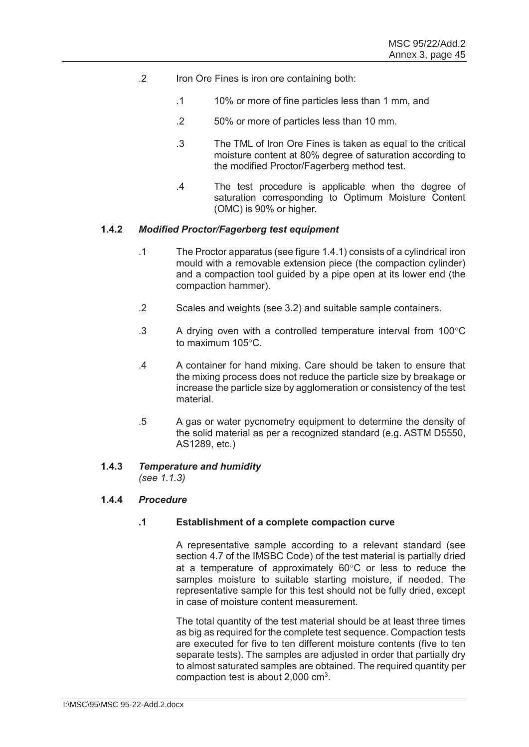- .2 Iron Ore Fines is iron ore containing both:
	- .1 10% or more of fine particles less than 1 mm, and
	- .2 50% or more of particles less than 10 mm.
	- .3 The TML of Iron Ore Fines is taken as equal to the critical moisture content at 80% degree of saturation according to the modified Proctor/Fagerberg method test.
	- .4 The test procedure is applicable when the degree of saturation corresponding to Optimum Moisture Content (OMC) is 90% or higher.

## **1.4.2** *Modified Proctor/Fagerberg test equipment*

- .1 The Proctor apparatus (see figure 1.4.1) consists of a cylindrical iron mould with a removable extension piece (the compaction cylinder) and a compaction tool guided by a pipe open at its lower end (the compaction hammer).
- .2 Scales and weights (see 3.2) and suitable sample containers.
- .3 A drying oven with a controlled temperature interval from  $100^{\circ}$ C to maximum  $105^{\circ}$ C.
- .4 A container for hand mixing. Care should be taken to ensure that the mixing process does not reduce the particle size by breakage or increase the particle size by agglomeration or consistency of the test material.
- .5 A gas or water pycnometry equipment to determine the density of the solid material as per a recognized standard (e.g. ASTM D5550, AS1289, etc.)

## **1.4.3** *Temperature and humidity*

*(see 1.1.3)*

## **1.4.4** *Procedure*

## **.1 Establishment of a complete compaction curve**

A representative sample according to a relevant standard (see section 4.7 of the IMSBC Code) of the test material is partially dried at a temperature of approximately  $60^{\circ}$ C or less to reduce the samples moisture to suitable starting moisture, if needed. The representative sample for this test should not be fully dried, except in case of moisture content measurement.

The total quantity of the test material should be at least three times as big as required for the complete test sequence. Compaction tests are executed for five to ten different moisture contents (five to ten separate tests). The samples are adjusted in order that partially dry to almost saturated samples are obtained. The required quantity per compaction test is about  $2,000$  cm<sup>3</sup>.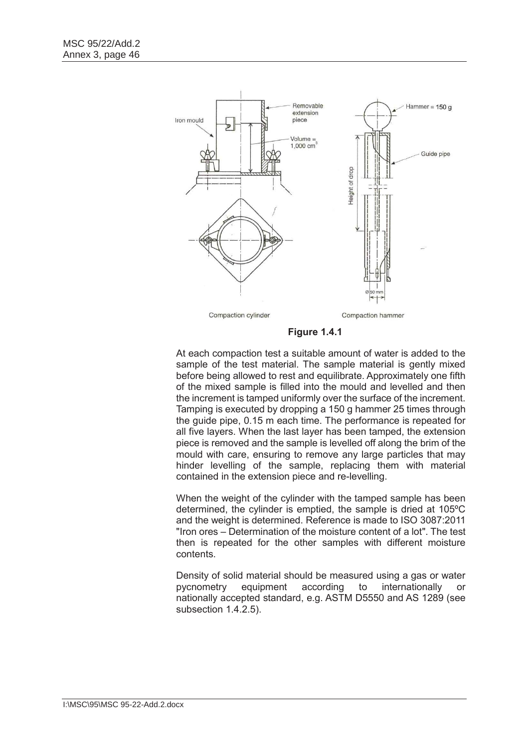

**Figure 1.4.1**

At each compaction test a suitable amount of water is added to the sample of the test material. The sample material is gently mixed before being allowed to rest and equilibrate. Approximately one fifth of the mixed sample is filled into the mould and levelled and then the increment is tamped uniformly over the surface of the increment. Tamping is executed by dropping a 150 g hammer 25 times through the guide pipe, 0.15 m each time. The performance is repeated for all five layers. When the last layer has been tamped, the extension piece is removed and the sample is levelled off along the brim of the mould with care, ensuring to remove any large particles that may hinder levelling of the sample, replacing them with material contained in the extension piece and re-levelling.

When the weight of the cylinder with the tamped sample has been determined, the cylinder is emptied, the sample is dried at 105ºC and the weight is determined. Reference is made to ISO 3087:2011 "Iron ores – Determination of the moisture content of a lot". The test then is repeated for the other samples with different moisture contents.

Density of solid material should be measured using a gas or water pycnometry equipment according to internationally or nationally accepted standard, e.g. ASTM D5550 and AS 1289 (see subsection 1.4.2.5).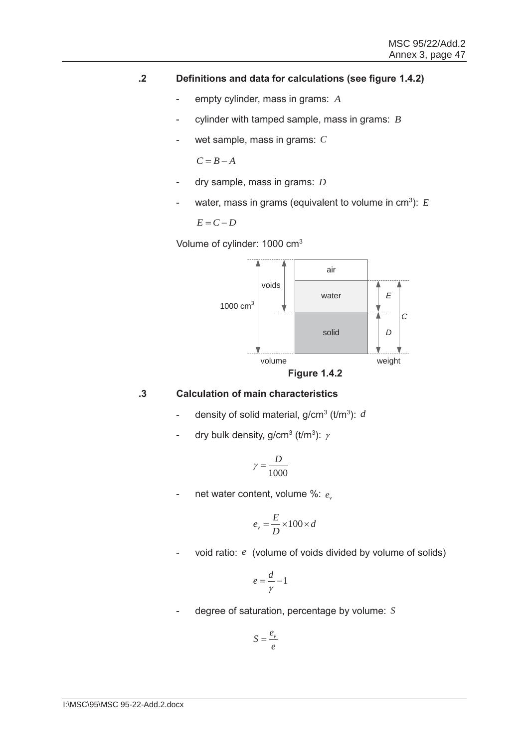## **.2 Definitions and data for calculations (see figure 1.4.2)**

- empty cylinder, mass in grams: *A*
- cylinder with tamped sample, mass in grams: *B*
- wet sample, mass in grams: *C*

 $C = B - A$ 

- dry sample, mass in grams: *D*
- water, mass in grams (equivalent to volume in  $cm<sup>3</sup>$ ):  $E$

$$
E=C-D
$$

Volume of cylinder: 1000 cm3



## **.3 Calculation of main characteristics**

- density of solid material,  $g/cm^3$  ( $t/m^3$ ):  $d$
- dry bulk density, g/cm<sup>3</sup> (t/m<sup>3</sup>):  $\gamma$

$$
\gamma = \frac{D}{1000}
$$

- net water content, volume %:  $e_{\scriptscriptstyle\gamma}$ 

$$
e_v = \frac{E}{D} \times 100 \times d
$$

- void ratio: e (volume of voids divided by volume of solids)

$$
e = \frac{d}{\gamma} - 1
$$

- degree of saturation, percentage by volume: *S*

$$
S=\frac{e_v}{e}
$$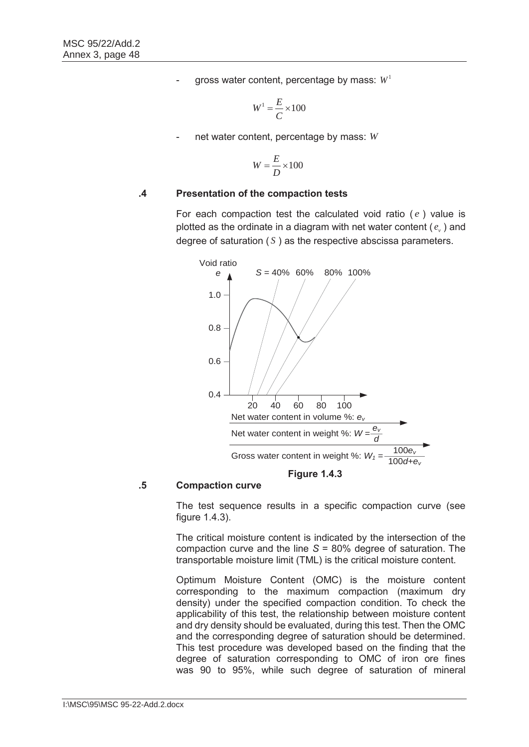- gross water content, percentage by mass:  $W<sup>1</sup>$ 

$$
W^1 = \frac{E}{C} \times 100
$$

- net water content, percentage by mass: *W*

$$
W = \frac{E}{D} \times 100
$$

## **.4 Presentation of the compaction tests**

For each compaction test the calculated void ratio  $(e)$  value is plotted as the ordinate in a diagram with net water content  $(e_{\nu})$  and degree of saturation  $(S)$  as the respective abscissa parameters.



#### **.5 Compaction curve**

The test sequence results in a specific compaction curve (see figure 1.4.3).

The critical moisture content is indicated by the intersection of the compaction curve and the line *S* = 80% degree of saturation. The transportable moisture limit (TML) is the critical moisture content.

Optimum Moisture Content (OMC) is the moisture content corresponding to the maximum compaction (maximum dry density) under the specified compaction condition. To check the applicability of this test, the relationship between moisture content and dry density should be evaluated, during this test. Then the OMC and the corresponding degree of saturation should be determined. This test procedure was developed based on the finding that the degree of saturation corresponding to OMC of iron ore fines was 90 to 95%, while such degree of saturation of mineral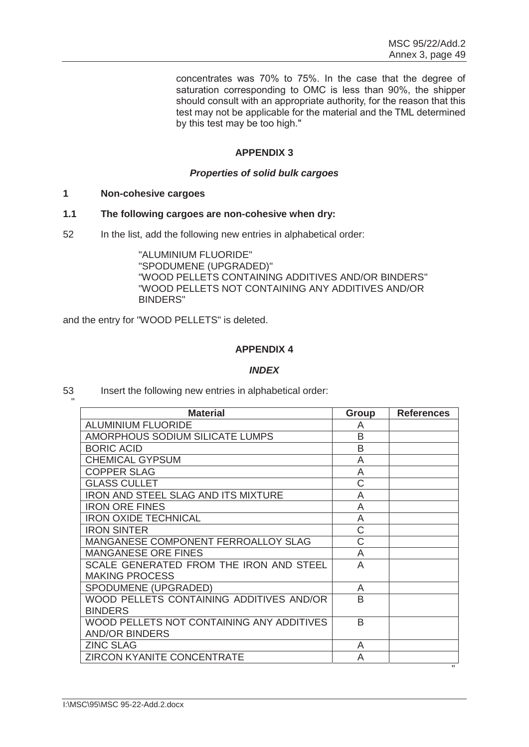concentrates was 70% to 75%. In the case that the degree of saturation corresponding to OMC is less than 90%, the shipper should consult with an appropriate authority, for the reason that this test may not be applicable for the material and the TML determined by this test may be too high."

# **APPENDIX 3**

## *Properties of solid bulk cargoes*

**1 Non-cohesive cargoes** 

"

#### **1.1 The following cargoes are non-cohesive when dry:**

52 In the list, add the following new entries in alphabetical order:

"ALUMINIUM FLUORIDE" "SPODUMENE (UPGRADED)" "WOOD PELLETS CONTAINING ADDITIVES AND/OR BINDERS" "WOOD PELLETS NOT CONTAINING ANY ADDITIVES AND/OR BINDERS"

and the entry for "WOOD PELLETS" is deleted.

## **APPENDIX 4**

## *INDEX*

53 Insert the following new entries in alphabetical order:

| <b>Material</b>                            | Group | <b>References</b> |
|--------------------------------------------|-------|-------------------|
| <b>ALUMINIUM FLUORIDE</b>                  | A     |                   |
| AMORPHOUS SODIUM SILICATE LUMPS            | B     |                   |
| <b>BORIC ACID</b>                          | B     |                   |
| <b>CHEMICAL GYPSUM</b>                     | A     |                   |
| <b>COPPER SLAG</b>                         | A     |                   |
| <b>GLASS CULLET</b>                        | C     |                   |
| <b>IRON AND STEEL SLAG AND ITS MIXTURE</b> | Α     |                   |
| <b>IRON ORE FINES</b>                      | A     |                   |
| <b>IRON OXIDE TECHNICAL</b>                | A     |                   |
| <b>IRON SINTER</b>                         | C     |                   |
| MANGANESE COMPONENT FERROALLOY SLAG        | Ć     |                   |
| <b>MANGANESE ORE FINES</b>                 | A     |                   |
| SCALE GENERATED FROM THE IRON AND STEEL    | A     |                   |
| <b>MAKING PROCESS</b>                      |       |                   |
| SPODUMENE (UPGRADED)                       | A     |                   |
| WOOD PELLETS CONTAINING ADDITIVES AND/OR   | R     |                   |
| <b>BINDERS</b>                             |       |                   |
| WOOD PELLETS NOT CONTAINING ANY ADDITIVES  | R     |                   |
| <b>AND/OR BINDERS</b>                      |       |                   |
| <b>ZINC SLAG</b>                           | A     |                   |
| <b>ZIRCON KYANITE CONCENTRATE</b>          | A     | $\mathbf{H}$      |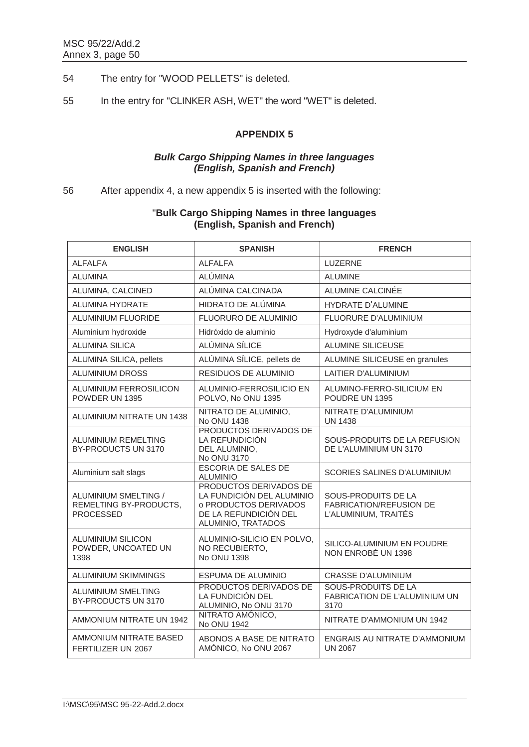- 54 The entry for "WOOD PELLETS" is deleted.
- 55 In the entry for "CLINKER ASH, WET" the word "WET" is deleted.

# **APPENDIX 5**

## *Bulk Cargo Shipping Names in three languages (English, Spanish and French)*

# 56 After appendix 4, a new appendix 5 is inserted with the following:

| <b>ENGLISH</b>                                                     | <b>SPANISH</b>                                                                                                              | <b>FRENCH</b>                                                                 |
|--------------------------------------------------------------------|-----------------------------------------------------------------------------------------------------------------------------|-------------------------------------------------------------------------------|
| <b>ALFALFA</b>                                                     | <b>ALFALFA</b>                                                                                                              | <b>LUZERNE</b>                                                                |
| <b>ALUMINA</b>                                                     | <b>ALÚMINA</b>                                                                                                              | <b>ALUMINE</b>                                                                |
| ALUMINA, CALCINED                                                  | ALÚMINA CALCINADA                                                                                                           | ALUMINE CALCINÉE                                                              |
| <b>ALUMINA HYDRATE</b>                                             | HIDRATO DE ALÚMINA                                                                                                          | HYDRATE D'ALUMINE                                                             |
| <b>ALUMINIUM FLUORIDE</b>                                          | FLUORURO DE ALUMINIO                                                                                                        | FLUORURE D'ALUMINIUM                                                          |
| Aluminium hydroxide                                                | Hidróxido de aluminio                                                                                                       | Hydroxyde d'aluminium                                                         |
| <b>ALUMINA SILICA</b>                                              | ALÚMINA SÍLICE                                                                                                              | <b>ALUMINE SILICEUSE</b>                                                      |
| ALUMINA SILICA, pellets                                            | ALÚMINA SÍLICE, pellets de                                                                                                  | ALUMINE SILICEUSE en granules                                                 |
| <b>ALUMINIUM DROSS</b>                                             | RESIDUOS DE ALUMINIO                                                                                                        | LAITIER D'ALUMINIUM                                                           |
| <b>ALUMINIUM FERROSILICON</b><br>POWDER UN 1395                    | ALUMINIO-FERROSILICIO EN<br>POLVO, No ONU 1395                                                                              | ALUMINO-FERRO-SILICIUM EN<br>POUDRE UN 1395                                   |
| ALUMINIUM NITRATE UN 1438                                          | NITRATO DE ALUMINIO,<br>No ONU 1438                                                                                         | NITRATE D'ALUMINIUM<br><b>UN 1438</b>                                         |
| ALUMINIUM REMELTING<br>BY-PRODUCTS UN 3170                         | PRODUCTOS DERIVADOS DE<br>LA REFUNDICIÓN<br>DEL ALUMINIO,<br>No ONU 3170                                                    | SOUS-PRODUITS DE LA REFUSION<br>DE L'ALUMINIUM UN 3170                        |
| Aluminium salt slags                                               | <b>ESCORIA DE SALES DE</b><br><b>ALUMINIO</b>                                                                               | <b>SCORIES SALINES D'ALUMINIUM</b>                                            |
| ALUMINIUM SMELTING /<br>REMELTING BY-PRODUCTS,<br><b>PROCESSED</b> | PRODUCTOS DERIVADOS DE<br>LA FUNDICIÓN DEL ALUMINIO<br>o PRODUCTOS DERIVADOS<br>DE LA REFUNDICIÓN DEL<br>ALUMINIO, TRATADOS | SOUS-PRODUITS DE LA<br><b>FABRICATION/REFUSION DE</b><br>L'ALUMINIUM, TRAITÉS |
| <b>ALUMINIUM SILICON</b><br>POWDER, UNCOATED UN<br>1398            | ALUMINIO-SILICIO EN POLVO,<br>NO RECUBIERTO,<br>No ONU 1398                                                                 | SILICO-ALUMINIUM EN POUDRE<br>NON ENROBÉ UN 1398                              |
| ALUMINIUM SKIMMINGS                                                | ESPUMA DE ALUMINIO                                                                                                          | CRASSE D'ALUMINIUM                                                            |
| ALUMINIUM SMELTING<br>BY-PRODUCTS UN 3170                          | PRODUCTOS DERIVADOS DE<br>LA FUNDICIÓN DEL<br>ALUMINIO, No ONU 3170                                                         | SOUS-PRODUITS DE LA<br>FABRICATION DE L'ALUMINIUM UN<br>3170                  |
| AMMONIUM NITRATE UN 1942                                           | NITRATO AMÓNICO,<br>No ONU 1942                                                                                             | NITRATE D'AMMONIUM UN 1942                                                    |
| AMMONIUM NITRATE BASED<br>FERTILIZER UN 2067                       | ABONOS A BASE DE NITRATO<br>AMÓNICO, No ONU 2067                                                                            | ENGRAIS AU NITRATE D'AMMONIUM<br><b>UN 2067</b>                               |

# "**Bulk Cargo Shipping Names in three languages (English, Spanish and French)**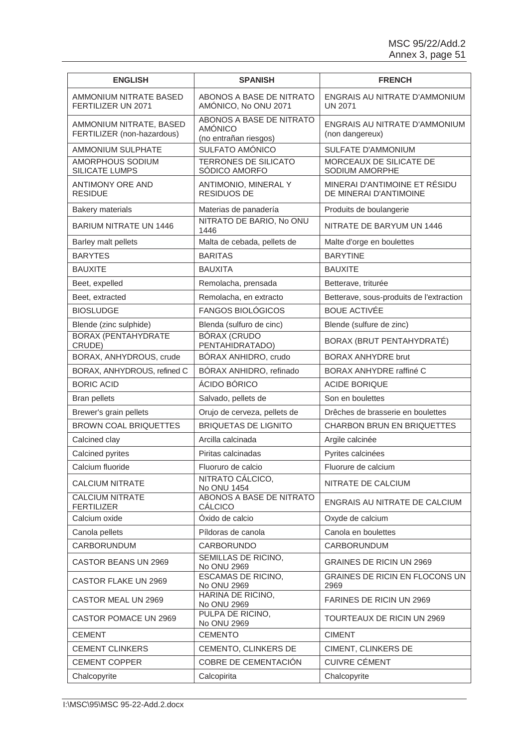| <b>ENGLISH</b>                                        | <b>SPANISH</b>                                                      | <b>FRENCH</b>                                           |
|-------------------------------------------------------|---------------------------------------------------------------------|---------------------------------------------------------|
| AMMONIUM NITRATE BASED<br>FERTILIZER UN 2071          | ABONOS A BASE DE NITRATO<br>AMÓNICO, No ONU 2071                    | ENGRAIS AU NITRATE D'AMMONIUM<br><b>UN 2071</b>         |
| AMMONIUM NITRATE, BASED<br>FERTILIZER (non-hazardous) | ABONOS A BASE DE NITRATO<br><b>AMÓNICO</b><br>(no entrañan riesgos) | ENGRAIS AU NITRATE D'AMMONIUM<br>(non dangereux)        |
| AMMONIUM SULPHATE                                     | SULFATO AMÓNICO                                                     | SULFATE D'AMMONIUM                                      |
| AMORPHOUS SODIUM<br><b>SILICATE LUMPS</b>             | <b>TERRONES DE SILICATO</b><br>SÓDICO AMORFO                        | MORCEAUX DE SILICATE DE<br>SODIUM AMORPHE               |
| <b>ANTIMONY ORE AND</b><br><b>RESIDUE</b>             | ANTIMONIO, MINERAL Y<br><b>RESIDUOS DE</b>                          | MINERAI D'ANTIMOINE ET RÉSIDU<br>DE MINERAI D'ANTIMOINE |
| <b>Bakery materials</b>                               | Materias de panadería                                               | Produits de boulangerie                                 |
| <b>BARIUM NITRATE UN 1446</b>                         | NITRATO DE BARIO, No ONU<br>1446                                    | NITRATE DE BARYUM UN 1446                               |
| Barley malt pellets                                   | Malta de cebada, pellets de                                         | Malte d'orge en boulettes                               |
| <b>BARYTES</b>                                        | <b>BARITAS</b>                                                      | <b>BARYTINE</b>                                         |
| <b>BAUXITE</b>                                        | <b>BAUXITA</b>                                                      | <b>BAUXITE</b>                                          |
| Beet, expelled                                        | Remolacha, prensada                                                 | Betterave, triturée                                     |
| Beet, extracted                                       | Remolacha, en extracto                                              | Betterave, sous-produits de l'extraction                |
| <b>BIOSLUDGE</b>                                      | <b>FANGOS BIOLÓGICOS</b>                                            | <b>BOUE ACTIVÉE</b>                                     |
| Blende (zinc sulphide)                                | Blenda (sulfuro de cinc)                                            | Blende (sulfure de zinc)                                |
| <b>BORAX (PENTAHYDRATE</b><br>CRUDE)                  | <b>BÓRAX (CRUDO</b><br>PENTAHIDRATADO)                              | BORAX (BRUT PENTAHYDRATÉ)                               |
| BORAX, ANHYDROUS, crude                               | BÓRAX ANHIDRO, crudo                                                | <b>BORAX ANHYDRE brut</b>                               |
| BORAX, ANHYDROUS, refined C                           | BÓRAX ANHIDRO, refinado                                             | BORAX ANHYDRE raffiné C                                 |
| <b>BORIC ACID</b>                                     | ÁCIDO BÓRICO                                                        | <b>ACIDE BORIQUE</b>                                    |
| <b>Bran pellets</b>                                   | Salvado, pellets de                                                 | Son en boulettes                                        |
| Brewer's grain pellets                                | Orujo de cerveza, pellets de                                        | Drêches de brasserie en boulettes                       |
| <b>BROWN COAL BRIQUETTES</b>                          | <b>BRIQUETAS DE LIGNITO</b>                                         | <b>CHARBON BRUN EN BRIQUETTES</b>                       |
| Calcined clay                                         | Arcilla calcinada                                                   | Argile calcinée                                         |
| Calcined pyrites                                      | Piritas calcinadas                                                  | Pyrites calcinées                                       |
| Calcium fluoride                                      | Fluoruro de calcio                                                  | Fluorure de calcium                                     |
| <b>CALCIUM NITRATE</b>                                | NITRATO CÁLCICO,<br>No ONU 1454                                     | NITRATE DE CALCIUM                                      |
| <b>CALCIUM NITRATE</b><br><b>FERTILIZER</b>           | ABONOS A BASE DE NITRATO<br><b>CÁLCICO</b>                          | ENGRAIS AU NITRATE DE CALCIUM                           |
| Calcium oxide                                         | Óxido de calcio                                                     | Oxyde de calcium                                        |
| Canola pellets                                        | Píldoras de canola                                                  | Canola en boulettes                                     |
| <b>CARBORUNDUM</b>                                    | CARBORUNDO                                                          | CARBORUNDUM                                             |
| <b>CASTOR BEANS UN 2969</b>                           | <b>SEMILLAS DE RICINO,</b><br>No ONU 2969                           | <b>GRAINES DE RICIN UN 2969</b>                         |
| CASTOR FLAKE UN 2969                                  | ESCAMAS DE RICINO,<br>No ONU 2969                                   | GRAINES DE RICIN EN FLOCONS UN<br>2969                  |
| CASTOR MEAL UN 2969                                   | HARINA DE RICINO,<br>No ONU 2969                                    | FARINES DE RICIN UN 2969                                |
| CASTOR POMACE UN 2969                                 | PULPA DE RICINO,<br>No ONU 2969                                     | TOURTEAUX DE RICIN UN 2969                              |
| <b>CEMENT</b>                                         | <b>CEMENTO</b>                                                      | <b>CIMENT</b>                                           |
| <b>CEMENT CLINKERS</b>                                | CEMENTO, CLINKERS DE                                                | CIMENT, CLINKERS DE                                     |
| <b>CEMENT COPPER</b>                                  | COBRE DE CEMENTACIÓN                                                | <b>CUIVRE CÉMENT</b>                                    |
| Chalcopyrite                                          | Calcopirita                                                         | Chalcopyrite                                            |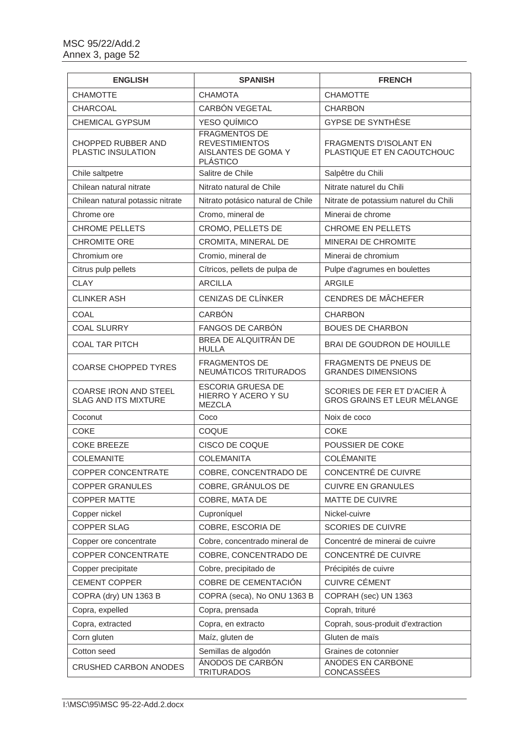| <b>ENGLISH</b>                                              | <b>SPANISH</b>                                                                          | <b>FRENCH</b>                                                     |
|-------------------------------------------------------------|-----------------------------------------------------------------------------------------|-------------------------------------------------------------------|
| <b>CHAMOTTE</b>                                             | <b>CHAMOTA</b>                                                                          | <b>CHAMOTTE</b>                                                   |
| CHARCOAL                                                    | CARBÓN VEGETAL                                                                          | <b>CHARBON</b>                                                    |
| CHEMICAL GYPSUM                                             | YESO QUÍMICO                                                                            | GYPSE DE SYNTHÈSE                                                 |
| <b>CHOPPED RUBBER AND</b><br>PLASTIC INSULATION             | <b>FRAGMENTOS DE</b><br><b>REVESTIMIENTOS</b><br>AISLANTES DE GOMA Y<br><b>PLÁSTICO</b> | <b>FRAGMENTS D'ISOLANT EN</b><br>PLASTIQUE ET EN CAOUTCHOUC       |
| Chile saltpetre                                             | Salitre de Chile                                                                        | Salpêtre du Chili                                                 |
| Chilean natural nitrate                                     | Nitrato natural de Chile                                                                | Nitrate naturel du Chili                                          |
| Chilean natural potassic nitrate                            | Nitrato potásico natural de Chile                                                       | Nitrate de potassium naturel du Chili                             |
| Chrome ore                                                  | Cromo, mineral de                                                                       | Minerai de chrome                                                 |
| <b>CHROME PELLETS</b>                                       | CROMO, PELLETS DE                                                                       | <b>CHROME EN PELLETS</b>                                          |
| <b>CHROMITE ORE</b>                                         | CROMITA, MINERAL DE                                                                     | <b>MINERAI DE CHROMITE</b>                                        |
| Chromium ore                                                | Cromio, mineral de                                                                      | Minerai de chromium                                               |
| Citrus pulp pellets                                         | Cítricos, pellets de pulpa de                                                           | Pulpe d'agrumes en boulettes                                      |
| <b>CLAY</b>                                                 | <b>ARCILLA</b>                                                                          | <b>ARGILE</b>                                                     |
| <b>CLINKER ASH</b>                                          | <b>CENIZAS DE CLÍNKER</b>                                                               | <b>CENDRES DE MÂCHEFER</b>                                        |
| <b>COAL</b>                                                 | <b>CARBÓN</b>                                                                           | <b>CHARBON</b>                                                    |
| <b>COAL SLURRY</b>                                          | FANGOS DE CARBÓN                                                                        | <b>BOUES DE CHARBON</b>                                           |
| <b>COAL TAR PITCH</b>                                       | BREA DE ALQUITRÁN DE<br><b>HULLA</b>                                                    | BRAI DE GOUDRON DE HOUILLE                                        |
| <b>COARSE CHOPPED TYRES</b>                                 | <b>FRAGMENTOS DE</b><br>NEUMÁTICOS TRITURADOS                                           | <b>FRAGMENTS DE PNEUS DE</b><br><b>GRANDES DIMENSIONS</b>         |
| <b>COARSE IRON AND STEEL</b><br><b>SLAG AND ITS MIXTURE</b> | <b>ESCORIA GRUESA DE</b><br>HIERRO Y ACERO Y SU<br><b>MEZCLA</b>                        | SCORIES DE FER ET D'ACIER À<br><b>GROS GRAINS ET LEUR MÉLANGE</b> |
| Coconut                                                     | Coco                                                                                    | Noix de coco                                                      |
| <b>COKE</b>                                                 | COQUE                                                                                   | <b>COKE</b>                                                       |
| <b>COKE BREEZE</b>                                          | CISCO DE COQUE                                                                          | POUSSIER DE COKE                                                  |
| <b>COLEMANITE</b>                                           | <b>COLEMANITA</b>                                                                       | <b>COLÉMANITE</b>                                                 |
| COPPER CONCENTRATE                                          | COBRE, CONCENTRADO DE                                                                   | CONCENTRÉ DE CUIVRE                                               |
| <b>COPPER GRANULES</b>                                      | COBRE, GRÁNULOS DE                                                                      | <b>CUIVRE EN GRANULES</b>                                         |
| <b>COPPER MATTE</b>                                         | COBRE, MATA DE                                                                          | MATTE DE CUIVRE                                                   |
| Copper nickel                                               | Cuproníquel                                                                             | Nickel-cuivre                                                     |
| <b>COPPER SLAG</b>                                          | COBRE, ESCORIA DE                                                                       | <b>SCORIES DE CUIVRE</b>                                          |
| Copper ore concentrate                                      | Cobre, concentrado mineral de                                                           | Concentré de minerai de cuivre                                    |
| <b>COPPER CONCENTRATE</b>                                   | COBRE, CONCENTRADO DE                                                                   | CONCENTRÉ DE CUIVRE                                               |
| Copper precipitate                                          | Cobre, precipitado de                                                                   | Précipités de cuivre                                              |
| <b>CEMENT COPPER</b>                                        | COBRE DE CEMENTACIÓN                                                                    | <b>CUIVRE CÉMENT</b>                                              |
| COPRA (dry) UN 1363 B                                       | COPRA (seca), No ONU 1363 B                                                             | COPRAH (sec) UN 1363                                              |
| Copra, expelled                                             | Copra, prensada                                                                         | Coprah, trituré                                                   |
| Copra, extracted                                            | Copra, en extracto                                                                      | Coprah, sous-produit d'extraction                                 |
| Corn gluten                                                 | Maíz, gluten de                                                                         | Gluten de maïs                                                    |
| Cotton seed                                                 | Semillas de algodón                                                                     | Graines de cotonnier                                              |
| <b>CRUSHED CARBON ANODES</b>                                | ÁNODOS DE CARBÓN<br><b>TRITURADOS</b>                                                   | ANODES EN CARBONE<br>CONCASSÉES                                   |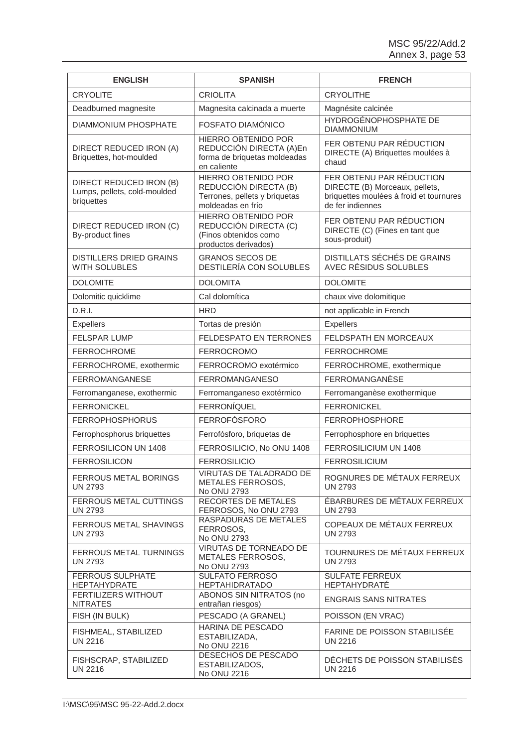| <b>ENGLISH</b>                                                        | <b>SPANISH</b>                                                                                       | <b>FRENCH</b>                                                                                                             |
|-----------------------------------------------------------------------|------------------------------------------------------------------------------------------------------|---------------------------------------------------------------------------------------------------------------------------|
| <b>CRYOLITE</b>                                                       | <b>CRIOLITA</b>                                                                                      | <b>CRYOLITHE</b>                                                                                                          |
| Deadburned magnesite                                                  | Magnesita calcinada a muerte                                                                         | Magnésite calcinée                                                                                                        |
| DIAMMONIUM PHOSPHATE                                                  | FOSFATO DIAMÓNICO                                                                                    | HYDROGÉNOPHOSPHATE DE<br><b>DIAMMONIUM</b>                                                                                |
| DIRECT REDUCED IRON (A)<br>Briquettes, hot-moulded                    | <b>HIERRO OBTENIDO POR</b><br>REDUCCIÓN DIRECTA (A)En<br>forma de briquetas moldeadas<br>en caliente | FER OBTENU PAR RÉDUCTION<br>DIRECTE (A) Briquettes moulées à<br>chaud                                                     |
| DIRECT REDUCED IRON (B)<br>Lumps, pellets, cold-moulded<br>briquettes | HIERRO OBTENIDO POR<br>REDUCCIÓN DIRECTA (B)<br>Terrones, pellets y briquetas<br>moldeadas en frío   | FER OBTENU PAR RÉDUCTION<br>DIRECTE (B) Morceaux, pellets,<br>briquettes moulées à froid et tournures<br>de fer indiennes |
| DIRECT REDUCED IRON (C)<br>By-product fines                           | <b>HIERRO OBTENIDO POR</b><br>REDUCCIÓN DIRECTA (C)<br>(Finos obtenidos como<br>productos derivados) | FER OBTENU PAR RÉDUCTION<br>DIRECTE (C) (Fines en tant que<br>sous-produit)                                               |
| <b>DISTILLERS DRIED GRAINS</b><br><b>WITH SOLUBLES</b>                | <b>GRANOS SECOS DE</b><br>DESTILERÍA CON SOLUBLES                                                    | <b>DISTILLATS SÉCHÉS DE GRAINS</b><br>AVEC RÉSIDUS SOLUBLES                                                               |
| <b>DOLOMITE</b>                                                       | <b>DOLOMITA</b>                                                                                      | <b>DOLOMITE</b>                                                                                                           |
| Dolomitic quicklime                                                   | Cal dolomítica                                                                                       | chaux vive dolomitique                                                                                                    |
| D.R.I.                                                                | <b>HRD</b>                                                                                           | not applicable in French                                                                                                  |
| <b>Expellers</b>                                                      | Tortas de presión                                                                                    | Expellers                                                                                                                 |
| <b>FELSPAR LUMP</b>                                                   | <b>FELDESPATO EN TERRONES</b>                                                                        | <b>FELDSPATH EN MORCEAUX</b>                                                                                              |
| <b>FERROCHROME</b>                                                    | <b>FERROCROMO</b>                                                                                    | <b>FERROCHROME</b>                                                                                                        |
| FERROCHROME, exothermic                                               | FERROCROMO exotérmico                                                                                | FERROCHROME, exothermique                                                                                                 |
| <b>FERROMANGANESE</b>                                                 | <b>FERROMANGANESO</b>                                                                                | FERROMANGANÈSE                                                                                                            |
| Ferromanganese, exothermic                                            | Ferromanganeso exotérmico                                                                            | Ferromanganèse exothermique                                                                                               |
| <b>FERRONICKEL</b>                                                    | <b>FERRONÍQUEL</b>                                                                                   | <b>FERRONICKEL</b>                                                                                                        |
| <b>FERROPHOSPHORUS</b>                                                | <b>FERROFÓSFORO</b>                                                                                  | <b>FERROPHOSPHORE</b>                                                                                                     |
| Ferrophosphorus briquettes                                            | Ferrofósforo, briquetas de                                                                           | Ferrophosphore en briquettes                                                                                              |
| FERROSILICON UN 1408                                                  | FERROSILICIO, No ONU 1408                                                                            | FERROSILICIUM UN 1408                                                                                                     |
| <b>FERROSILICON</b>                                                   | <b>FERROSILICIO</b>                                                                                  | <b>FERROSILICIUM</b>                                                                                                      |
| FERROUS METAL BORINGS<br><b>UN 2793</b>                               | VIRUTAS DE TALADRADO DE<br>METALES FERROSOS,<br>No ONU 2793                                          | ROGNURES DE MÉTAUX FERREUX<br>UN 2793                                                                                     |
| <b>FERROUS METAL CUTTINGS</b><br><b>UN 2793</b>                       | <b>RECORTES DE METALES</b><br>FERROSOS, No ONU 2793                                                  | ÉBARBURES DE MÉTAUX FERREUX<br><b>UN 2793</b>                                                                             |
| <b>FERROUS METAL SHAVINGS</b><br>UN 2793                              | RASPADURAS DE METALES<br>FERROSOS,<br>No ONU 2793                                                    | <b>COPEAUX DE MÉTAUX FERREUX</b><br><b>UN 2793</b>                                                                        |
| <b>FERROUS METAL TURNINGS</b><br><b>UN 2793</b>                       | VIRUTAS DE TORNEADO DE<br>METALES FERROSOS,<br>No ONU 2793                                           | TOURNURES DE MÉTAUX FERREUX<br><b>UN 2793</b>                                                                             |
| FERROUS SULPHATE<br><b>HEPTAHYDRATE</b>                               | SULFATO FERROSO<br><b>HEPTAHIDRATADO</b>                                                             | <b>SULFATE FERREUX</b><br><b>HEPTAHYDRATÉ</b>                                                                             |
| FERTILIZERS WITHOUT<br><b>NITRATES</b>                                | <b>ABONOS SIN NITRATOS (no</b><br>entrañan riesgos)                                                  | <b>ENGRAIS SANS NITRATES</b>                                                                                              |
| FISH (IN BULK)                                                        | PESCADO (A GRANEL)                                                                                   | POISSON (EN VRAC)                                                                                                         |
| FISHMEAL, STABILIZED<br><b>UN 2216</b>                                | HARINA DE PESCADO<br>ESTABILIZADA,<br>No ONU 2216                                                    | FARINE DE POISSON STABILISÉE<br><b>UN 2216</b>                                                                            |
| FISHSCRAP, STABILIZED<br><b>UN 2216</b>                               | DESECHOS DE PESCADO<br>ESTABILIZADOS,<br>No ONU 2216                                                 | DECHETS DE POISSON STABILISES<br><b>UN 2216</b>                                                                           |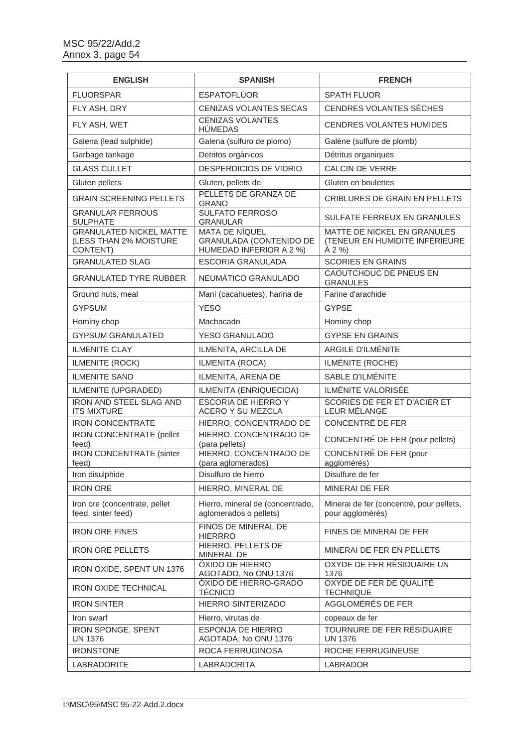| <b>ENGLISH</b>                                                       | <b>SPANISH</b>                                                                     | <b>FRENCH</b>                                                           |
|----------------------------------------------------------------------|------------------------------------------------------------------------------------|-------------------------------------------------------------------------|
| <b>FLUORSPAR</b>                                                     | <b>ESPATOFLÚOR</b>                                                                 | <b>SPATH FLUOR</b>                                                      |
| FLY ASH, DRY                                                         | CENIZAS VOLANTES SECAS                                                             | CENDRES VOLANTES SÈCHES                                                 |
| FLY ASH, WET                                                         | <b>CENIZAS VOLANTES</b><br><b>HÚMEDAS</b>                                          | <b>CENDRES VOLANTES HUMIDES</b>                                         |
| Galena (lead sulphide)                                               | Galena (sulfuro de plomo)                                                          | Galène (sulfure de plomb)                                               |
| Garbage tankage                                                      | Detritos orgánicos                                                                 | Détritus organiques                                                     |
| <b>GLASS CULLET</b>                                                  | <b>DESPERDICIOS DE VIDRIO</b>                                                      | CALCIN DE VERRE                                                         |
| Gluten pellets                                                       | Gluten, pellets de                                                                 | Gluten en boulettes                                                     |
| <b>GRAIN SCREENING PELLETS</b>                                       | PELLETS DE GRANZA DE<br><b>GRANO</b>                                               | <b>CRIBLURES DE GRAIN EN PELLETS</b>                                    |
| <b>GRANULAR FERROUS</b><br><b>SULPHATE</b>                           | <b>SULFATO FERROSO</b><br><b>GRANULAR</b>                                          | <b>SULFATE FERREUX EN GRANULES</b>                                      |
| <b>GRANULATED NICKEL MATTE</b><br>(LESS THAN 2% MOISTURE<br>CONTENT) | <b>MATA DE NÍQUEL</b><br><b>GRANULADA (CONTENIDO DE</b><br>HUMEDAD INFERIOR A 2 %) | MATTE DE NICKEL EN GRANULES<br>(TENEUR EN HUMIDITÉ INFÉRIEURE<br>À 2 %) |
| <b>GRANULATED SLAG</b>                                               | ESCORIA GRANULADA                                                                  | <b>SCORIES EN GRAINS</b>                                                |
| <b>GRANULATED TYRE RUBBER</b>                                        | NEUMÁTICO GRANULADO                                                                | CAOUTCHOUC DE PNEUS EN<br><b>GRANULES</b>                               |
| Ground nuts, meal                                                    | Maní (cacahuetes), harina de                                                       | Farine d'arachide                                                       |
| <b>GYPSUM</b>                                                        | <b>YESO</b>                                                                        | <b>GYPSE</b>                                                            |
| Hominy chop                                                          | Machacado                                                                          | Hominy chop                                                             |
| <b>GYPSUM GRANULATED</b>                                             | <b>YESO GRANULADO</b>                                                              | <b>GYPSE EN GRAINS</b>                                                  |
| <b>ILMENITE CLAY</b>                                                 | ILMENITA, ARCILLA DE                                                               | <b>ARGILE D'ILMÉNITE</b>                                                |
| ILMENITE (ROCK)                                                      | ILMENITA (ROCA)                                                                    | ILMÉNITE (ROCHE)                                                        |
| <b>ILMENITE SAND</b>                                                 | ILMENITA, ARENA DE                                                                 | SABLE D'ILMÉNITE                                                        |
| ILMENITE (UPGRADED)                                                  | ILMENITA (ENRIQUECIDA)                                                             | ILMÉNITE VALORISÉE                                                      |
| <b>IRON AND STEEL SLAG AND</b><br><b>ITS MIXTURE</b>                 | <b>ESCORIA DE HIERRO Y</b><br>ACERO Y SU MEZCLA                                    | SCORIES DE FER ET D'ACIER ET<br>LEUR MÉLANGE                            |
| <b>IRON CONCENTRATE</b>                                              | HIERRO, CONCENTRADO DE                                                             | CONCENTRÉ DE FER                                                        |
| <b>IRON CONCENTRATE (pellet</b><br>feed)                             | HIERRO, CONCENTRADO DE<br>(para pellets)                                           | CONCENTRÉ DE FER (pour pellets)                                         |
| <b>IRON CONCENTRATE (sinter</b><br>feed)                             | HIERRO, CONCENTRADO DE<br>(para aglomerados)                                       | CONCENTRÉ DE FER (pour<br>agglomérés)                                   |
| Iron disulphide                                                      | Disulfuro de hierro                                                                | Disulfure de fer                                                        |
| <b>IRON ORE</b>                                                      | HIERRO, MINERAL DE                                                                 | MINERAI DE FER                                                          |
| Iron ore (concentrate, pellet<br>feed, sinter feed)                  | Hierro, mineral de (concentrado,<br>aglomerados o pellets)                         | Minerai de fer (concentré, pour pellets,<br>pour agglomérés)            |
| <b>IRON ORE FINES</b>                                                | FINOS DE MINERAL DE<br><b>HIERRRO</b>                                              | FINES DE MINERAI DE FER                                                 |
| <b>IRON ORE PELLETS</b>                                              | HIERRO, PELLETS DE<br>MINERAL DE                                                   | MINERAI DE FER EN PELLETS                                               |
| IRON OXIDE, SPENT UN 1376                                            | <b>ÓXIDO DE HIERRO</b><br>AGOTADO, No ONU 1376                                     | OXYDE DE FER RÉSIDUAIRE UN<br>1376                                      |
| <b>IRON OXIDE TECHNICAL</b>                                          | ÓXIDO DE HIERRO-GRADO<br><b>TÉCNICO</b>                                            | OXYDE DE FER DE QUALITÉ<br><b>TECHNIQUE</b>                             |
| <b>IRON SINTER</b>                                                   | HIERRO SINTERIZADO                                                                 | AGGLOMÉRÉS DE FER                                                       |
| Iron swarf                                                           | Hierro, virutas de                                                                 | copeaux de fer                                                          |
| IRON SPONGE, SPENT<br><b>UN 1376</b>                                 | <b>ESPONJA DE HIERRO</b><br>AGOTADA, No ONU 1376                                   | TOURNURE DE FER RÉSIDUAIRE<br><b>UN 1376</b>                            |
| <b>IRONSTONE</b>                                                     | ROCA FERRUGINOSA                                                                   | ROCHE FERRUGINEUSE                                                      |
| LABRADORITE                                                          | LABRADORITA                                                                        | LABRADOR                                                                |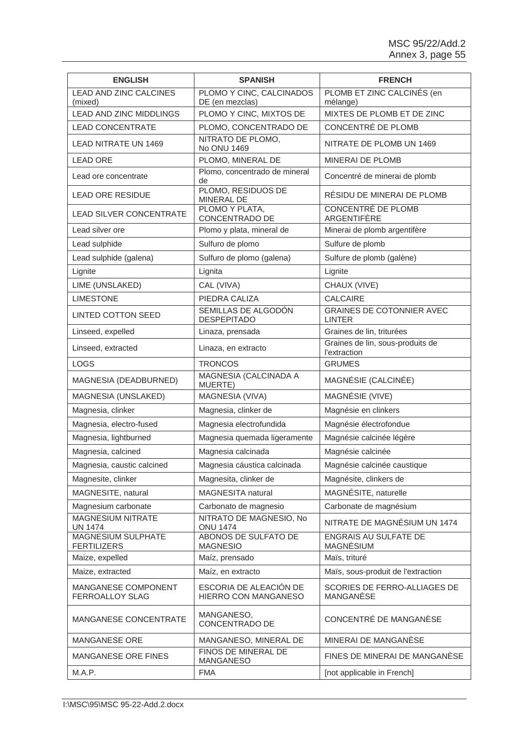| <b>ENGLISH</b>                                  | <b>SPANISH</b>                                 | <b>FRENCH</b>                                     |
|-------------------------------------------------|------------------------------------------------|---------------------------------------------------|
| LEAD AND ZINC CALCINES<br>(mixed)               | PLOMO Y CINC, CALCINADOS<br>DE (en mezclas)    | PLOMB ET ZINC CALCINÉS (en<br>mélange)            |
| <b>LEAD AND ZINC MIDDLINGS</b>                  | PLOMO Y CINC, MIXTOS DE                        | MIXTES DE PLOMB ET DE ZINC                        |
| <b>LEAD CONCENTRATE</b>                         | PLOMO, CONCENTRADO DE                          | CONCENTRÉ DE PLOMB                                |
| LEAD NITRATE UN 1469                            | NITRATO DE PLOMO,<br>No ONU 1469               | NITRATE DE PLOMB UN 1469                          |
| <b>LEAD ORE</b>                                 | PLOMO, MINERAL DE                              | <b>MINERAI DE PLOMB</b>                           |
| Lead ore concentrate                            | Plomo, concentrado de mineral<br>de            | Concentré de minerai de plomb                     |
| <b>LEAD ORE RESIDUE</b>                         | PLOMO, RESIDUOS DE<br><b>MINERAL DE</b>        | RÉSIDU DE MINERAI DE PLOMB                        |
| <b>LEAD SILVER CONCENTRATE</b>                  | PLOMO Y PLATA,<br>CONCENTRADO DE               | <b>CONCENTRÉ DE PLOMB</b><br>ARGENTIFÈRE          |
| Lead silver ore                                 | Plomo y plata, mineral de                      | Minerai de plomb argentifère                      |
| Lead sulphide                                   | Sulfuro de plomo                               | Sulfure de plomb                                  |
| Lead sulphide (galena)                          | Sulfuro de plomo (galena)                      | Sulfure de plomb (galène)                         |
| Lignite                                         | Lignita                                        | Lignite                                           |
| LIME (UNSLAKED)                                 | CAL (VIVA)                                     | CHAUX (VIVE)                                      |
| <b>LIMESTONE</b>                                | PIEDRA CALIZA                                  | <b>CALCAIRE</b>                                   |
| <b>LINTED COTTON SEED</b>                       | SEMILLAS DE ALGODÓN<br><b>DESPEPITADO</b>      | <b>GRAINES DE COTONNIER AVEC</b><br><b>LINTER</b> |
| Linseed, expelled                               | Linaza, prensada                               | Graines de lin, triturées                         |
| Linseed, extracted                              | Linaza, en extracto                            | Graines de lin, sous-produits de<br>l'extraction  |
| <b>LOGS</b>                                     | <b>TRONCOS</b>                                 | <b>GRUMES</b>                                     |
| MAGNESIA (DEADBURNED)                           | MAGNESIA (CALCINADA A<br>MUERTE)               | MAGNÉSIE (CALCINÉE)                               |
| MAGNESIA (UNSLAKED)                             | MAGNESIA (VIVA)                                | MAGNÉSIE (VIVE)                                   |
| Magnesia, clinker                               | Magnesia, clinker de                           | Magnésie en clinkers                              |
| Magnesia, electro-fused                         | Magnesia electrofundida                        | Magnésie électrofondue                            |
| Magnesia, lightburned                           | Magnesia quemada ligeramente                   | Magnésie calcinée légère                          |
| Magnesia, calcined                              | Magnesia calcinada                             | Magnésie calcinée                                 |
| Magnesia, caustic calcined                      | Magnesia cáustica calcinada                    | Magnésie calcinée caustique                       |
| Magnesite, clinker                              | Magnesita, clinker de                          | Magnésite, clinkers de                            |
| MAGNESITE, natural                              | MAGNESITA natural                              | MAGNÉSITE, naturelle                              |
| Magnesium carbonate                             | Carbonato de magnesio                          | Carbonate de magnésium                            |
| MAGNESIUM NITRATE<br><b>UN 1474</b>             | NITRATO DE MAGNESIO, No<br><b>ONU 1474</b>     | NITRATE DE MAGNÉSIUM UN 1474                      |
| <b>MAGNESIUM SULPHATE</b><br><b>FERTILIZERS</b> | ABONOS DE SULFATO DE<br><b>MAGNESIO</b>        | <b>ENGRAIS AU SULFATE DE</b><br><b>MAGNÉSIUM</b>  |
| Maize, expelled                                 | Maíz, prensado                                 | Maïs, trituré                                     |
| Maize, extracted                                | Maíz, en extracto                              | Maïs, sous-produit de l'extraction                |
| <b>MANGANESE COMPONENT</b><br>FERROALLOY SLAG   | ESCORIA DE ALEACIÓN DE<br>HIERRO CON MANGANESO | SCORIES DE FERRO-ALLIAGES DE<br>MANGANÈSE         |
| MANGANESE CONCENTRATE                           | MANGANESO,<br>CONCENTRADO DE                   | CONCENTRÉ DE MANGANÈSE                            |
| MANGANESE ORE                                   | MANGANESO, MINERAL DE                          | MINERAI DE MANGANÈSE                              |
| <b>MANGANESE ORE FINES</b>                      | FINOS DE MINERAL DE<br><b>MANGANESO</b>        | FINES DE MINERAI DE MANGANÈSE                     |
| M.A.P.                                          | <b>FMA</b>                                     | [not applicable in French]                        |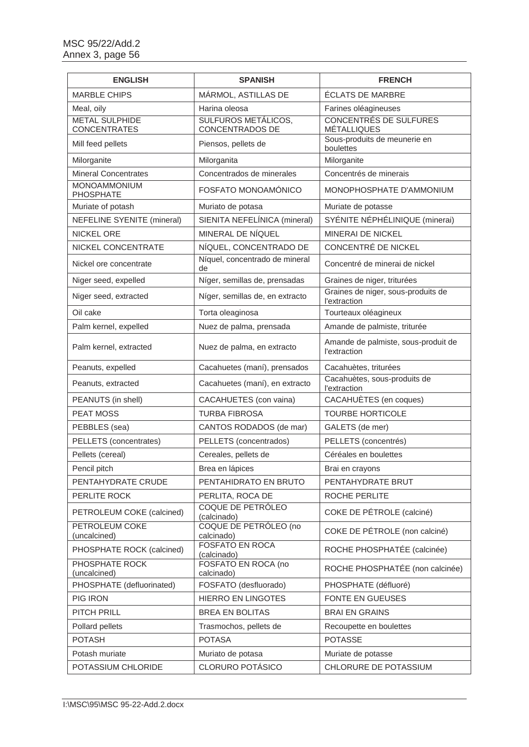| <b>ENGLISH</b>                               | <b>SPANISH</b>                                       | <b>FRENCH</b>                                       |
|----------------------------------------------|------------------------------------------------------|-----------------------------------------------------|
| <b>MARBLE CHIPS</b>                          | MÁRMOL, ASTILLAS DE                                  | <b>ÉCLATS DE MARBRE</b>                             |
| Meal, oily                                   | Harina oleosa                                        | Farines oléagineuses                                |
| <b>METAL SULPHIDE</b><br><b>CONCENTRATES</b> | <b>SULFUROS METÁLICOS,</b><br><b>CONCENTRADOS DE</b> | <b>CONCENTRÉS DE SULFURES</b><br><b>MÉTALLIQUES</b> |
| Mill feed pellets                            | Piensos, pellets de                                  | Sous-produits de meunerie en<br>boulettes           |
| Milorganite                                  | Milorganita                                          | Milorganite                                         |
| <b>Mineral Concentrates</b>                  | Concentrados de minerales                            | Concentrés de minerais                              |
| MONOAMMONIUM<br>PHOSPHATE                    | FOSFATO MONOAMÓNICO                                  | MONOPHOSPHATE D'AMMONIUM                            |
| Muriate of potash                            | Muriato de potasa                                    | Muriate de potasse                                  |
| <b>NEFELINE SYENITE (mineral)</b>            | SIENITA NEFELÍNICA (mineral)                         | SYÉNITE NÉPHÉLINIQUE (minerai)                      |
| NICKEL ORE                                   | MINERAL DE NÍQUEL                                    | <b>MINERAI DE NICKEL</b>                            |
| NICKEL CONCENTRATE                           | NÍQUEL, CONCENTRADO DE                               | CONCENTRÉ DE NICKEL                                 |
| Nickel ore concentrate                       | Níquel, concentrado de mineral<br>de                 | Concentré de minerai de nickel                      |
| Niger seed, expelled                         | Níger, semillas de, prensadas                        | Graines de niger, triturées                         |
| Niger seed, extracted                        | Níger, semillas de, en extracto                      | Graines de niger, sous-produits de<br>l'extraction  |
| Oil cake                                     | Torta oleaginosa                                     | Tourteaux oléagineux                                |
| Palm kernel, expelled                        | Nuez de palma, prensada                              | Amande de palmiste, triturée                        |
| Palm kernel, extracted                       | Nuez de palma, en extracto                           | Amande de palmiste, sous-produit de<br>l'extraction |
| Peanuts, expelled                            | Cacahuetes (maní), prensados                         | Cacahuètes, triturées                               |
| Peanuts, extracted                           | Cacahuetes (maní), en extracto                       | Cacahuètes, sous-produits de<br><i>l'extraction</i> |
| PEANUTS (in shell)                           | CACAHUETES (con vaina)                               | CACAHUÈTES (en coques)                              |
| <b>PEAT MOSS</b>                             | <b>TURBA FIBROSA</b>                                 | <b>TOURBE HORTICOLE</b>                             |
| PEBBLES (sea)                                | CANTOS RODADOS (de mar)                              | GALETS (de mer)                                     |
| PELLETS (concentrates)                       | PELLETS (concentrados)                               | PELLETS (concentrés)                                |
| Pellets (cereal)                             | Cereales, pellets de                                 | Céréales en boulettes                               |
| Pencil pitch                                 | Brea en lápices                                      | Brai en crayons                                     |
| PENTAHYDRATE CRUDE                           | PENTAHIDRATO EN BRUTO                                | PENTAHYDRATE BRUT                                   |
| PERLITE ROCK                                 | PERLITA, ROCA DE                                     | ROCHE PERLITE                                       |
| PETROLEUM COKE (calcined)                    | COQUE DE PETRÓLEO<br>(calcinado)                     | COKE DE PÉTROLE (calciné)                           |
| PETROLEUM COKE<br>(uncalcined)               | COQUE DE PETRÓLEO (no<br>calcinado)                  | COKE DE PÉTROLE (non calciné)                       |
| PHOSPHATE ROCK (calcined)                    | <b>FOSFATO EN ROCA</b><br>(calcinado)                | ROCHE PHOSPHATÉE (calcinée)                         |
| PHOSPHATE ROCK<br>(uncalcined)               | FOSFATO EN ROCA (no<br>calcinado)                    | ROCHE PHOSPHATÉE (non calcinée)                     |
| PHOSPHATE (defluorinated)                    | FOSFATO (desfluorado)                                | PHOSPHATE (défluoré)                                |
| PIG IRON                                     | <b>HIERRO EN LINGOTES</b>                            | FONTE EN GUEUSES                                    |
| PITCH PRILL                                  | <b>BREA EN BOLITAS</b>                               | <b>BRAI EN GRAINS</b>                               |
| Pollard pellets                              | Trasmochos, pellets de                               | Recoupette en boulettes                             |
| <b>POTASH</b>                                | <b>POTASA</b>                                        | <b>POTASSE</b>                                      |
| Potash muriate                               | Muriato de potasa                                    | Muriate de potasse                                  |
| POTASSIUM CHLORIDE                           | <b>CLORURO POTÁSICO</b>                              | CHLORURE DE POTASSIUM                               |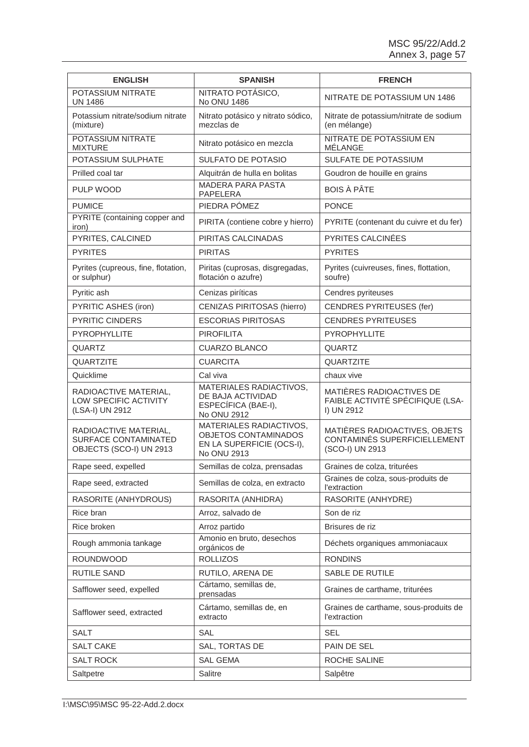| <b>ENGLISH</b>                                                           | <b>SPANISH</b>                                                                              | <b>FRENCH</b>                                                                           |
|--------------------------------------------------------------------------|---------------------------------------------------------------------------------------------|-----------------------------------------------------------------------------------------|
| POTASSIUM NITRATE<br><b>UN 1486</b>                                      | NITRATO POTÁSICO,<br>No ONU 1486                                                            | NITRATE DE POTASSIUM UN 1486                                                            |
| Potassium nitrate/sodium nitrate<br>(mixture)                            | Nitrato potásico y nitrato sódico,<br>mezclas de                                            | Nitrate de potassium/nitrate de sodium<br>(en mélange)                                  |
| POTASSIUM NITRATE<br><b>MIXTURE</b>                                      | Nitrato potásico en mezcla                                                                  | NITRATE DE POTASSIUM EN<br>MÉLANGE                                                      |
| POTASSIUM SULPHATE                                                       | <b>SULFATO DE POTASIO</b>                                                                   | SULFATE DE POTASSIUM                                                                    |
| Prilled coal tar                                                         | Alquitrán de hulla en bolitas                                                               | Goudron de houille en grains                                                            |
| PULP WOOD                                                                | <b>MADERA PARA PASTA</b><br>PAPELERA                                                        | <b>BOIS À PÂTE</b>                                                                      |
| <b>PUMICE</b>                                                            | PIEDRA PÓMEZ                                                                                | <b>PONCE</b>                                                                            |
| PYRITE (containing copper and<br>iron)                                   | PIRITA (contiene cobre y hierro)                                                            | PYRITE (contenant du cuivre et du fer)                                                  |
| PYRITES, CALCINED                                                        | PIRITAS CALCINADAS                                                                          | <b>PYRITES CALCINÉES</b>                                                                |
| <b>PYRITES</b>                                                           | <b>PIRITAS</b>                                                                              | <b>PYRITES</b>                                                                          |
| Pyrites (cupreous, fine, flotation,<br>or sulphur)                       | Piritas (cuprosas, disgregadas,<br>flotación o azufre)                                      | Pyrites (cuivreuses, fines, flottation,<br>soufre)                                      |
| Pyritic ash                                                              | Cenizas piríticas                                                                           | Cendres pyriteuses                                                                      |
| PYRITIC ASHES (iron)                                                     | <b>CENIZAS PIRITOSAS (hierro)</b>                                                           | <b>CENDRES PYRITEUSES (fer)</b>                                                         |
| PYRITIC CINDERS                                                          | <b>ESCORIAS PIRITOSAS</b>                                                                   | <b>CENDRES PYRITEUSES</b>                                                               |
| PYROPHYLLITE                                                             | <b>PIROFILITA</b>                                                                           | <b>PYROPHYLLITE</b>                                                                     |
| <b>QUARTZ</b>                                                            | <b>CUARZO BLANCO</b>                                                                        | <b>QUARTZ</b>                                                                           |
| <b>QUARTZITE</b>                                                         | <b>CUARCITA</b>                                                                             | QUARTZITE                                                                               |
| Quicklime                                                                | Cal viva                                                                                    | chaux vive                                                                              |
| RADIOACTIVE MATERIAL,<br>LOW SPECIFIC ACTIVITY<br>(LSA-I) UN 2912        | <b>MATERIALES RADIACTIVOS,</b><br>DE BAJA ACTIVIDAD<br>ESPECÍFICA (BAE-I),<br>No ONU 2912   | MATIÈRES RADIOACTIVES DE<br>FAIBLE ACTIVITÉ SPÉCIFIQUE (LSA-<br>I) UN 2912              |
| RADIOACTIVE MATERIAL,<br>SURFACE CONTAMINATED<br>OBJECTS (SCO-I) UN 2913 | MATERIALES RADIACTIVOS,<br>OBJETOS CONTAMINADOS<br>EN LA SUPERFICIE (OCS-I),<br>No ONU 2913 | MATIÈRES RADIOACTIVES, OBJETS<br><b>CONTAMINÉS SUPERFICIELLEMENT</b><br>(SCO-I) UN 2913 |
| Rape seed, expelled                                                      | Semillas de colza, prensadas                                                                | Graines de colza, triturées                                                             |
| Rape seed, extracted                                                     | Semillas de colza, en extracto                                                              | Graines de colza, sous-produits de<br><i>l'extraction</i>                               |
| RASORITE (ANHYDROUS)                                                     | RASORITA (ANHIDRA)                                                                          | RASORITE (ANHYDRE)                                                                      |
| Rice bran                                                                | Arroz, salvado de                                                                           | Son de riz                                                                              |
| Rice broken                                                              | Arroz partido                                                                               | Brisures de riz                                                                         |
| Rough ammonia tankage                                                    | Amonio en bruto, desechos<br>orgánicos de                                                   | Déchets organiques ammoniacaux                                                          |
| <b>ROUNDWOOD</b>                                                         | <b>ROLLIZOS</b>                                                                             | <b>RONDINS</b>                                                                          |
| <b>RUTILE SAND</b>                                                       | RUTILO, ARENA DE                                                                            | SABLE DE RUTILE                                                                         |
| Safflower seed, expelled                                                 | Cártamo, semillas de,<br>prensadas                                                          | Graines de carthame, triturées                                                          |
| Safflower seed, extracted                                                | Cártamo, semillas de, en<br>extracto                                                        | Graines de carthame, sous-produits de<br><i>l'extraction</i>                            |
| <b>SALT</b>                                                              | SAL                                                                                         | <b>SEL</b>                                                                              |
| <b>SALT CAKE</b>                                                         | SAL, TORTAS DE                                                                              | PAIN DE SEL                                                                             |
| SALT ROCK                                                                | <b>SAL GEMA</b>                                                                             | ROCHE SALINE                                                                            |
| Saltpetre                                                                | Salitre                                                                                     | Salpêtre                                                                                |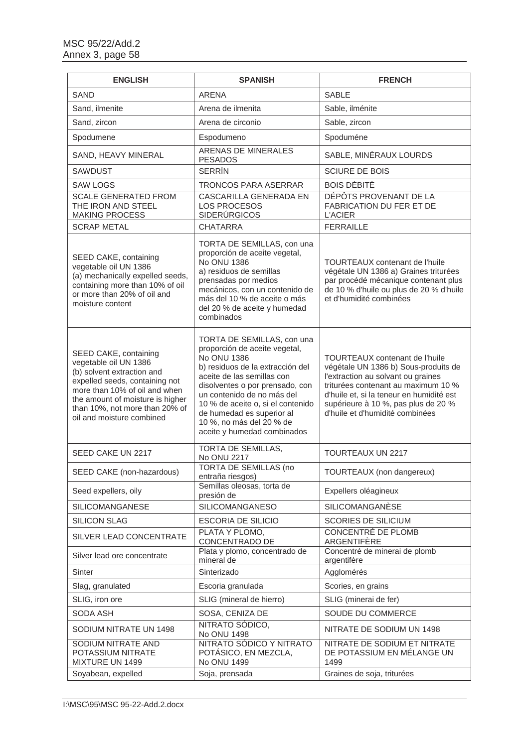| <b>ENGLISH</b>                                                                                                                                                                                                                                     | <b>SPANISH</b>                                                                                                                                                                                                                                                                                                                                    | <b>FRENCH</b>                                                                                                                                                                                                                                                                    |
|----------------------------------------------------------------------------------------------------------------------------------------------------------------------------------------------------------------------------------------------------|---------------------------------------------------------------------------------------------------------------------------------------------------------------------------------------------------------------------------------------------------------------------------------------------------------------------------------------------------|----------------------------------------------------------------------------------------------------------------------------------------------------------------------------------------------------------------------------------------------------------------------------------|
| <b>SAND</b>                                                                                                                                                                                                                                        | <b>ARENA</b>                                                                                                                                                                                                                                                                                                                                      | <b>SABLE</b>                                                                                                                                                                                                                                                                     |
| Sand, ilmenite                                                                                                                                                                                                                                     | Arena de ilmenita                                                                                                                                                                                                                                                                                                                                 | Sable, ilménite                                                                                                                                                                                                                                                                  |
| Sand, zircon                                                                                                                                                                                                                                       | Arena de circonio                                                                                                                                                                                                                                                                                                                                 | Sable, zircon                                                                                                                                                                                                                                                                    |
| Spodumene                                                                                                                                                                                                                                          | Espodumeno                                                                                                                                                                                                                                                                                                                                        | Spoduméne                                                                                                                                                                                                                                                                        |
| SAND, HEAVY MINERAL                                                                                                                                                                                                                                | ARENAS DE MINERALES<br><b>PESADOS</b>                                                                                                                                                                                                                                                                                                             | SABLE, MINÉRAUX LOURDS                                                                                                                                                                                                                                                           |
| <b>SAWDUST</b>                                                                                                                                                                                                                                     | <b>SERRÍN</b>                                                                                                                                                                                                                                                                                                                                     | <b>SCIURE DE BOIS</b>                                                                                                                                                                                                                                                            |
| <b>SAW LOGS</b>                                                                                                                                                                                                                                    | <b>TRONCOS PARA ASERRAR</b>                                                                                                                                                                                                                                                                                                                       | <b>BOIS DÉBITÉ</b>                                                                                                                                                                                                                                                               |
| <b>SCALE GENERATED FROM</b><br>THE IRON AND STEEL<br><b>MAKING PROCESS</b>                                                                                                                                                                         | CASCARILLA GENERADA EN<br><b>LOS PROCESOS</b><br><b>SIDERÚRGICOS</b>                                                                                                                                                                                                                                                                              | DÉPÔTS PROVENANT DE LA<br>FABRICATION DU FER ET DE<br><b>L'ACIER</b>                                                                                                                                                                                                             |
| <b>SCRAP METAL</b>                                                                                                                                                                                                                                 | <b>CHATARRA</b>                                                                                                                                                                                                                                                                                                                                   | <b>FERRAILLE</b>                                                                                                                                                                                                                                                                 |
| SEED CAKE, containing<br>vegetable oil UN 1386<br>(a) mechanically expelled seeds,<br>containing more than 10% of oil<br>or more than 20% of oil and<br>moisture content                                                                           | TORTA DE SEMILLAS, con una<br>proporción de aceite vegetal,<br><b>No ONU 1386</b><br>a) residuos de semillas<br>prensadas por medios<br>mecánicos, con un contenido de<br>más del 10 % de aceite o más<br>del 20 % de aceite y humedad<br>combinados                                                                                              | <b>TOURTEAUX</b> contenant de l'huile<br>végétale UN 1386 a) Graines triturées<br>par procédé mécanique contenant plus<br>de 10 % d'huile ou plus de 20 % d'huile<br>et d'humidité combinées                                                                                     |
| SEED CAKE, containing<br>vegetable oil UN 1386<br>(b) solvent extraction and<br>expelled seeds, containing not<br>more than 10% of oil and when<br>the amount of moisture is higher<br>than 10%, not more than 20% of<br>oil and moisture combined | TORTA DE SEMILLAS, con una<br>proporción de aceite vegetal,<br><b>No ONU 1386</b><br>b) residuos de la extracción del<br>aceite de las semillas con<br>disolventes o por prensado, con<br>un contenido de no más del<br>10 % de aceite o, si el contenido<br>de humedad es superior al<br>10 %, no más del 20 % de<br>aceite y humedad combinados | <b>TOURTEAUX</b> contenant de l'huile<br>végétale UN 1386 b) Sous-produits de<br>l'extraction au solvant ou graines<br>triturées contenant au maximum 10 %<br>d'huile et, si la teneur en humidité est<br>supérieure à 10 %, pas plus de 20 %<br>d'huile et d'humidité combinées |
| SEED CAKE UN 2217                                                                                                                                                                                                                                  | TORTA DE SEMILLAS,<br>No ONU 2217                                                                                                                                                                                                                                                                                                                 | <b>TOURTEAUX UN 2217</b>                                                                                                                                                                                                                                                         |
| SEED CAKE (non-hazardous)                                                                                                                                                                                                                          | <b>TORTA DE SEMILLAS (no</b><br>entraña riesgos)                                                                                                                                                                                                                                                                                                  | TOURTEAUX (non dangereux)                                                                                                                                                                                                                                                        |
| Seed expellers, oily                                                                                                                                                                                                                               | Semillas oleosas, torta de<br>presión de                                                                                                                                                                                                                                                                                                          | Expellers oléagineux                                                                                                                                                                                                                                                             |
| <b>SILICOMANGANESE</b>                                                                                                                                                                                                                             | <b>SILICOMANGANESO</b>                                                                                                                                                                                                                                                                                                                            | <b>SILICOMANGANÈSE</b>                                                                                                                                                                                                                                                           |
| <b>SILICON SLAG</b>                                                                                                                                                                                                                                | <b>ESCORIA DE SILICIO</b>                                                                                                                                                                                                                                                                                                                         | <b>SCORIES DE SILICIUM</b>                                                                                                                                                                                                                                                       |
| SILVER LEAD CONCENTRATE                                                                                                                                                                                                                            | PLATA Y PLOMO,<br>CONCENTRADO DE                                                                                                                                                                                                                                                                                                                  | <b>CONCENTRÉ DE PLOMB</b><br>ARGENTIFÈRE                                                                                                                                                                                                                                         |
| Silver lead ore concentrate                                                                                                                                                                                                                        | Plata y plomo, concentrado de<br>mineral de                                                                                                                                                                                                                                                                                                       | Concentré de minerai de plomb<br>argentifère                                                                                                                                                                                                                                     |
| Sinter                                                                                                                                                                                                                                             | Sinterizado                                                                                                                                                                                                                                                                                                                                       | Agglomérés                                                                                                                                                                                                                                                                       |
| Slag, granulated                                                                                                                                                                                                                                   | Escoria granulada                                                                                                                                                                                                                                                                                                                                 | Scories, en grains                                                                                                                                                                                                                                                               |
| SLIG, iron ore                                                                                                                                                                                                                                     | SLIG (mineral de hierro)                                                                                                                                                                                                                                                                                                                          | SLIG (minerai de fer)                                                                                                                                                                                                                                                            |
| SODA ASH                                                                                                                                                                                                                                           | SOSA, CENIZA DE                                                                                                                                                                                                                                                                                                                                   | SOUDE DU COMMERCE                                                                                                                                                                                                                                                                |
| SODIUM NITRATE UN 1498                                                                                                                                                                                                                             | NITRATO SÓDICO,<br>No ONU 1498                                                                                                                                                                                                                                                                                                                    | NITRATE DE SODIUM UN 1498                                                                                                                                                                                                                                                        |
| SODIUM NITRATE AND<br>POTASSIUM NITRATE<br>MIXTURE UN 1499                                                                                                                                                                                         | NITRATO SÓDICO Y NITRATO<br>POTÁSICO, EN MEZCLA,<br>No ONU 1499                                                                                                                                                                                                                                                                                   | NITRATE DE SODIUM ET NITRATE<br>DE POTASSIUM EN MÉLANGE UN<br>1499                                                                                                                                                                                                               |
| Soyabean, expelled                                                                                                                                                                                                                                 | Soja, prensada                                                                                                                                                                                                                                                                                                                                    | Graines de soja, triturées                                                                                                                                                                                                                                                       |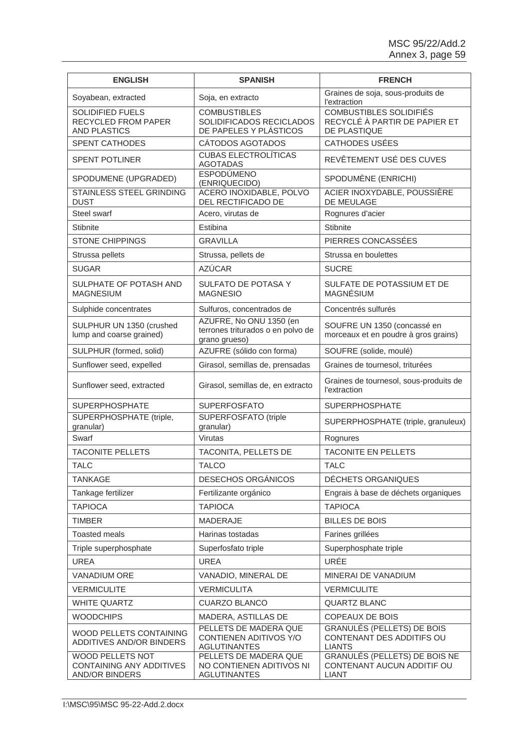| <b>ENGLISH</b>                                                 | <b>SPANISH</b>                                                                | <b>FRENCH</b>                                                                      |
|----------------------------------------------------------------|-------------------------------------------------------------------------------|------------------------------------------------------------------------------------|
| Soyabean, extracted                                            | Soja, en extracto                                                             | Graines de soja, sous-produits de<br>l'extraction                                  |
| SOLIDIFIED FUELS<br>RECYCLED FROM PAPER<br><b>AND PLASTICS</b> | <b>COMBUSTIBLES</b><br>SOLIDIFICADOS RECICLADOS<br>DE PAPELES Y PLÁSTICOS     | <b>COMBUSTIBLES SOLIDIFIÉS</b><br>RECYCLÉ À PARTIR DE PAPIER ET<br>DE PLASTIQUE    |
| <b>SPENT CATHODES</b>                                          | CÁTODOS AGOTADOS                                                              | <b>CATHODES USÉES</b>                                                              |
| <b>SPENT POTLINER</b>                                          | <b>CUBAS ELECTROLÍTICAS</b><br><b>AGOTADAS</b>                                | REVÊTEMENT USÉ DES CUVES                                                           |
| SPODUMENE (UPGRADED)                                           | <b>ESPODÚMENO</b><br>(ENRIQUECIDO)                                            | SPODUMÈNE (ENRICHI)                                                                |
| STAINLESS STEEL GRINDING<br><b>DUST</b>                        | ACERO INOXIDABLE, POLVO<br>DEL RECTIFICADO DE                                 | ACIER INOXYDABLE, POUSSIÈRE<br>DE MEULAGE                                          |
| Steel swarf                                                    | Acero, virutas de                                                             | Rognures d'acier                                                                   |
| Stibnite                                                       | Estibina                                                                      | <b>Stibnite</b>                                                                    |
| <b>STONE CHIPPINGS</b>                                         | <b>GRAVILLA</b>                                                               | PIERRES CONCASSÉES                                                                 |
| Strussa pellets                                                | Strussa, pellets de                                                           | Strussa en boulettes                                                               |
| <b>SUGAR</b>                                                   | <b>AZÚCAR</b>                                                                 | <b>SUCRE</b>                                                                       |
| SULPHATE OF POTASH AND<br><b>MAGNESIUM</b>                     | SULFATO DE POTASA Y<br><b>MAGNESIO</b>                                        | SULFATE DE POTASSIUM ET DE<br><b>MAGNÉSIUM</b>                                     |
| Sulphide concentrates                                          | Sulfuros, concentrados de                                                     | Concentrés sulfurés                                                                |
| SULPHUR UN 1350 (crushed<br>lump and coarse grained)           | AZUFRE, No ONU 1350 (en<br>terrones triturados o en polvo de<br>grano grueso) | SOUFRE UN 1350 (concassé en<br>morceaux et en poudre à gros grains)                |
| SULPHUR (formed, solid)                                        | AZUFRE (sólido con forma)                                                     | SOUFRE (solide, moulé)                                                             |
| Sunflower seed, expelled                                       | Girasol, semillas de, prensadas                                               | Graines de tournesol, triturées                                                    |
| Sunflower seed, extracted                                      | Girasol, semillas de, en extracto                                             | Graines de tournesol, sous-produits de<br>l'extraction                             |
| <b>SUPERPHOSPHATE</b>                                          | <b>SUPERFOSFATO</b>                                                           | <b>SUPERPHOSPHATE</b>                                                              |
| SUPERPHOSPHATE (triple,<br>granular)                           | SUPERFOSFATO (triple<br>granular)                                             | SUPERPHOSPHATE (triple, granuleux)                                                 |
| Swarf                                                          | Virutas                                                                       | Rognures                                                                           |
| <b>TACONITE PELLETS</b>                                        | TACONITA, PELLETS DE                                                          | <b>TACONITE EN PELLETS</b>                                                         |
| <b>TALC</b>                                                    | <b>TALCO</b>                                                                  | <b>TALC</b>                                                                        |
| <b>TANKAGE</b>                                                 | <b>DESECHOS ORGÁNICOS</b>                                                     | DÉCHETS ORGANIQUES                                                                 |
| Tankage fertilizer                                             | Fertilizante orgánico                                                         | Engrais à base de déchets organiques                                               |
| <b>TAPIOCA</b>                                                 | <b>TAPIOCA</b>                                                                | <b>TAPIOCA</b>                                                                     |
| <b>TIMBER</b>                                                  | <b>MADERAJE</b>                                                               | <b>BILLES DE BOIS</b>                                                              |
| <b>Toasted meals</b>                                           | Harinas tostadas                                                              | Farines grillées                                                                   |
| Triple superphosphate                                          | Superfosfato triple                                                           | Superphosphate triple                                                              |
| <b>UREA</b>                                                    | <b>UREA</b>                                                                   | URÉE                                                                               |
| <b>VANADIUM ORE</b>                                            | VANADIO, MINERAL DE                                                           | MINERAI DE VANADIUM                                                                |
| <b>VERMICULITE</b>                                             | <b>VERMICULITA</b>                                                            | <b>VERMICULITE</b>                                                                 |
| <b>WHITE QUARTZ</b>                                            | <b>CUARZO BLANCO</b>                                                          | <b>QUARTZ BLANC</b>                                                                |
| <b>WOODCHIPS</b>                                               | MADERA, ASTILLAS DE                                                           | <b>COPEAUX DE BOIS</b>                                                             |
| WOOD PELLETS CONTAINING<br>ADDITIVES AND/OR BINDERS            | PELLETS DE MADERA QUE<br>CONTIENEN ADITIVOS Y/O<br><b>AGLUTINANTES</b>        | <b>GRANULÉS (PELLETS) DE BOIS</b><br>CONTENANT DES ADDITIFS OU<br><b>LIANTS</b>    |
| WOOD PELLETS NOT<br>CONTAINING ANY ADDITIVES<br>AND/OR BINDERS | PELLETS DE MADERA QUE<br>NO CONTIENEN ADITIVOS NI<br><b>AGLUTINANTES</b>      | <b>GRANULÉS (PELLETS) DE BOIS NE</b><br>CONTENANT AUCUN ADDITIF OU<br><b>LIANT</b> |